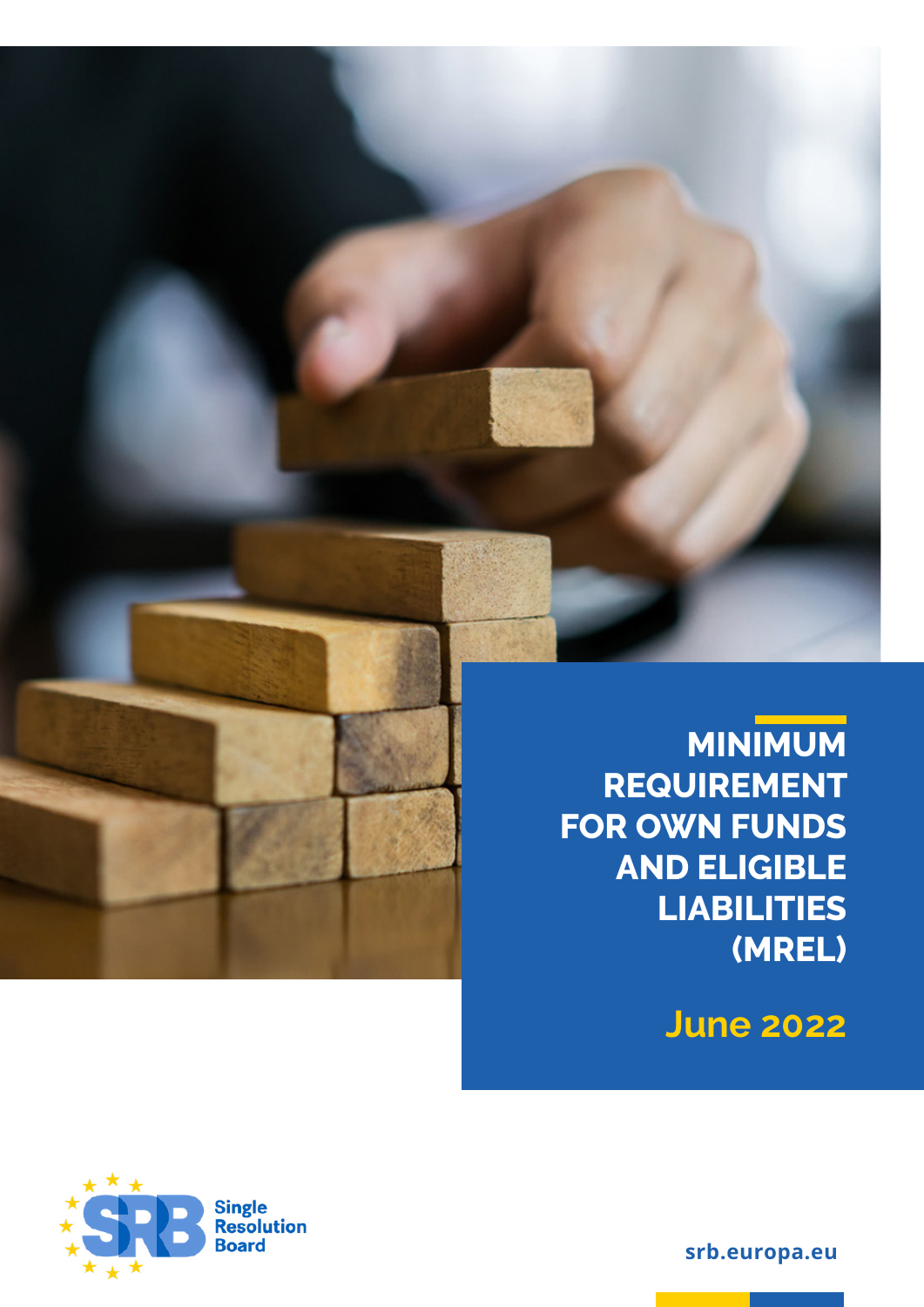

### **MINIMUM REQUIREMENT FOR OWN FUNDS AND ELIGIBLE LIABILITIES (MREL)**

**June 2022**



**srb.europa.eu**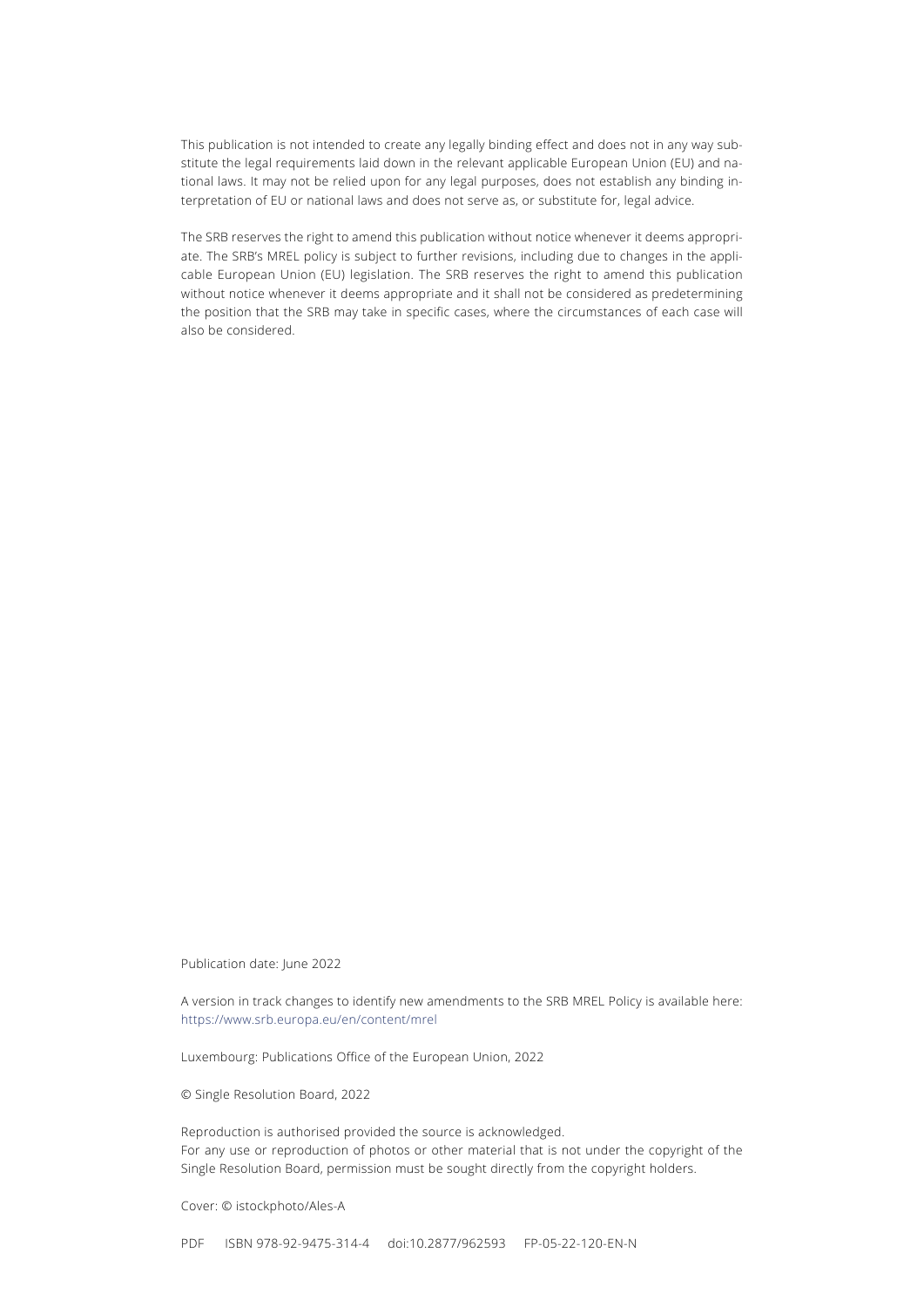This publication is not intended to create any legally binding effect and does not in any way substitute the legal requirements laid down in the relevant applicable European Union (EU) and national laws. It may not be relied upon for any legal purposes, does not establish any binding interpretation of EU or national laws and does not serve as, or substitute for, legal advice.

The SRB reserves the right to amend this publication without notice whenever it deems appropriate. The SRB's MREL policy is subject to further revisions, including due to changes in the applicable European Union (EU) legislation. The SRB reserves the right to amend this publication without notice whenever it deems appropriate and it shall not be considered as predetermining the position that the SRB may take in specific cases, where the circumstances of each case will also be considered.

Publication date: June 2022

A version in track changes to identify new amendments to the SRB MREL Policy is available here: <https://www.srb.europa.eu/en/content/mrel>

Luxembourg: Publications Office of the European Union, 2022

© Single Resolution Board, 2022

Reproduction is authorised provided the source is acknowledged. For any use or reproduction of photos or other material that is not under the copyright of the Single Resolution Board, permission must be sought directly from the copyright holders.

Cover: © istockphoto/Ales-A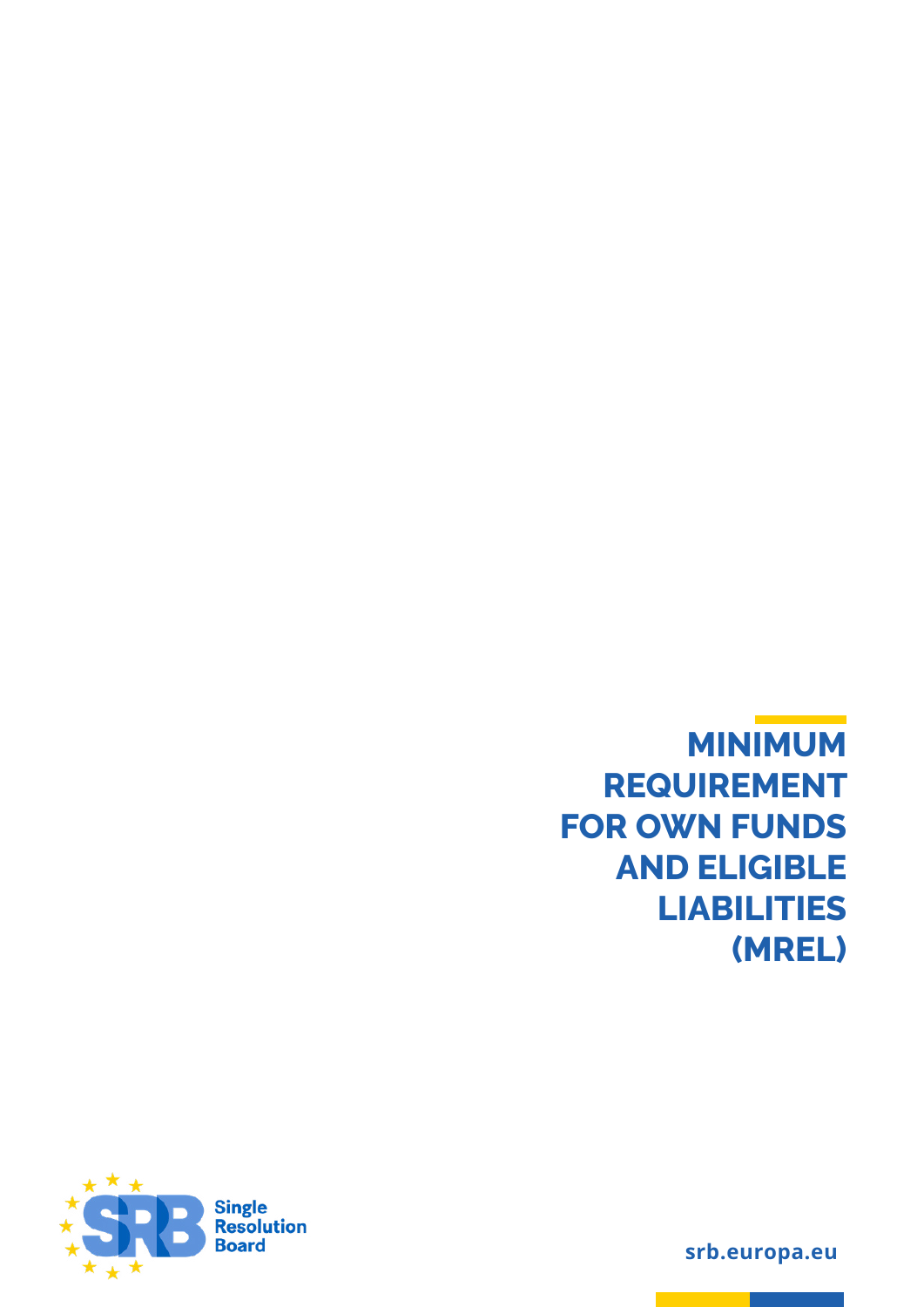**MINIMUM REQUIREMENT FOR OWN FUNDS AND ELIGIBLE LIABILITIES (MREL)**



**srb.europa.eu**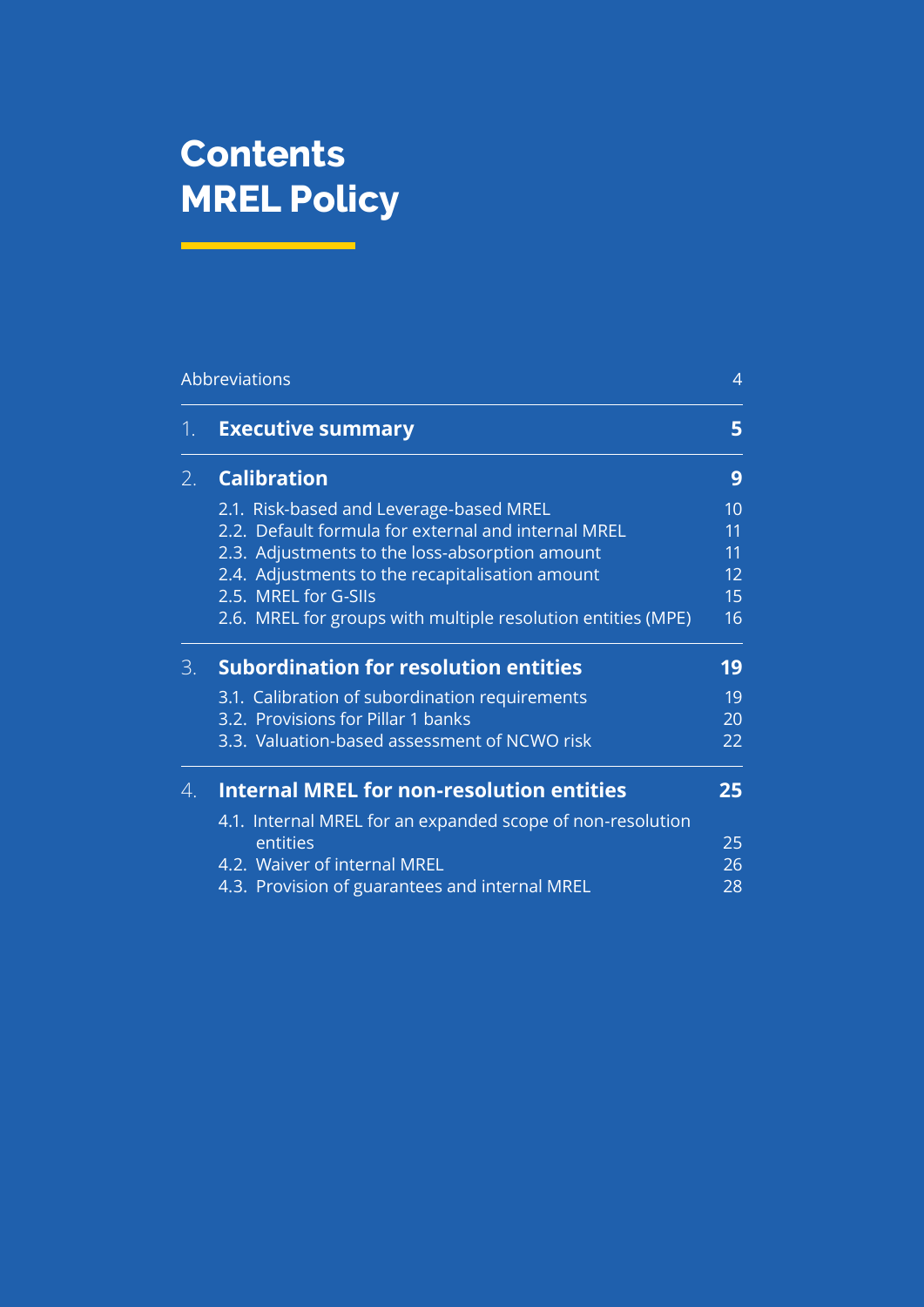## **Contents MREL Policy**

|    | <b>Abbreviations</b>                                         |    |
|----|--------------------------------------------------------------|----|
| 1. | <b>Executive summary</b>                                     | 5  |
| 2. | <b>Calibration</b>                                           | 9  |
|    | 2.1. Risk-based and Leverage-based MREL                      | 10 |
|    | 2.2. Default formula for external and internal MREL          | 11 |
|    | 2.3. Adjustments to the loss-absorption amount               | 11 |
|    | 2.4. Adjustments to the recapitalisation amount              | 12 |
|    | 2.5. MREL for G-SIIs                                         | 15 |
|    | 2.6. MREL for groups with multiple resolution entities (MPE) | 16 |
| 3. | <b>Subordination for resolution entities</b>                 | 19 |
|    | 3.1. Calibration of subordination requirements               | 19 |
|    | 3.2. Provisions for Pillar 1 banks                           | 20 |
|    | 3.3. Valuation-based assessment of NCWO risk                 | 22 |
| 4. | <b>Internal MREL for non-resolution entities</b>             | 25 |
|    | 4.1. Internal MREL for an expanded scope of non-resolution   |    |
|    | entities                                                     | 25 |
|    | 4.2. Waiver of internal MREL                                 | 26 |
|    | 4.3. Provision of guarantees and internal MREL               | 28 |
|    |                                                              |    |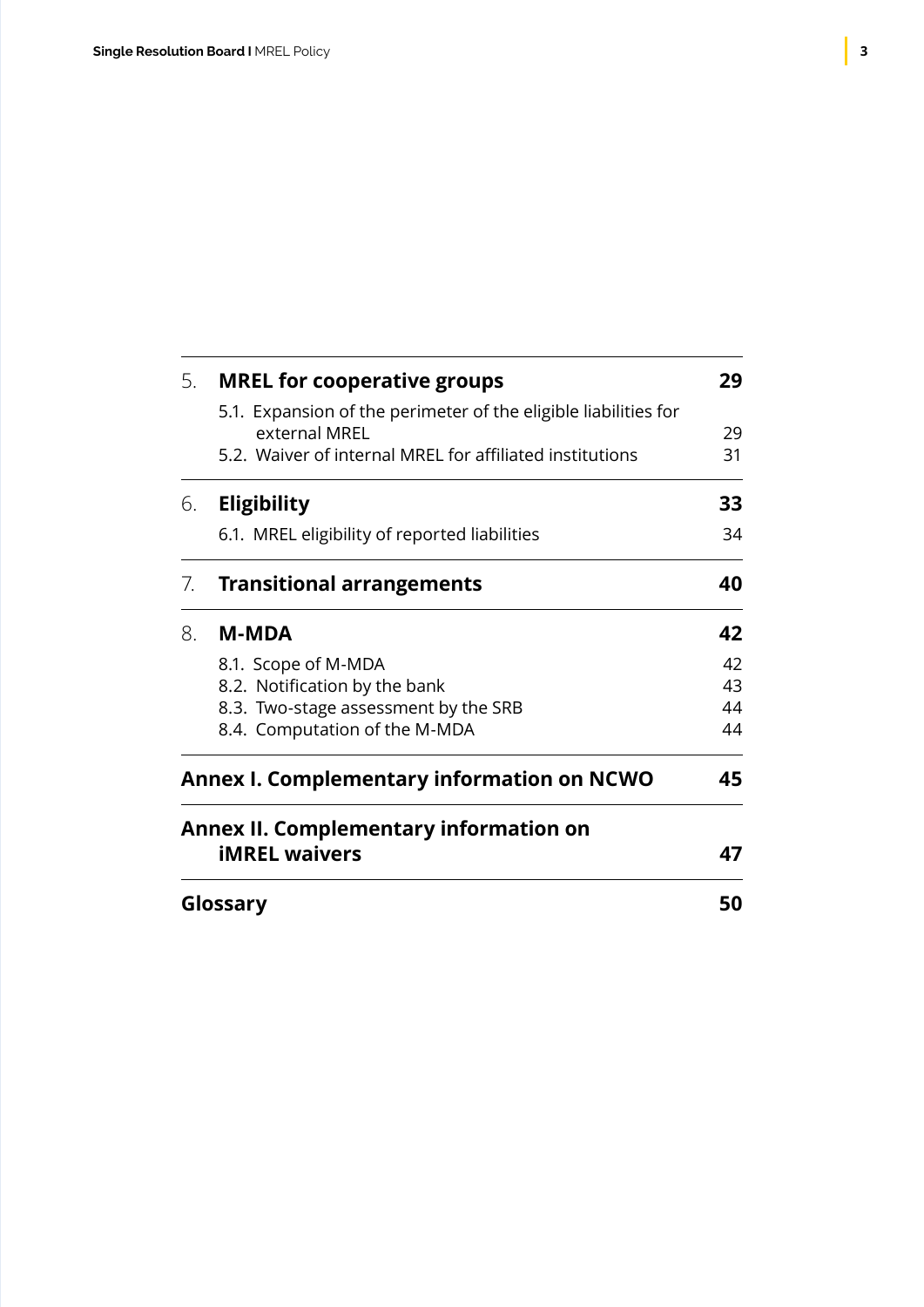| Glossary |                                                                                  | 50 |
|----------|----------------------------------------------------------------------------------|----|
|          | <b>Annex II. Complementary information on</b><br><b>iMREL waivers</b>            | 47 |
|          | <b>Annex I. Complementary information on NCWO</b>                                |    |
|          | 8.4. Computation of the M-MDA                                                    | 44 |
|          | 8.3. Two-stage assessment by the SRB                                             | 44 |
|          | 8.2. Notification by the bank                                                    | 43 |
|          | 8.1. Scope of M-MDA                                                              | 42 |
| 8.       | <b>M-MDA</b>                                                                     | 42 |
| 7.       | <b>Transitional arrangements</b>                                                 | 40 |
|          | 6.1. MREL eligibility of reported liabilities                                    | 34 |
| 6.       | <b>Eligibility</b>                                                               | 33 |
|          | 5.2. Waiver of internal MREL for affiliated institutions                         | 31 |
|          | 5.1. Expansion of the perimeter of the eligible liabilities for<br>external MREL | 29 |
| 5.       | <b>MREL for cooperative groups</b>                                               | 29 |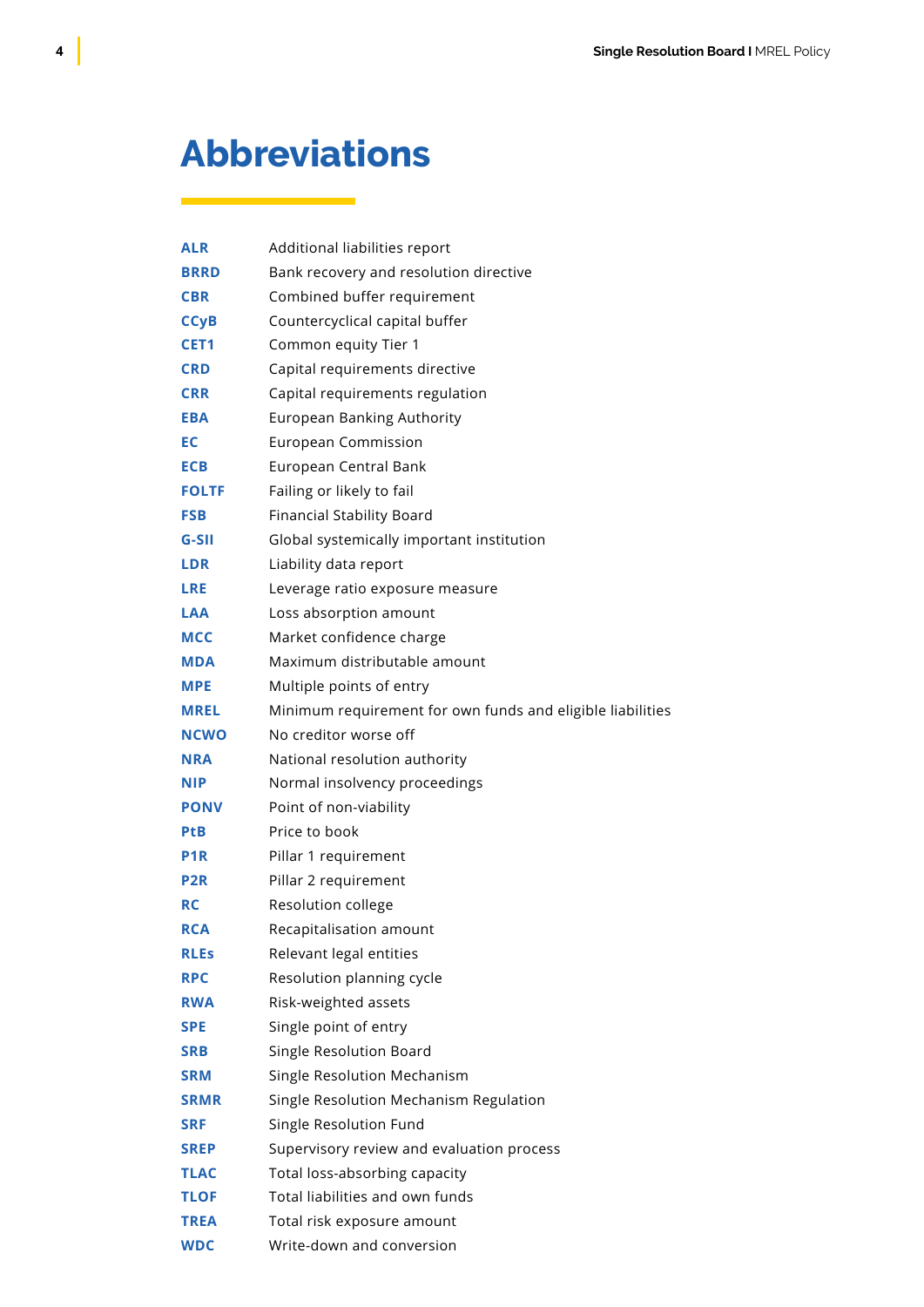### <span id="page-5-0"></span>**Abbreviations**

| <b>ALR</b>       | Additional liabilities report                              |
|------------------|------------------------------------------------------------|
| <b>BRRD</b>      | Bank recovery and resolution directive                     |
| <b>CBR</b>       | Combined buffer requirement                                |
| <b>CCyB</b>      | Countercyclical capital buffer                             |
| CET <sub>1</sub> | Common equity Tier 1                                       |
| <b>CRD</b>       | Capital requirements directive                             |
| <b>CRR</b>       | Capital requirements regulation                            |
| <b>EBA</b>       | <b>European Banking Authority</b>                          |
| EC               | <b>European Commission</b>                                 |
| <b>ECB</b>       | European Central Bank                                      |
| <b>FOLTF</b>     | Failing or likely to fail                                  |
| <b>FSB</b>       | <b>Financial Stability Board</b>                           |
| $G-SII$          | Global systemically important institution                  |
| <b>LDR</b>       | Liability data report                                      |
| <b>LRE</b>       | Leverage ratio exposure measure                            |
| <b>LAA</b>       | Loss absorption amount                                     |
| <b>MCC</b>       | Market confidence charge                                   |
| <b>MDA</b>       | Maximum distributable amount                               |
| <b>MPE</b>       | Multiple points of entry                                   |
| <b>MREL</b>      | Minimum requirement for own funds and eligible liabilities |
| <b>NCWO</b>      | No creditor worse off                                      |
| <b>NRA</b>       | National resolution authority                              |
| <b>NIP</b>       | Normal insolvency proceedings                              |
| <b>PONV</b>      | Point of non-viability                                     |
| <b>PtB</b>       | Price to book                                              |
| P <sub>1</sub> R | Pillar 1 requirement                                       |
| P <sub>2</sub> R | Pillar 2 requirement                                       |
| <b>RC</b>        | Resolution college                                         |
| <b>RCA</b>       | Recapitalisation amount                                    |
| <b>RLEs</b>      | Relevant legal entities                                    |
| <b>RPC</b>       | Resolution planning cycle                                  |
| <b>RWA</b>       | Risk-weighted assets                                       |
| <b>SPE</b>       | Single point of entry                                      |
| <b>SRB</b>       | Single Resolution Board                                    |
| <b>SRM</b>       | Single Resolution Mechanism                                |
| <b>SRMR</b>      | Single Resolution Mechanism Regulation                     |
| <b>SRF</b>       | Single Resolution Fund                                     |
| <b>SREP</b>      | Supervisory review and evaluation process                  |
| TLAC             | Total loss-absorbing capacity                              |
| <b>TLOF</b>      | Total liabilities and own funds                            |
| <b>TREA</b>      | Total risk exposure amount                                 |
| <b>WDC</b>       | Write-down and conversion                                  |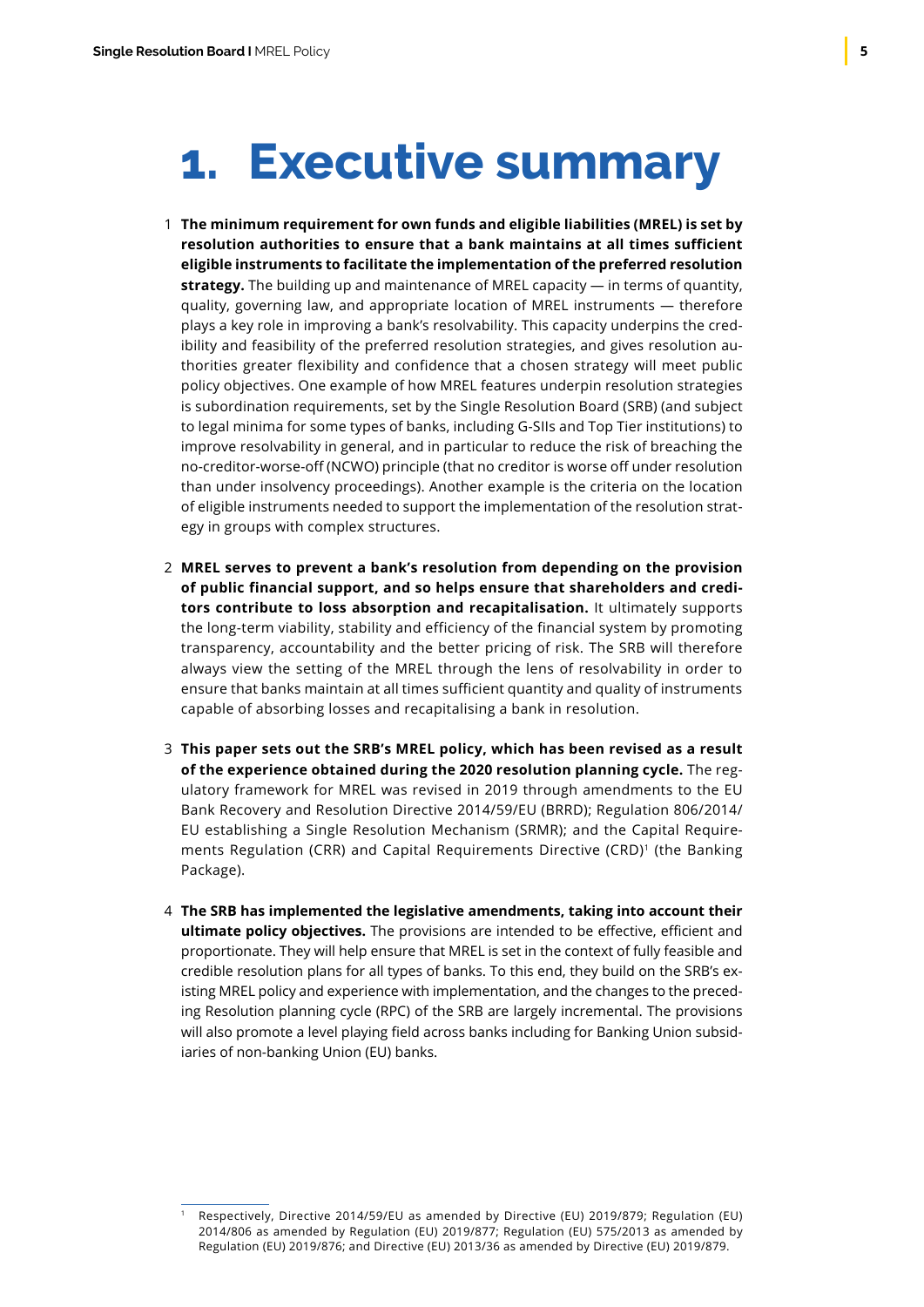## <span id="page-6-0"></span>**1. Executive summary**

- **The minimum requirement for own funds and eligible liabilities (MREL) is set by** 1 **resolution authorities to ensure that a bank maintains at all times sufficient eligible instruments to facilitate the implementation of the preferred resolution strategy.** The building up and maintenance of MREL capacity — in terms of quantity, quality, governing law, and appropriate location of MREL instruments — therefore plays a key role in improving a bank's resolvability. This capacity underpins the credibility and feasibility of the preferred resolution strategies, and gives resolution authorities greater flexibility and confidence that a chosen strategy will meet public policy objectives. One example of how MREL features underpin resolution strategies is subordination requirements, set by the Single Resolution Board (SRB) (and subject to legal minima for some types of banks, including G-SIIs and Top Tier institutions) to improve resolvability in general, and in particular to reduce the risk of breaching the no-creditor-worse-off (NCWO) principle (that no creditor is worse off under resolution than under insolvency proceedings). Another example is the criteria on the location of eligible instruments needed to support the implementation of the resolution strategy in groups with complex structures.
- **MREL serves to prevent a bank's resolution from depending on the provision**  2 **of public financial support, and so helps ensure that shareholders and creditors contribute to loss absorption and recapitalisation.** It ultimately supports the long-term viability, stability and efficiency of the financial system by promoting transparency, accountability and the better pricing of risk. The SRB will therefore always view the setting of the MREL through the lens of resolvability in order to ensure that banks maintain at all times sufficient quantity and quality of instruments capable of absorbing losses and recapitalising a bank in resolution.
- **This paper sets out the SRB's MREL policy, which has been revised as a result** 3 **of the experience obtained during the 2020 resolution planning cycle.** The regulatory framework for MREL was revised in 2019 through amendments to the EU Bank Recovery and Resolution Directive 2014/59/EU (BRRD); Regulation 806/2014/ EU establishing a Single Resolution Mechanism (SRMR); and the Capital Requirements Regulation (CRR) and Capital Requirements Directive (CRD)<sup>1</sup> (the Banking Package).
- **The SRB has implemented the legislative amendments, taking into account their**  4**ultimate policy objectives.** The provisions are intended to be effective, efficient and proportionate. They will help ensure that MREL is set in the context of fully feasible and credible resolution plans for all types of banks. To this end, they build on the SRB's existing MREL policy and experience with implementation, and the changes to the preceding Resolution planning cycle (RPC) of the SRB are largely incremental. The provisions will also promote a level playing field across banks including for Banking Union subsidiaries of non-banking Union (EU) banks.

<sup>1</sup> Respectively, Directive 2014/59/EU as amended by Directive (EU) 2019/879; Regulation (EU) 2014/806 as amended by Regulation (EU) 2019/877; Regulation (EU) 575/2013 as amended by Regulation (EU) 2019/876; and Directive (EU) 2013/36 as amended by Directive (EU) 2019/879.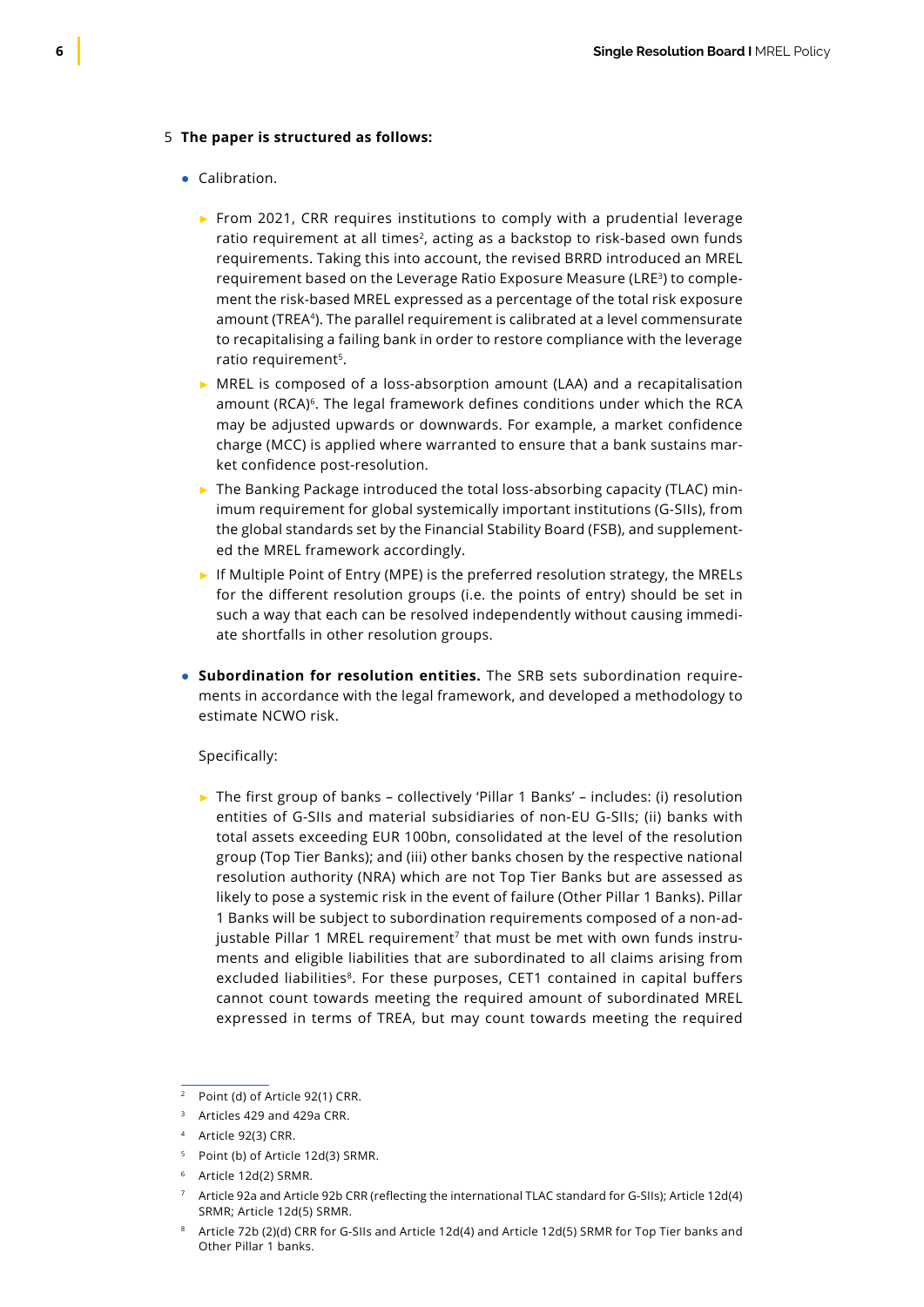#### **The paper is structured as follows:** 5

#### ● Calibration.

- ► From 2021, CRR requires institutions to comply with a prudential leverage ratio requirement at all times<sup>2</sup>, acting as a backstop to risk-based own funds requirements. Taking this into account, the revised BRRD introduced an MREL requirement based on the Leverage Ratio Exposure Measure (LRE<sup>3</sup>) to complement the risk-based MREL expressed as a percentage of the total risk exposure amount (TREA<sup>4</sup>). The parallel requirement is calibrated at a level commensurate to recapitalising a failing bank in order to restore compliance with the leverage ratio requirement<sup>5</sup>.
- ► MREL is composed of a loss-absorption amount (LAA) and a recapitalisation amount (RCA)<sup>6</sup>. The legal framework defines conditions under which the RCA may be adjusted upwards or downwards. For example, a market confidence charge (MCC) is applied where warranted to ensure that a bank sustains market confidence post-resolution.
- $\triangleright$  The Banking Package introduced the total loss-absorbing capacity (TLAC) minimum requirement for global systemically important institutions (G‑SIIs), from the global standards set by the Financial Stability Board (FSB), and supplemented the MREL framework accordingly.
- ► If Multiple Point of Entry (MPE) is the preferred resolution strategy, the MRELs for the different resolution groups (i.e. the points of entry) should be set in such a way that each can be resolved independently without causing immediate shortfalls in other resolution groups.
- **Subordination for resolution entities.** The SRB sets subordination requirements in accordance with the legal framework, and developed a methodology to estimate NCWO risk.

### Specifically:

► The first group of banks – collectively 'Pillar 1 Banks' – includes: (i) resolution entities of G-SIIs and material subsidiaries of non-EU G-SIIs; (ii) banks with total assets exceeding EUR 100bn, consolidated at the level of the resolution group (Top Tier Banks); and (iii) other banks chosen by the respective national resolution authority (NRA) which are not Top Tier Banks but are assessed as likely to pose a systemic risk in the event of failure (Other Pillar 1 Banks). Pillar 1 Banks will be subject to subordination requirements composed of a non-adjustable Pillar 1 MREL requirement<sup>7</sup> that must be met with own funds instruments and eligible liabilities that are subordinated to all claims arising from excluded liabilities<sup>8</sup>. For these purposes, CET1 contained in capital buffers cannot count towards meeting the required amount of subordinated MREL expressed in terms of TREA, but may count towards meeting the required

<sup>2</sup> Point (d) of Article 92(1) CRR.

 $3$  Articles 429 and 429a CRR.

<sup>4</sup> Article 92(3) CRR.

<sup>&</sup>lt;sup>5</sup> Point (b) of Article 12d(3) SRMR.

<sup>6</sup> Article 12d(2) SRMR.

<sup>7</sup> Article 92a and Article 92b CRR (reflecting the international TLAC standard for G-SIIs); Article 12d(4) SRMR; Article 12d(5) SRMR.

<sup>8</sup> Article 72b (2)(d) CRR for G-SIIs and Article 12d(4) and Article 12d(5) SRMR for Top Tier banks and Other Pillar 1 banks.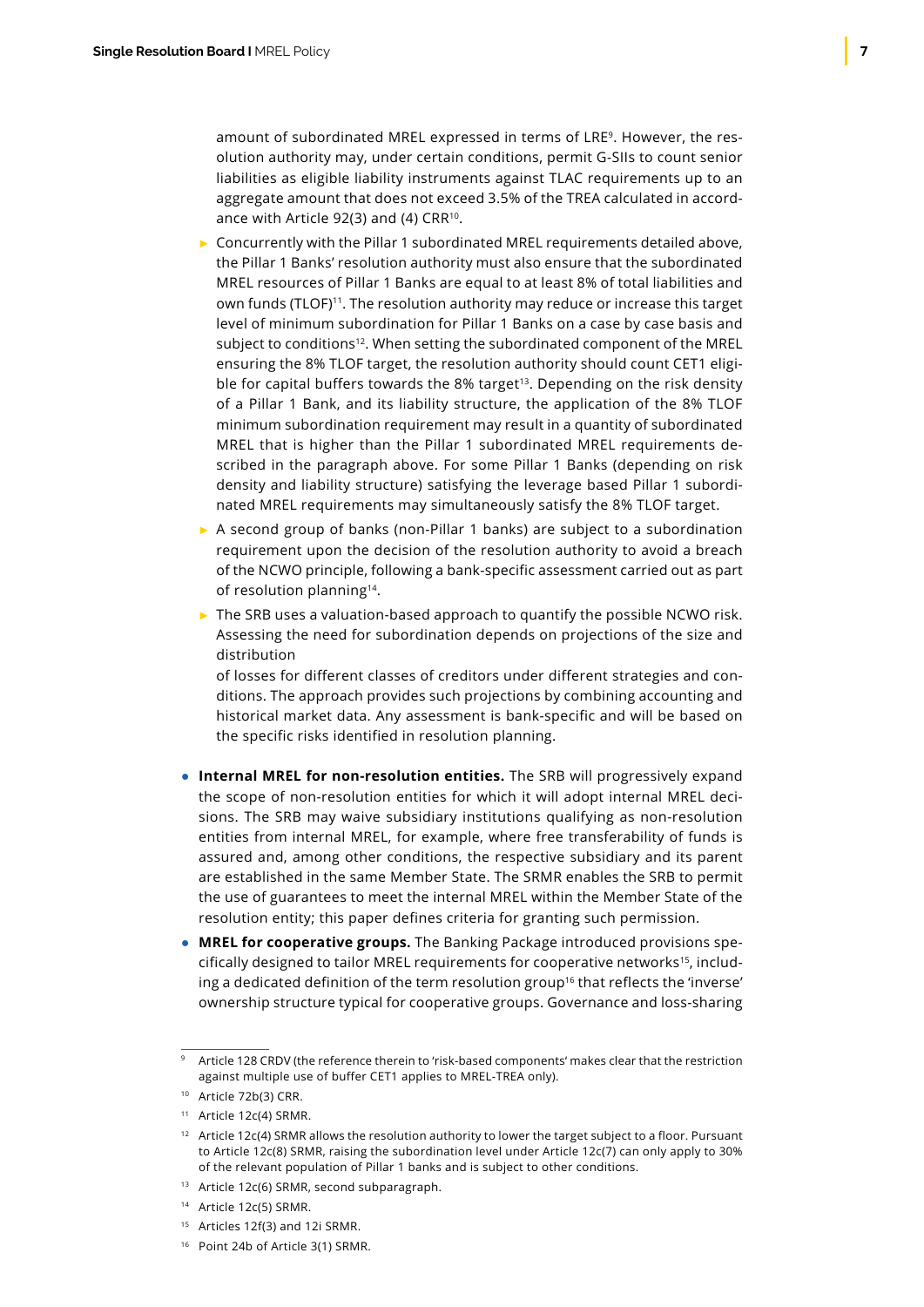amount of subordinated MREL expressed in terms of LRE9. However, the resolution authority may, under certain conditions, permit G-SIIs to count senior liabilities as eligible liability instruments against TLAC requirements up to an aggregate amount that does not exceed 3.5% of the TREA calculated in accordance with Article 92(3) and (4) CRR10.

- ► Concurrently with the Pillar 1 subordinated MREL requirements detailed above, the Pillar 1 Banks' resolution authority must also ensure that the subordinated MREL resources of Pillar 1 Banks are equal to at least 8% of total liabilities and own funds (TLOF)<sup>11</sup>. The resolution authority may reduce or increase this target level of minimum subordination for Pillar 1 Banks on a case by case basis and subject to conditions<sup>12</sup>. When setting the subordinated component of the MREL ensuring the 8% TLOF target, the resolution authority should count CET1 eligible for capital buffers towards the 8% target<sup>13</sup>. Depending on the risk density of a Pillar 1 Bank, and its liability structure, the application of the 8% TLOF minimum subordination requirement may result in a quantity of subordinated MREL that is higher than the Pillar 1 subordinated MREL requirements described in the paragraph above. For some Pillar 1 Banks (depending on risk density and liability structure) satisfying the leverage based Pillar 1 subordinated MREL requirements may simultaneously satisfy the 8% TLOF target.
- ► A second group of banks (non-Pillar 1 banks) are subject to a subordination requirement upon the decision of the resolution authority to avoid a breach of the NCWO principle, following a bank-specific assessment carried out as part of resolution planning<sup>14</sup>.
- ► The SRB uses a valuation-based approach to quantify the possible NCWO risk. Assessing the need for subordination depends on projections of the size and distribution

of losses for different classes of creditors under different strategies and conditions. The approach provides such projections by combining accounting and historical market data. Any assessment is bank-specific and will be based on the specific risks identified in resolution planning.

- **Internal MREL for non-resolution entities.** The SRB will progressively expand the scope of non-resolution entities for which it will adopt internal MREL decisions. The SRB may waive subsidiary institutions qualifying as non-resolution entities from internal MREL, for example, where free transferability of funds is assured and, among other conditions, the respective subsidiary and its parent are established in the same Member State. The SRMR enables the SRB to permit the use of guarantees to meet the internal MREL within the Member State of the resolution entity; this paper defines criteria for granting such permission.
- **MREL for cooperative groups.** The Banking Package introduced provisions spe $cifically described to tailor MREL requirements for cooperative networks<sup>15</sup>, including$ ing a dedicated definition of the term resolution group<sup>16</sup> that reflects the 'inverse' ownership structure typical for cooperative groups. Governance and loss-sharing

- <sup>15</sup> Articles 12f(3) and 12i SRMR.
- <sup>16</sup> Point 24b of Article 3(1) SRMR.

Article 128 CRDV (the reference therein to 'risk-based components' makes clear that the restriction against multiple use of buffer CET1 applies to MREL-TREA only).

<sup>10</sup> Article 72b(3) CRR.

<sup>11</sup> Article 12c(4) SRMR.

 $12$  Article 12c(4) SRMR allows the resolution authority to lower the target subject to a floor. Pursuant to Article 12c(8) SRMR, raising the subordination level under Article 12c(7) can only apply to 30% of the relevant population of Pillar 1 banks and is subject to other conditions.

<sup>13</sup> Article 12c(6) SRMR, second subparagraph.

<sup>14</sup> Article 12c(5) SRMR.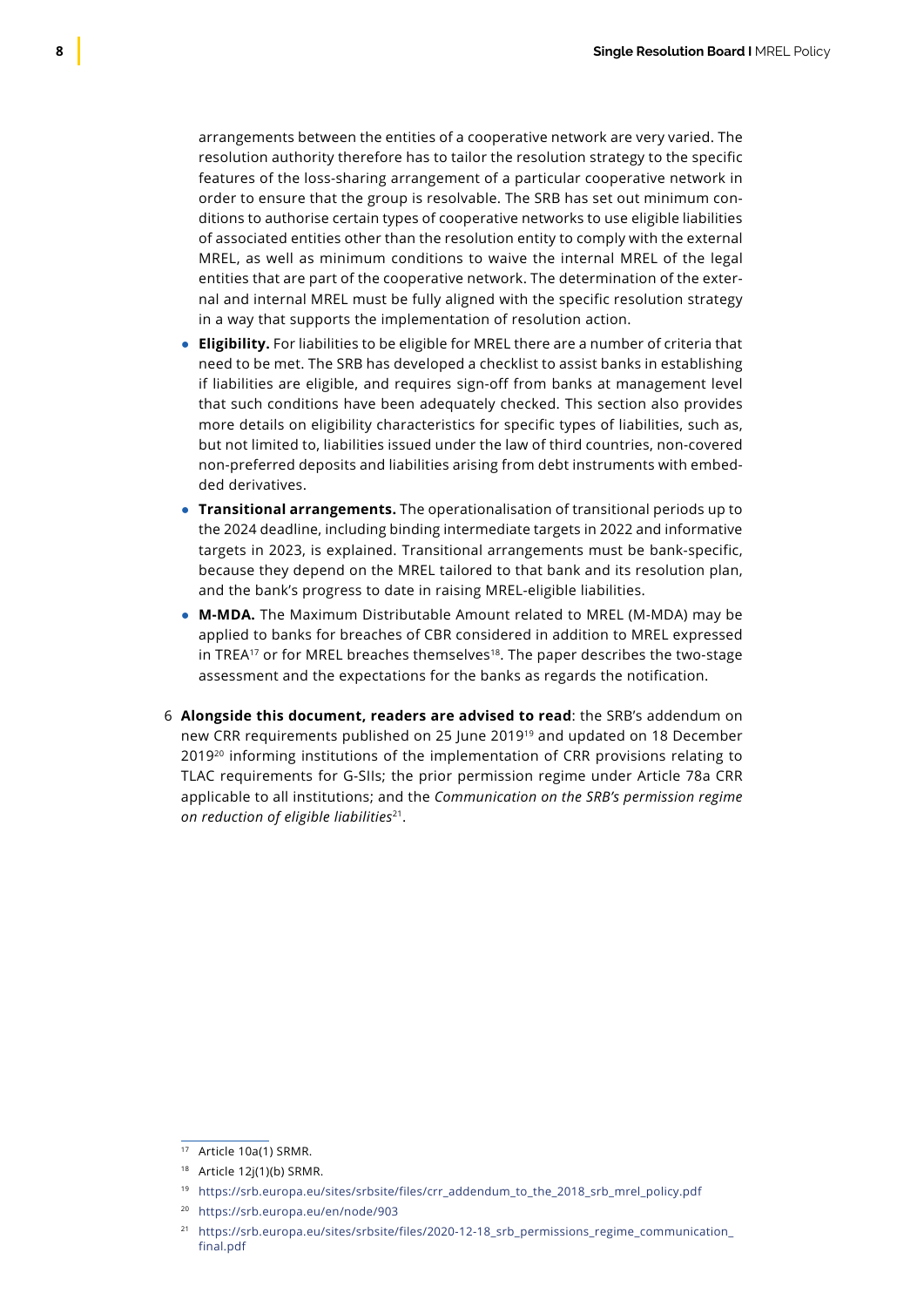arrangements between the entities of a cooperative network are very varied. The resolution authority therefore has to tailor the resolution strategy to the specific features of the loss-sharing arrangement of a particular cooperative network in order to ensure that the group is resolvable. The SRB has set out minimum conditions to authorise certain types of cooperative networks to use eligible liabilities of associated entities other than the resolution entity to comply with the external MREL, as well as minimum conditions to waive the internal MREL of the legal entities that are part of the cooperative network. The determination of the external and internal MREL must be fully aligned with the specific resolution strategy in a way that supports the implementation of resolution action.

- **Eligibility.** For liabilities to be eligible for MREL there are a number of criteria that need to be met. The SRB has developed a checklist to assist banks in establishing if liabilities are eligible, and requires sign-off from banks at management level that such conditions have been adequately checked. This section also provides more details on eligibility characteristics for specific types of liabilities, such as, but not limited to, liabilities issued under the law of third countries, non-covered non-preferred deposits and liabilities arising from debt instruments with embedded derivatives.
- **Transitional arrangements.** The operationalisation of transitional periods up to the 2024 deadline, including binding intermediate targets in 2022 and informative targets in 2023, is explained. Transitional arrangements must be bank-specific, because they depend on the MREL tailored to that bank and its resolution plan, and the bank's progress to date in raising MREL-eligible liabilities.
- **M-MDA.** The Maximum Distributable Amount related to MREL (M-MDA) may be applied to banks for breaches of CBR considered in addition to MREL expressed in TREA<sup>17</sup> or for MREL breaches themselves<sup>18</sup>. The paper describes the two-stage assessment and the expectations for the banks as regards the notification.
- **Alongside this document, readers are advised to read**: the SRB's addendum on 6new CRR requirements published on 25 June 201919 and updated on 18 December 2019<sup>20</sup> informing institutions of the implementation of CRR provisions relating to TLAC requirements for G-SIIs; the prior permission regime under Article 78a CRR applicable to all institutions; and the *Communication on the SRB's permission regime on reduction of eligible liabilities*21.

<sup>17</sup> Article 10a(1) SRMR.

<sup>18</sup> Article 12j(1)(b) SRMR.

<sup>19</sup> https://srb.europa.eu/sites/srbsite/files/crr\_addendum\_to\_the\_2018\_srb\_mrel\_policy.pdf

<sup>20</sup> <https://srb.europa.eu/en/node/903>

<sup>21</sup> [https://srb.europa.eu/sites/srbsite/files/2020-12-18\\_srb\\_permissions\\_regime\\_communication\\_](https://srb.europa.eu/sites/srbsite/files/2020-12-18_srb_permissions_regime_communication_final.pdf) [final.pdf](https://srb.europa.eu/sites/srbsite/files/2020-12-18_srb_permissions_regime_communication_final.pdf)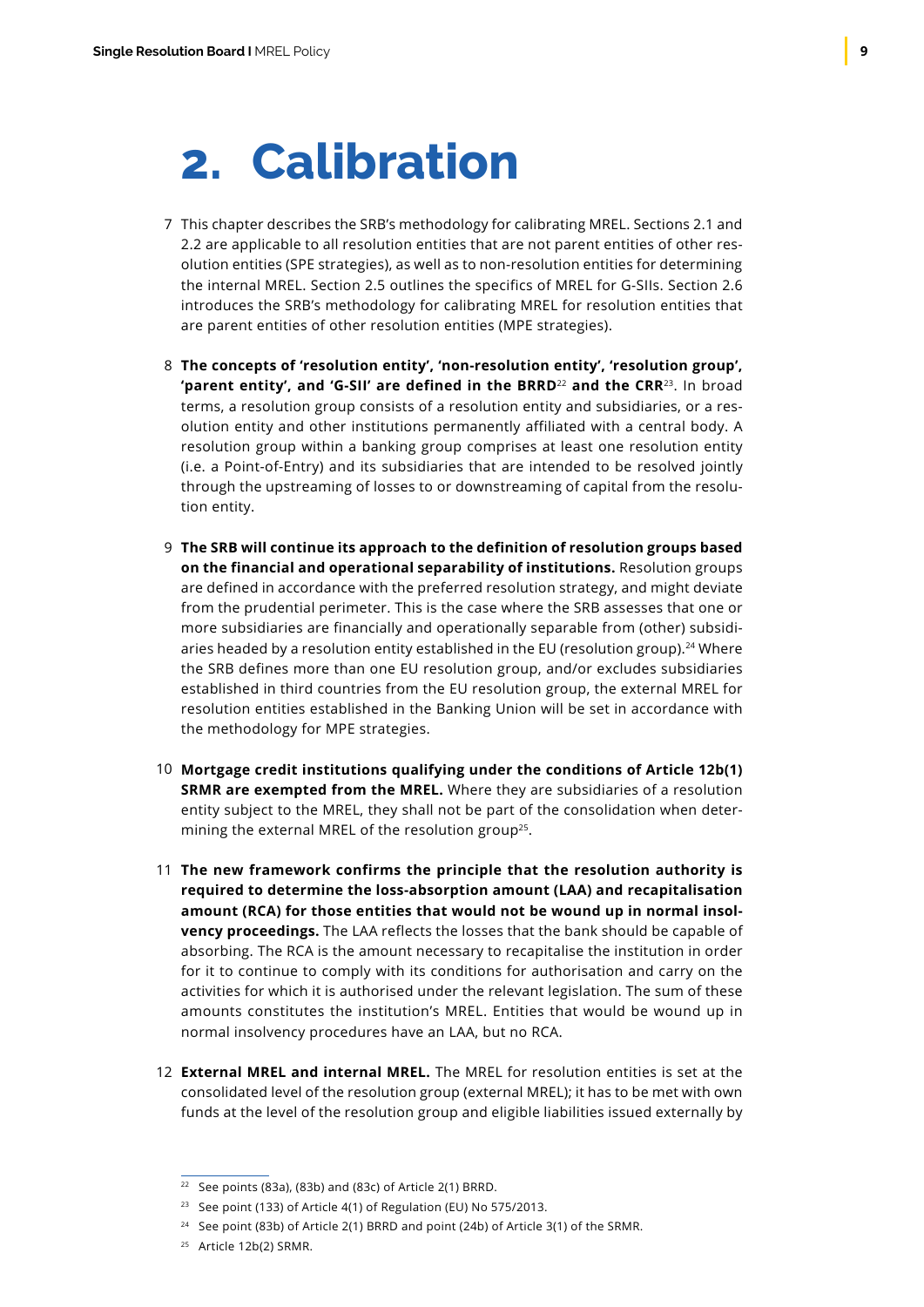## <span id="page-10-0"></span>**2. Calibration**

- 7 This chapter describes the SRB's methodology for calibrating MREL. Sections 2.1 and 2.2 are applicable to all resolution entities that are not parent entities of other resolution entities (SPE strategies), as well as to non-resolution entities for determining the internal MREL. Section 2.5 outlines the specifics of MREL for G-SIIs. Section 2.6 introduces the SRB's methodology for calibrating MREL for resolution entities that are parent entities of other resolution entities (MPE strategies).
- **The concepts of 'resolution entity', 'non-resolution entity', 'resolution group',**  8 **'parent entity', and 'G-SII' are defined in the BRRD**<sup>22</sup> **and the CRR**<sup>23</sup>. In broad terms, a resolution group consists of a resolution entity and subsidiaries, or a resolution entity and other institutions permanently affiliated with a central body. A resolution group within a banking group comprises at least one resolution entity (i.e. a Point-of-Entry) and its subsidiaries that are intended to be resolved jointly through the upstreaming of losses to or downstreaming of capital from the resolution entity.
- **The SRB will continue its approach to the definition of resolution groups based** 9 **on the financial and operational separability of institutions.** Resolution groups are defined in accordance with the preferred resolution strategy, and might deviate from the prudential perimeter. This is the case where the SRB assesses that one or more subsidiaries are financially and operationally separable from (other) subsidiaries headed by a resolution entity established in the EU (resolution group).<sup>24</sup> Where the SRB defines more than one EU resolution group, and/or excludes subsidiaries established in third countries from the EU resolution group, the external MREL for resolution entities established in the Banking Union will be set in accordance with the methodology for MPE strategies.
- **Mortgage credit institutions qualifying under the conditions of Article 12b(1)** 10 **SRMR are exempted from the MREL.** Where they are subsidiaries of a resolution entity subject to the MREL, they shall not be part of the consolidation when determining the external MREL of the resolution group<sup>25</sup>.
- **The new framework confirms the principle that the resolution authority is** 11 **required to determine the loss-absorption amount (LAA) and recapitalisation amount (RCA) for those entities that would not be wound up in normal insolvency proceedings.** The LAA reflects the losses that the bank should be capable of absorbing. The RCA is the amount necessary to recapitalise the institution in order for it to continue to comply with its conditions for authorisation and carry on the activities for which it is authorised under the relevant legislation. The sum of these amounts constitutes the institution's MREL. Entities that would be wound up in normal insolvency procedures have an LAA, but no RCA.
- **External MREL and internal MREL.** The MREL for resolution entities is set at the 12consolidated level of the resolution group (external MREL); it has to be met with own funds at the level of the resolution group and eligible liabilities issued externally by

 $22$  See points (83a), (83b) and (83c) of Article 2(1) BRRD.

<sup>&</sup>lt;sup>23</sup> See point (133) of Article  $4(1)$  of Regulation (EU) No 575/2013.

<sup>&</sup>lt;sup>24</sup> See point (83b) of Article 2(1) BRRD and point (24b) of Article 3(1) of the SRMR.

<sup>25</sup> Article 12b(2) SRMR.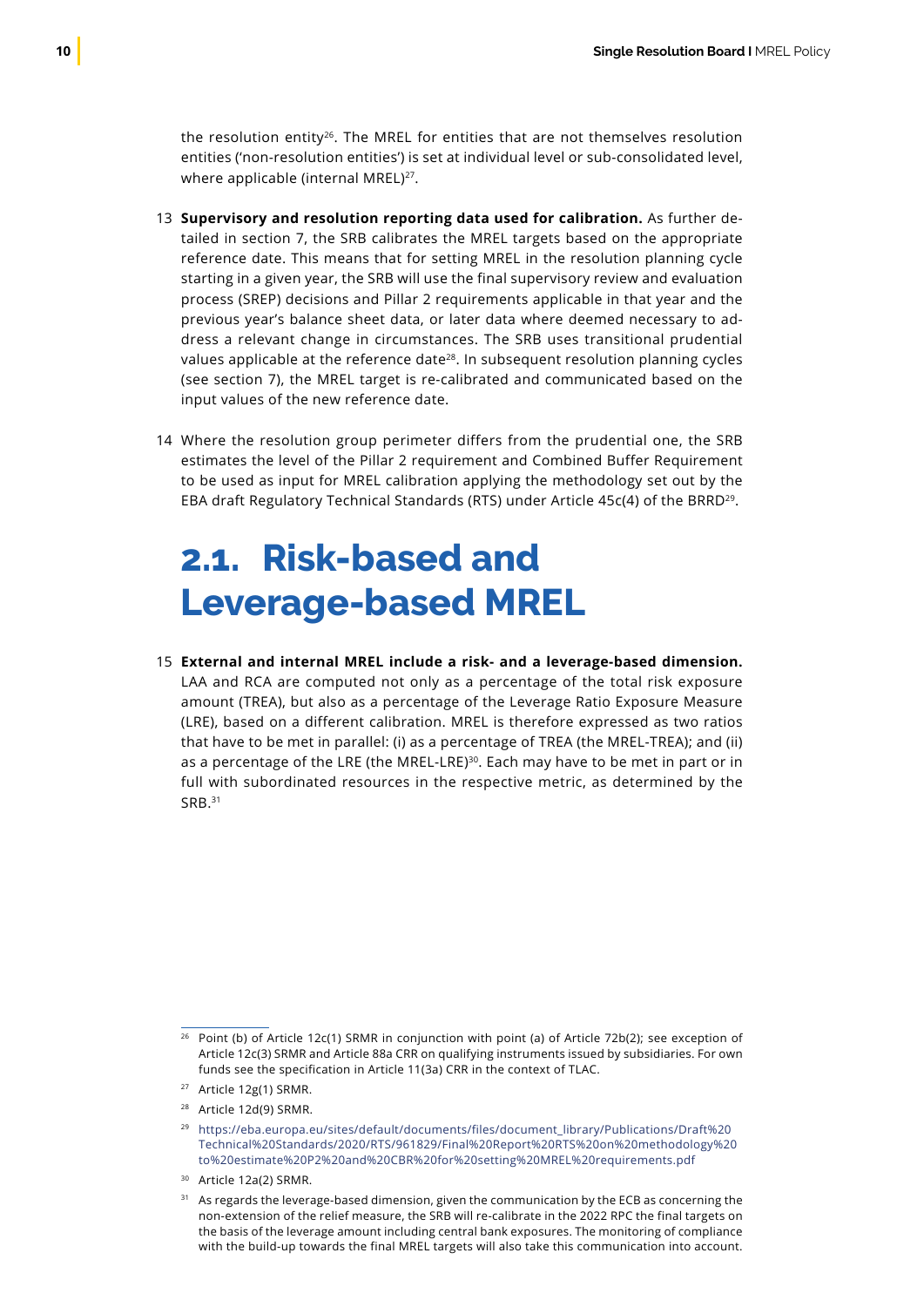<span id="page-11-0"></span>the resolution entity<sup>26</sup>. The MREL for entities that are not themselves resolution entities ('non-resolution entities') is set at individual level or sub-consolidated level, where applicable (internal MREL)<sup>27</sup>.

- 13 Supervisory and resolution reporting data used for calibration. As further detailed in section 7, the SRB calibrates the MREL targets based on the appropriate reference date. This means that for setting MREL in the resolution planning cycle starting in a given year, the SRB will use the final supervisory review and evaluation process (SREP) decisions and Pillar 2 requirements applicable in that year and the previous year's balance sheet data, or later data where deemed necessary to address a relevant change in circumstances. The SRB uses transitional prudential values applicable at the reference date $^{28}$ . In subsequent resolution planning cycles (see section 7), the MREL target is re-calibrated and communicated based on the input values of the new reference date.
- Where the resolution group perimeter differs from the prudential one, the SRB 14 estimates the level of the Pillar 2 requirement and Combined Buffer Requirement to be used as input for MREL calibration applying the methodology set out by the EBA draft Regulatory Technical Standards (RTS) under Article 45c(4) of the BRRD29.

### **2.1. Risk-based and Leverage-based MREL**

**External and internal MREL include a risk- and a leverage-based dimension.** 15LAA and RCA are computed not only as a percentage of the total risk exposure amount (TREA), but also as a percentage of the Leverage Ratio Exposure Measure (LRE), based on a different calibration. MREL is therefore expressed as two ratios that have to be met in parallel: (i) as a percentage of TREA (the MREL-TREA); and (ii) as a percentage of the LRE (the MREL-LRE)<sup>30</sup>. Each may have to be met in part or in full with subordinated resources in the respective metric, as determined by the SRB.<sup>31</sup>

<sup>&</sup>lt;sup>26</sup> Point (b) of Article 12c(1) SRMR in conjunction with point (a) of Article 72b(2); see exception of Article 12c(3) SRMR and Article 88a CRR on qualifying instruments issued by subsidiaries. For own funds see the specification in Article 11(3a) CRR in the context of TLAC.

<sup>27</sup> Article 12g(1) SRMR.

<sup>28</sup> Article 12d(9) SRMR.

<sup>&</sup>lt;sup>29</sup> https://eba.europa.eu/sites/default/documents/files/document\_library/Publications/Draft%20 Technical%20Standards/2020/RTS/961829/Final%20Report%20RTS%20on%20methodology%20 to%20estimate%20P2%20and%20CBR%20for%20setting%20MREL%20requirements.pdf

<sup>30</sup> Article 12a(2) SRMR.

<sup>&</sup>lt;sup>31</sup> As regards the leverage-based dimension, given the communication by the ECB as concerning the non-extension of the relief measure, the SRB will re-calibrate in the 2022 RPC the final targets on the basis of the leverage amount including central bank exposures. The monitoring of compliance with the build-up towards the final MREL targets will also take this communication into account.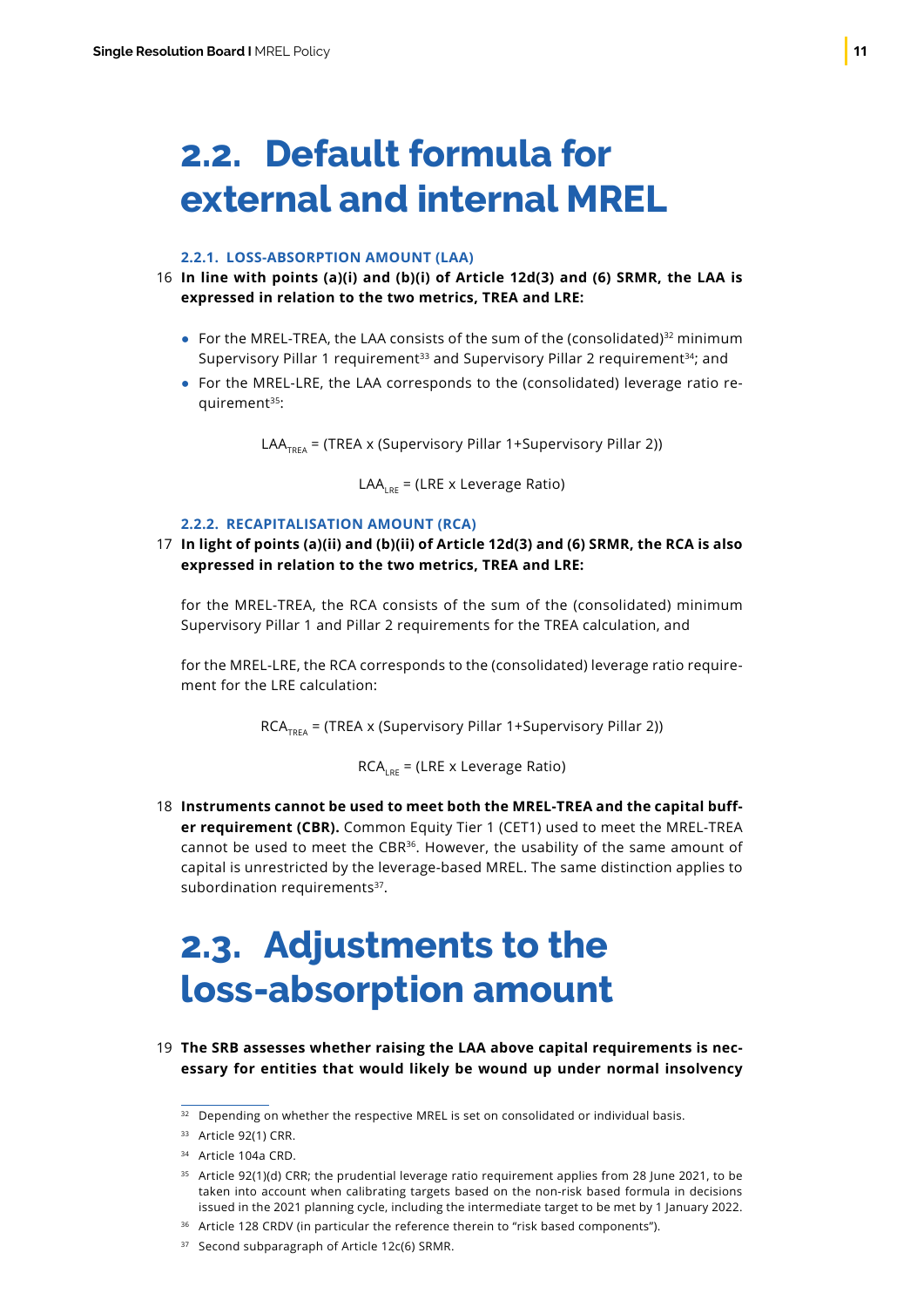### <span id="page-12-0"></span>**2.2. Default formula for external and internal MREL**

#### **2.2.1. LOSS-ABSORPTION AMOUNT (LAA)**

- **In line with points (a)(i) and (b)(i) of Article 12d(3) and (6) SRMR, the LAA is** 16 **expressed in relation to the two metrics, TREA and LRE:**
	- For the MREL-TREA, the LAA consists of the sum of the (consolidated)<sup>32</sup> minimum Supervisory Pillar 1 requirement<sup>33</sup> and Supervisory Pillar 2 requirement<sup>34</sup>; and
	- For the MREL-LRE, the LAA corresponds to the (consolidated) leverage ratio requirement<sup>35</sup>:

LAA<sub>TREA</sub> = (TREA x (Supervisory Pillar 1+Supervisory Pillar 2))

 $LAA_{\text{cav}} = (LRE \times Leverage Ratio)$ 

### **2.2.2. RECAPITALISATION AMOUNT (RCA)**

**In light of points (a)(ii) and (b)(ii) of Article 12d(3) and (6) SRMR, the RCA is also** 17 **expressed in relation to the two metrics, TREA and LRE:**

for the MREL-TREA, the RCA consists of the sum of the (consolidated) minimum Supervisory Pillar 1 and Pillar 2 requirements for the TREA calculation, and

for the MREL-LRE, the RCA corresponds to the (consolidated) leverage ratio requirement for the LRE calculation:

 $RCA_{TPEA}$  = (TREA x (Supervisory Pillar 1+Supervisory Pillar 2))

 $RCA<sub>net</sub> = (LRE × Leverage Ratio)$ 

**Instruments cannot be used to meet both the MREL-TREA and the capital buff-**18 **er requirement (CBR).** Common Equity Tier 1 (CET1) used to meet the MREL-TREA cannot be used to meet the CBR<sup>36</sup>. However, the usability of the same amount of capital is unrestricted by the leverage-based MREL. The same distinction applies to subordination requirements<sup>37</sup>.

### **2.3. Adjustments to the loss-absorption amount**

**The SRB assesses whether raising the LAA above capital requirements is nec-**19**essary for entities that would likely be wound up under normal insolvency**

- $35$  Article 92(1)(d) CRR; the prudential leverage ratio requirement applies from 28 June 2021, to be taken into account when calibrating targets based on the non-risk based formula in decisions issued in the 2021 planning cycle, including the intermediate target to be met by 1 January 2022.
- <sup>36</sup> Article 128 CRDV (in particular the reference therein to "risk based components").

<sup>&</sup>lt;sup>32</sup> Depending on whether the respective MREL is set on consolidated or individual basis.

<sup>&</sup>lt;sup>33</sup> Article 92(1) CRR.

<sup>&</sup>lt;sup>34</sup> Article 104a CRD.

<sup>&</sup>lt;sup>37</sup> Second subparagraph of Article 12c(6) SRMR.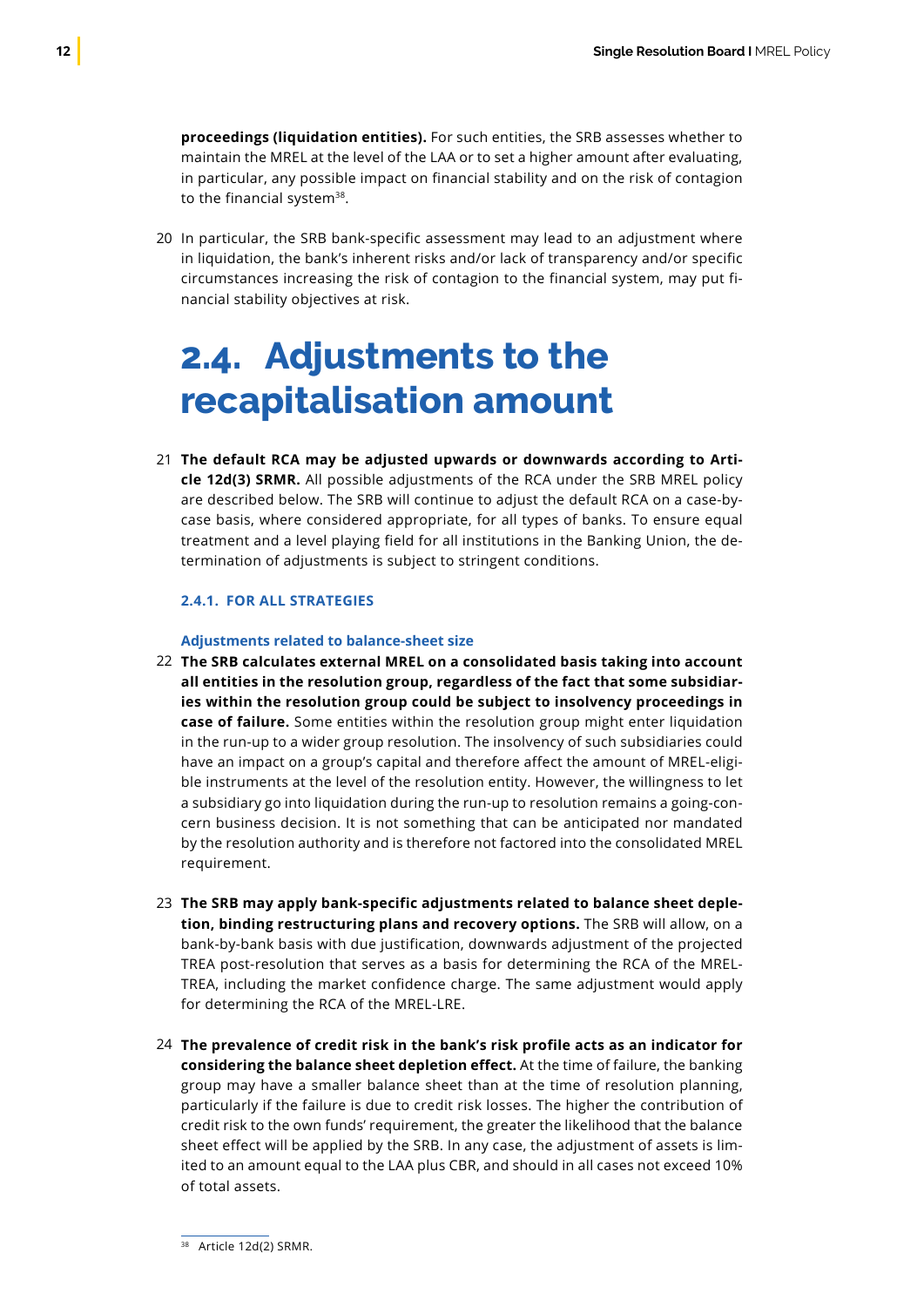<span id="page-13-0"></span>**proceedings (liquidation entities).** For such entities, the SRB assesses whether to maintain the MREL at the level of the LAA or to set a higher amount after evaluating, in particular, any possible impact on financial stability and on the risk of contagion to the financial system<sup>38</sup>.

20 In particular, the SRB bank-specific assessment may lead to an adjustment where in liquidation, the bank's inherent risks and/or lack of transparency and/or specific circumstances increasing the risk of contagion to the financial system, may put financial stability objectives at risk.

### **2.4. Adjustments to the recapitalisation amount**

**The default RCA may be adjusted upwards or downwards according to Arti-**21 **cle 12d(3) SRMR.** All possible adjustments of the RCA under the SRB MREL policy are described below. The SRB will continue to adjust the default RCA on a case-bycase basis, where considered appropriate, for all types of banks. To ensure equal treatment and a level playing field for all institutions in the Banking Union, the determination of adjustments is subject to stringent conditions.

### **2.4.1. FOR ALL STRATEGIES**

#### **Adjustments related to balance-sheet size**

- **The SRB calculates external MREL on a consolidated basis taking into account**  22 **all entities in the resolution group, regardless of the fact that some subsidiaries within the resolution group could be subject to insolvency proceedings in case of failure.** Some entities within the resolution group might enter liquidation in the run-up to a wider group resolution. The insolvency of such subsidiaries could have an impact on a group's capital and therefore affect the amount of MREL-eligible instruments at the level of the resolution entity. However, the willingness to let a subsidiary go into liquidation during the run-up to resolution remains a going-concern business decision. It is not something that can be anticipated nor mandated by the resolution authority and is therefore not factored into the consolidated MREL requirement.
- **The SRB may apply bank-specific adjustments related to balance sheet deple-**23 **tion, binding restructuring plans and recovery options.** The SRB will allow, on a bank-by-bank basis with due justification, downwards adjustment of the projected TREA post-resolution that serves as a basis for determining the RCA of the MREL-TREA, including the market confidence charge. The same adjustment would apply for determining the RCA of the MREL-LRE.
- **The prevalence of credit risk in the bank's risk profile acts as an indicator for**  24**considering the balance sheet depletion effect.** At the time of failure, the banking group may have a smaller balance sheet than at the time of resolution planning, particularly if the failure is due to credit risk losses. The higher the contribution of credit risk to the own funds' requirement, the greater the likelihood that the balance sheet effect will be applied by the SRB. In any case, the adjustment of assets is limited to an amount equal to the LAA plus CBR, and should in all cases not exceed 10% of total assets.

<sup>38</sup> Article 12d(2) SRMR.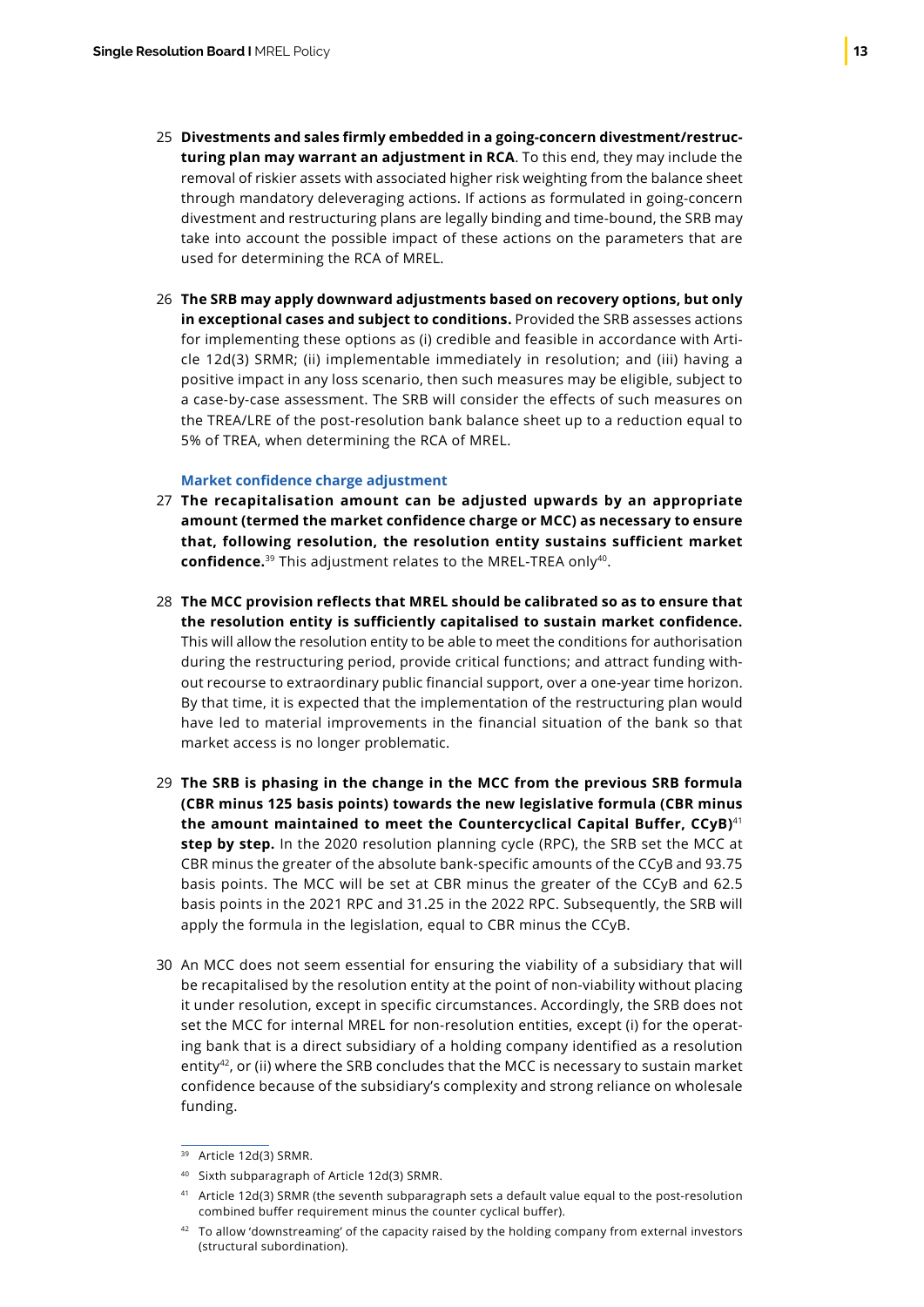- **Divestments and sales firmly embedded in a going-concern divestment/restruc-**25 **turing plan may warrant an adjustment in RCA**. To this end, they may include the removal of riskier assets with associated higher risk weighting from the balance sheet through mandatory deleveraging actions. If actions as formulated in going-concern divestment and restructuring plans are legally binding and time-bound, the SRB may take into account the possible impact of these actions on the parameters that are used for determining the RCA of MREL.
- **The SRB may apply downward adjustments based on recovery options, but only** 26 **in exceptional cases and subject to conditions.** Provided the SRB assesses actions for implementing these options as (i) credible and feasible in accordance with Article 12d(3) SRMR; (ii) implementable immediately in resolution; and (iii) having a positive impact in any loss scenario, then such measures may be eligible, subject to a case-by-case assessment. The SRB will consider the effects of such measures on the TREA/LRE of the post-resolution bank balance sheet up to a reduction equal to 5% of TREA, when determining the RCA of MREL.

#### **Market confidence charge adjustment**

- **The recapitalisation amount can be adjusted upwards by an appropriate** 27 **amount (termed the market confidence charge or MCC) as necessary to ensure that, following resolution, the resolution entity sustains sufficient market confidence.**39 This adjustment relates to the MREL-TREA only40.
- **The MCC provision reflects that MREL should be calibrated so as to ensure that**  28 **the resolution entity is sufficiently capitalised to sustain market confidence.** This will allow the resolution entity to be able to meet the conditions for authorisation during the restructuring period, provide critical functions; and attract funding without recourse to extraordinary public financial support, over a one-year time horizon. By that time, it is expected that the implementation of the restructuring plan would have led to material improvements in the financial situation of the bank so that market access is no longer problematic.
- **The SRB is phasing in the change in the MCC from the previous SRB formula**  29 **(CBR minus 125 basis points) towards the new legislative formula (CBR minus the amount maintained to meet the Countercyclical Capital Buffer, CCyB)**<sup>41</sup> **step by step.** In the 2020 resolution planning cycle (RPC), the SRB set the MCC at CBR minus the greater of the absolute bank-specific amounts of the CCyB and 93.75 basis points. The MCC will be set at CBR minus the greater of the CCyB and 62.5 basis points in the 2021 RPC and 31.25 in the 2022 RPC. Subsequently, the SRB will apply the formula in the legislation, equal to CBR minus the CCyB.
- 30 An MCC does not seem essential for ensuring the viability of a subsidiary that will be recapitalised by the resolution entity at the point of non-viability without placing it under resolution, except in specific circumstances. Accordingly, the SRB does not set the MCC for internal MREL for non-resolution entities, except (i) for the operating bank that is a direct subsidiary of a holding company identified as a resolution entity<sup>42</sup>, or (ii) where the SRB concludes that the MCC is necessary to sustain market confidence because of the subsidiary's complexity and strong reliance on wholesale funding.

<sup>39</sup> Article 12d(3) SRMR.

<sup>40</sup> Sixth subparagraph of Article 12d(3) SRMR.

<sup>41</sup> Article 12d(3) SRMR (the seventh subparagraph sets a default value equal to the post-resolution combined buffer requirement minus the counter cyclical buffer).

<sup>42</sup> To allow 'downstreaming' of the capacity raised by the holding company from external investors (structural subordination).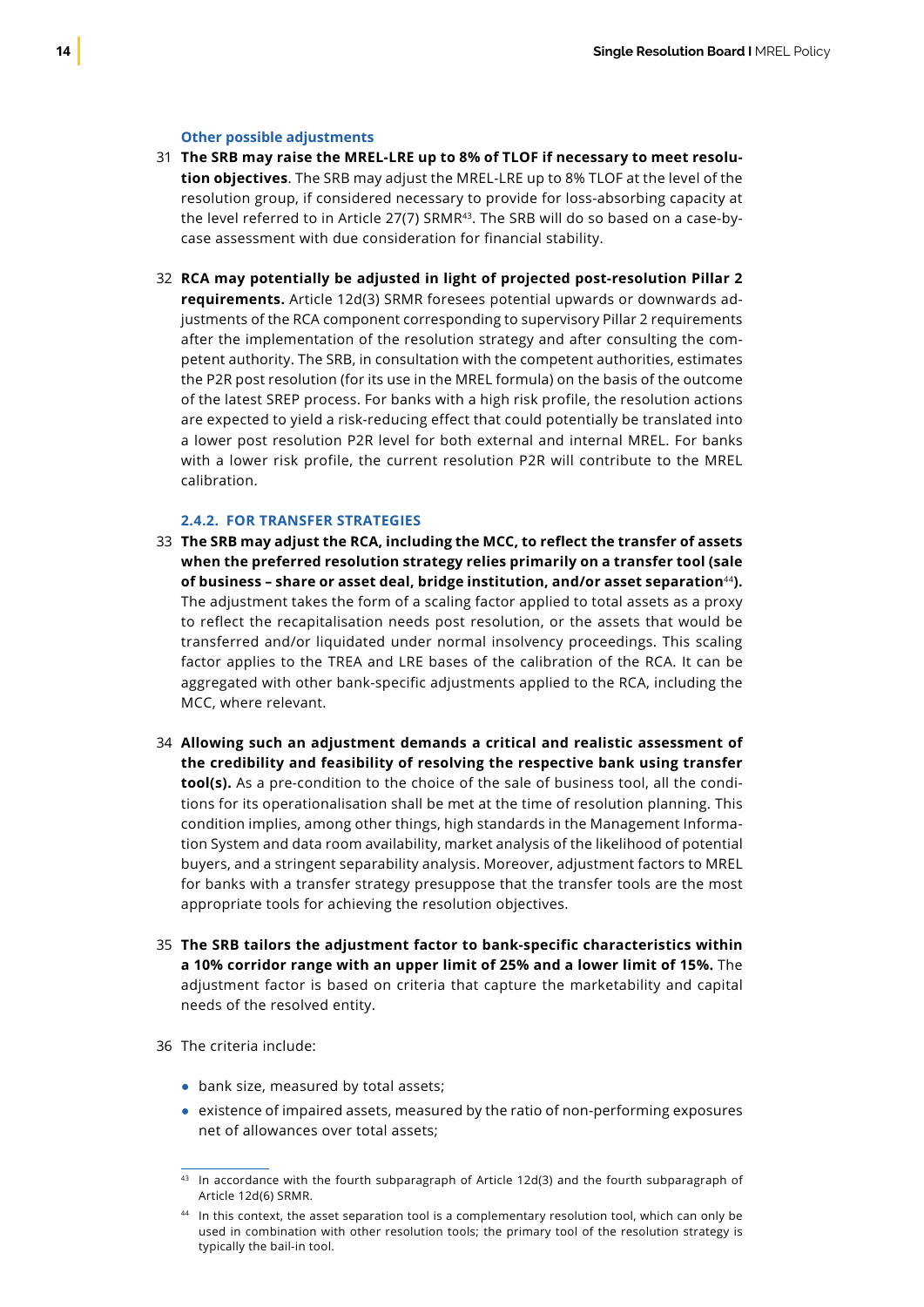#### **Other possible adjustments**

- **The SRB may raise the MREL-LRE up to 8% of TLOF if necessary to meet resolu-**31 **tion objectives**. The SRB may adjust the MREL-LRE up to 8% TLOF at the level of the resolution group, if considered necessary to provide for loss-absorbing capacity at the level referred to in Article 27(7) SRMR<sup>43</sup>. The SRB will do so based on a case-bycase assessment with due consideration for financial stability.
- **RCA may potentially be adjusted in light of projected post-resolution Pillar 2**  32 **requirements.** Article 12d(3) SRMR foresees potential upwards or downwards adjustments of the RCA component corresponding to supervisory Pillar 2 requirements after the implementation of the resolution strategy and after consulting the competent authority. The SRB, in consultation with the competent authorities, estimates the P2R post resolution (for its use in the MREL formula) on the basis of the outcome of the latest SREP process. For banks with a high risk profile, the resolution actions are expected to yield a risk-reducing effect that could potentially be translated into a lower post resolution P2R level for both external and internal MREL. For banks with a lower risk profile, the current resolution P2R will contribute to the MREL calibration.

#### **2.4.2. FOR TRANSFER STRATEGIES**

- **The SRB may adjust the RCA, including the MCC, to reflect the transfer of assets**  33 **when the preferred resolution strategy relies primarily on a transfer tool (sale of business – share or asset deal, bridge institution, and/or asset separation**<sup>44</sup>**).** The adjustment takes the form of a scaling factor applied to total assets as a proxy to reflect the recapitalisation needs post resolution, or the assets that would be transferred and/or liquidated under normal insolvency proceedings. This scaling factor applies to the TREA and LRE bases of the calibration of the RCA. It can be aggregated with other bank-specific adjustments applied to the RCA, including the MCC, where relevant.
- **Allowing such an adjustment demands a critical and realistic assessment of** 34 **the credibility and feasibility of resolving the respective bank using transfer tool(s).** As a pre-condition to the choice of the sale of business tool, all the conditions for its operationalisation shall be met at the time of resolution planning. This condition implies, among other things, high standards in the Management Information System and data room availability, market analysis of the likelihood of potential buyers, and a stringent separability analysis. Moreover, adjustment factors to MREL for banks with a transfer strategy presuppose that the transfer tools are the most appropriate tools for achieving the resolution objectives.
- **The SRB tailors the adjustment factor to bank-specific characteristics within** 35 **a 10% corridor range with an upper limit of 25% and a lower limit of 15%.** The adjustment factor is based on criteria that capture the marketability and capital needs of the resolved entity.
- 36 The criteria include:
	- bank size, measured by total assets;
	- existence of impaired assets, measured by the ratio of non-performing exposures net of allowances over total assets;

 $43$  In accordance with the fourth subparagraph of Article 12d(3) and the fourth subparagraph of Article 12d(6) SRMR.

<sup>44</sup> In this context, the asset separation tool is a complementary resolution tool, which can only be used in combination with other resolution tools; the primary tool of the resolution strategy is typically the bail-in tool.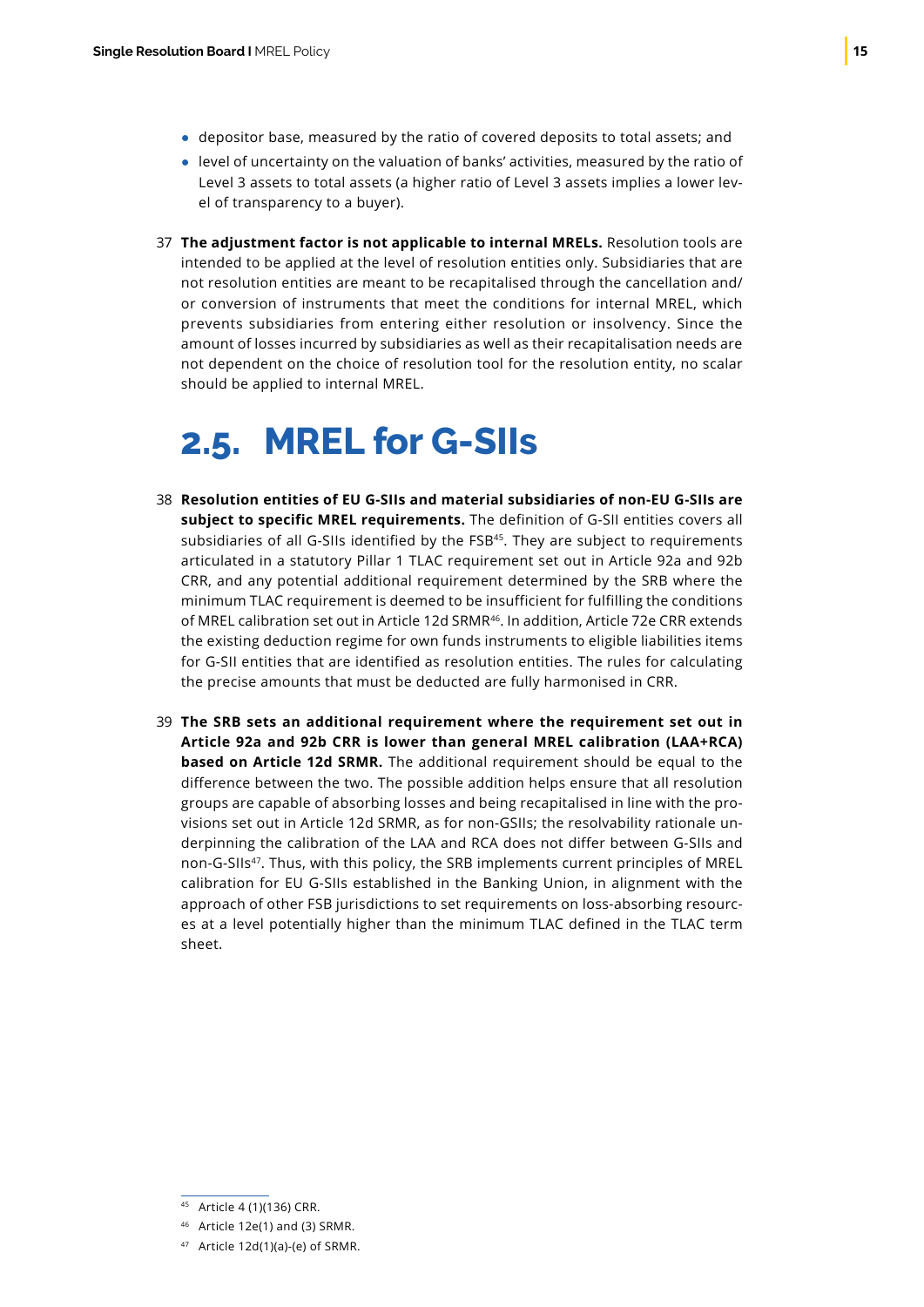- <span id="page-16-0"></span>● depositor base, measured by the ratio of covered deposits to total assets; and
- level of uncertainty on the valuation of banks' activities, measured by the ratio of Level 3 assets to total assets (a higher ratio of Level 3 assets implies a lower level of transparency to a buyer).
- **The adjustment factor is not applicable to internal MRELs.** Resolution tools are 37 intended to be applied at the level of resolution entities only. Subsidiaries that are not resolution entities are meant to be recapitalised through the cancellation and/ or conversion of instruments that meet the conditions for internal MREL, which prevents subsidiaries from entering either resolution or insolvency. Since the amount of losses incurred by subsidiaries as well as their recapitalisation needs are not dependent on the choice of resolution tool for the resolution entity, no scalar should be applied to internal MREL.

### **2.5. MREL for G-SIIs**

- **Resolution entities of EU G-SIIs and material subsidiaries of non-EU G-SIIs are** 38 **subject to specific MREL requirements.** The definition of G-SII entities covers all subsidiaries of all G-SIIs identified by the FSB<sup>45</sup>. They are subject to requirements articulated in a statutory Pillar 1 TLAC requirement set out in Article 92a and 92b CRR, and any potential additional requirement determined by the SRB where the minimum TLAC requirement is deemed to be insufficient for fulfilling the conditions of MREL calibration set out in Article 12d SRMR<sup>46</sup>. In addition, Article 72e CRR extends the existing deduction regime for own funds instruments to eligible liabilities items for G-SII entities that are identified as resolution entities. The rules for calculating the precise amounts that must be deducted are fully harmonised in CRR.
- **The SRB sets an additional requirement where the requirement set out in** 39**Article 92a and 92b CRR is lower than general MREL calibration (LAA+RCA) based on Article 12d SRMR.** The additional requirement should be equal to the difference between the two. The possible addition helps ensure that all resolution groups are capable of absorbing losses and being recapitalised in line with the provisions set out in Article 12d SRMR, as for non-GSIIs; the resolvability rationale underpinning the calibration of the LAA and RCA does not differ between G-SIIs and non-G-SIIs47. Thus, with this policy, the SRB implements current principles of MREL calibration for EU G-SIIs established in the Banking Union, in alignment with the approach of other FSB jurisdictions to set requirements on loss-absorbing resources at a level potentially higher than the minimum TLAC defined in the TLAC term sheet.

<sup>45</sup> Article 4 (1)(136) CRR.

<sup>46</sup> Article 12e(1) and (3) SRMR.

 $47$  Article 12d(1)(a)-(e) of SRMR.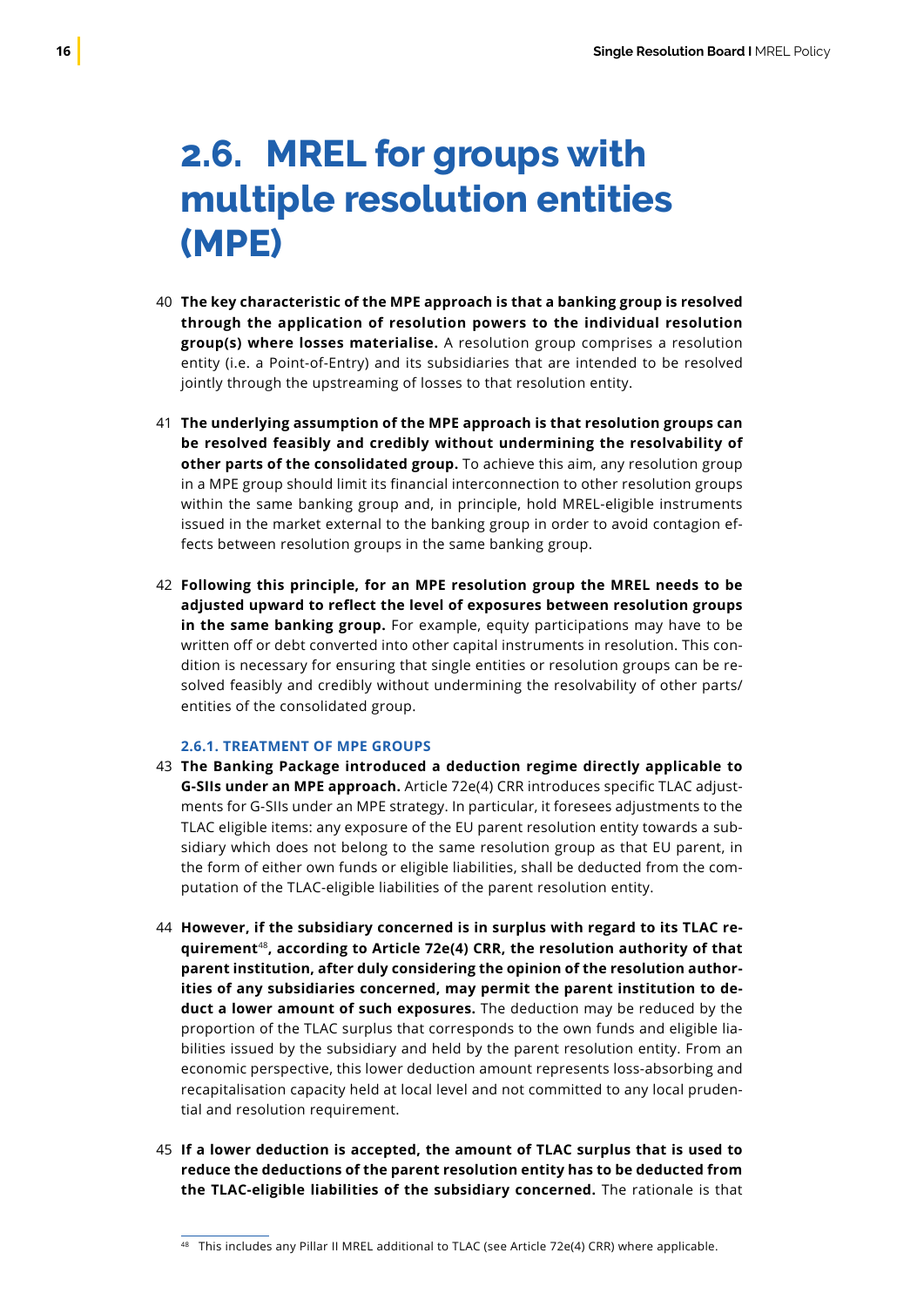### <span id="page-17-0"></span>**2.6. MREL for groups with multiple resolution entities (MPE)**

- **The key characteristic of the MPE approach is that a banking group is resolved**  40 **through the application of resolution powers to the individual resolution group(s) where losses materialise.** A resolution group comprises a resolution entity (i.e. a Point-of-Entry) and its subsidiaries that are intended to be resolved jointly through the upstreaming of losses to that resolution entity.
- **The underlying assumption of the MPE approach is that resolution groups can**  41 **be resolved feasibly and credibly without undermining the resolvability of other parts of the consolidated group.** To achieve this aim, any resolution group in a MPE group should limit its financial interconnection to other resolution groups within the same banking group and, in principle, hold MREL-eligible instruments issued in the market external to the banking group in order to avoid contagion effects between resolution groups in the same banking group.
- **Following this principle, for an MPE resolution group the MREL needs to be** 42 **adjusted upward to reflect the level of exposures between resolution groups in the same banking group.** For example, equity participations may have to be written off or debt converted into other capital instruments in resolution. This condition is necessary for ensuring that single entities or resolution groups can be resolved feasibly and credibly without undermining the resolvability of other parts/ entities of the consolidated group.

#### **2.6.1. TREATMENT OF MPE GROUPS**

- **The Banking Package introduced a deduction regime directly applicable to**  43 **G-SIIs under an MPE approach.** Article 72e(4) CRR introduces specific TLAC adjustments for G-SIIs under an MPE strategy. In particular, it foresees adjustments to the TLAC eligible items: any exposure of the EU parent resolution entity towards a subsidiary which does not belong to the same resolution group as that EU parent, in the form of either own funds or eligible liabilities, shall be deducted from the computation of the TLAC-eligible liabilities of the parent resolution entity.
- **However, if the subsidiary concerned is in surplus with regard to its TLAC re-**44 **quirement**<sup>48</sup>**, according to Article 72e(4) CRR, the resolution authority of that parent institution, after duly considering the opinion of the resolution authorities of any subsidiaries concerned, may permit the parent institution to deduct a lower amount of such exposures.** The deduction may be reduced by the proportion of the TLAC surplus that corresponds to the own funds and eligible liabilities issued by the subsidiary and held by the parent resolution entity. From an economic perspective, this lower deduction amount represents loss-absorbing and recapitalisation capacity held at local level and not committed to any local prudential and resolution requirement.
- **If a lower deduction is accepted, the amount of TLAC surplus that is used to** 45**reduce the deductions of the parent resolution entity has to be deducted from the TLAC-eligible liabilities of the subsidiary concerned.** The rationale is that

<sup>48</sup> This includes any Pillar II MREL additional to TLAC (see Article 72e(4) CRR) where applicable.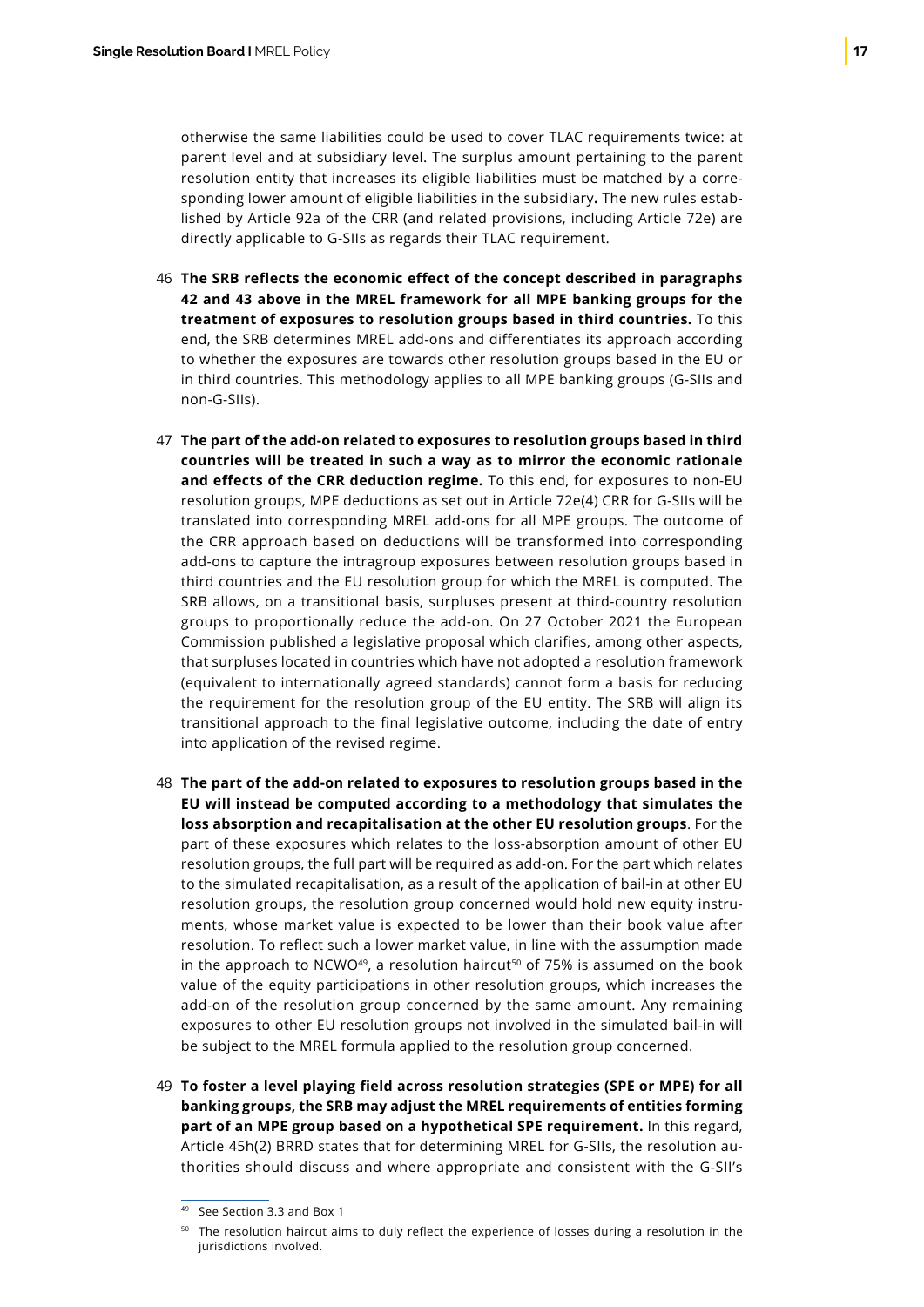otherwise the same liabilities could be used to cover TLAC requirements twice: at parent level and at subsidiary level. The surplus amount pertaining to the parent resolution entity that increases its eligible liabilities must be matched by a corresponding lower amount of eligible liabilities in the subsidiary**.** The new rules established by Article 92a of the CRR (and related provisions, including Article 72e) are directly applicable to G-SIIs as regards their TLAC requirement.

- **The SRB reflects the economic effect of the concept described in paragraphs**  46 **42 and 43 above in the MREL framework for all MPE banking groups for the treatment of exposures to resolution groups based in third countries.** To this end, the SRB determines MREL add-ons and differentiates its approach according to whether the exposures are towards other resolution groups based in the EU or in third countries. This methodology applies to all MPE banking groups (G-SIIs and non-G-SIIs).
- **The part of the add-on related to exposures to resolution groups based in third**  47 **countries will be treated in such a way as to mirror the economic rationale and effects of the CRR deduction regime.** To this end, for exposures to non-EU resolution groups, MPE deductions as set out in Article 72e(4) CRR for G-SIIs will be translated into corresponding MREL add-ons for all MPE groups. The outcome of the CRR approach based on deductions will be transformed into corresponding add-ons to capture the intragroup exposures between resolution groups based in third countries and the EU resolution group for which the MREL is computed. The SRB allows, on a transitional basis, surpluses present at third-country resolution groups to proportionally reduce the add-on. On 27 October 2021 the European Commission published a legislative proposal which clarifies, among other aspects, that surpluses located in countries which have not adopted a resolution framework (equivalent to internationally agreed standards) cannot form a basis for reducing the requirement for the resolution group of the EU entity. The SRB will align its transitional approach to the final legislative outcome, including the date of entry into application of the revised regime.
- **The part of the add-on related to exposures to resolution groups based in the**  48 **EU will instead be computed according to a methodology that simulates the loss absorption and recapitalisation at the other EU resolution groups**. For the part of these exposures which relates to the loss-absorption amount of other EU resolution groups, the full part will be required as add-on. For the part which relates to the simulated recapitalisation, as a result of the application of bail-in at other EU resolution groups, the resolution group concerned would hold new equity instruments, whose market value is expected to be lower than their book value after resolution. To reflect such a lower market value, in line with the assumption made in the approach to NCWO<sup>49</sup>, a resolution haircut<sup>50</sup> of 75% is assumed on the book value of the equity participations in other resolution groups, which increases the add-on of the resolution group concerned by the same amount. Any remaining exposures to other EU resolution groups not involved in the simulated bail-in will be subject to the MREL formula applied to the resolution group concerned.
- **To foster a level playing field across resolution strategies (SPE or MPE) for all** 49**banking groups, the SRB may adjust the MREL requirements of entities forming part of an MPE group based on a hypothetical SPE requirement.** In this regard, Article 45h(2) BRRD states that for determining MREL for G-SIIs, the resolution authorities should discuss and where appropriate and consistent with the G-SII's

<sup>49</sup> See Section 3.3 and Box 1

<sup>50</sup> The resolution haircut aims to duly reflect the experience of losses during a resolution in the jurisdictions involved.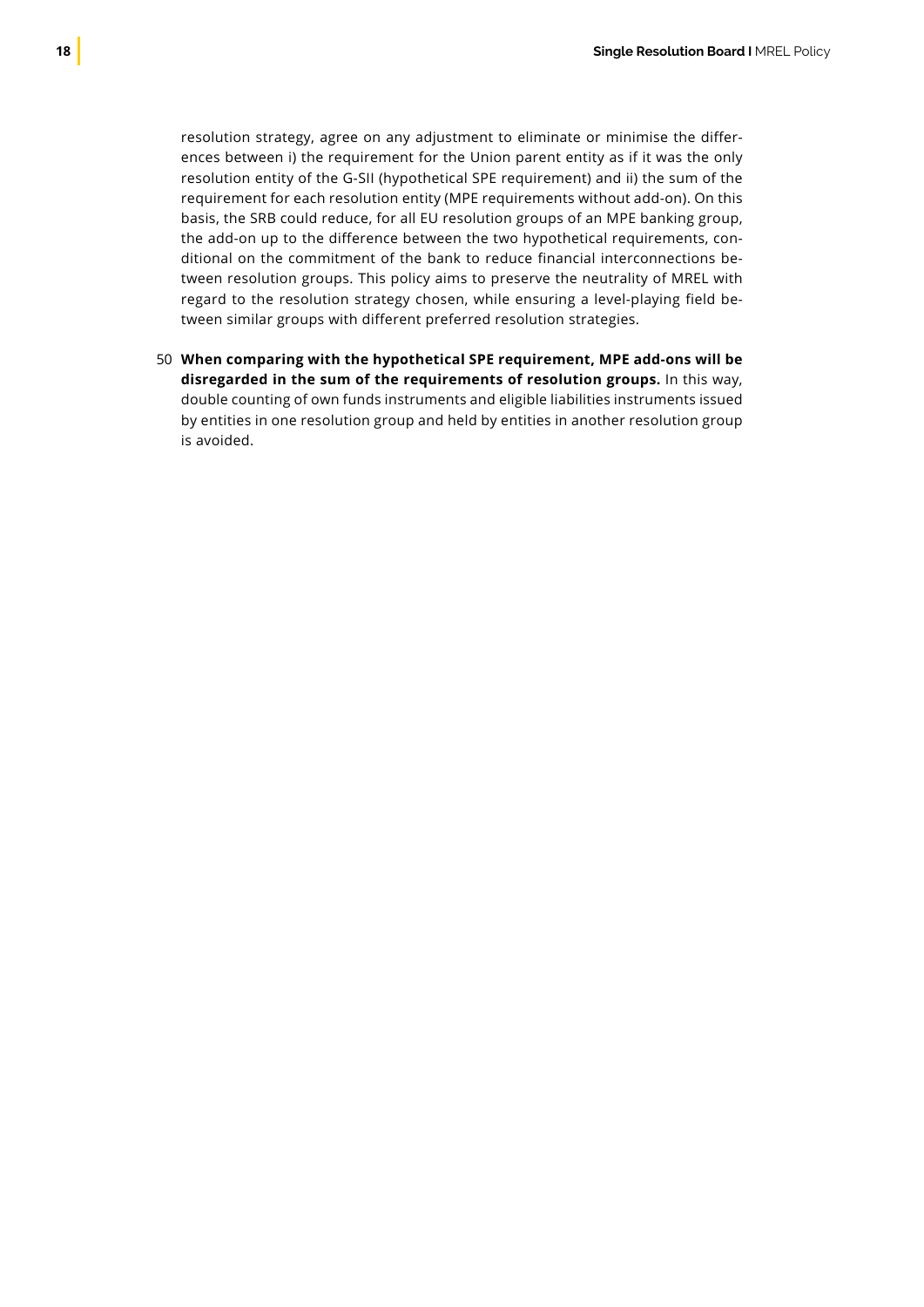resolution strategy, agree on any adjustment to eliminate or minimise the differences between i) the requirement for the Union parent entity as if it was the only resolution entity of the G-SII (hypothetical SPE requirement) and ii) the sum of the requirement for each resolution entity (MPE requirements without add-on). On this basis, the SRB could reduce, for all EU resolution groups of an MPE banking group, the add-on up to the difference between the two hypothetical requirements, conditional on the commitment of the bank to reduce financial interconnections between resolution groups. This policy aims to preserve the neutrality of MREL with regard to the resolution strategy chosen, while ensuring a level-playing field between similar groups with different preferred resolution strategies.

**When comparing with the hypothetical SPE requirement, MPE add-ons will be** 50**disregarded in the sum of the requirements of resolution groups.** In this way, double counting of own funds instruments and eligible liabilities instruments issued by entities in one resolution group and held by entities in another resolution group is avoided.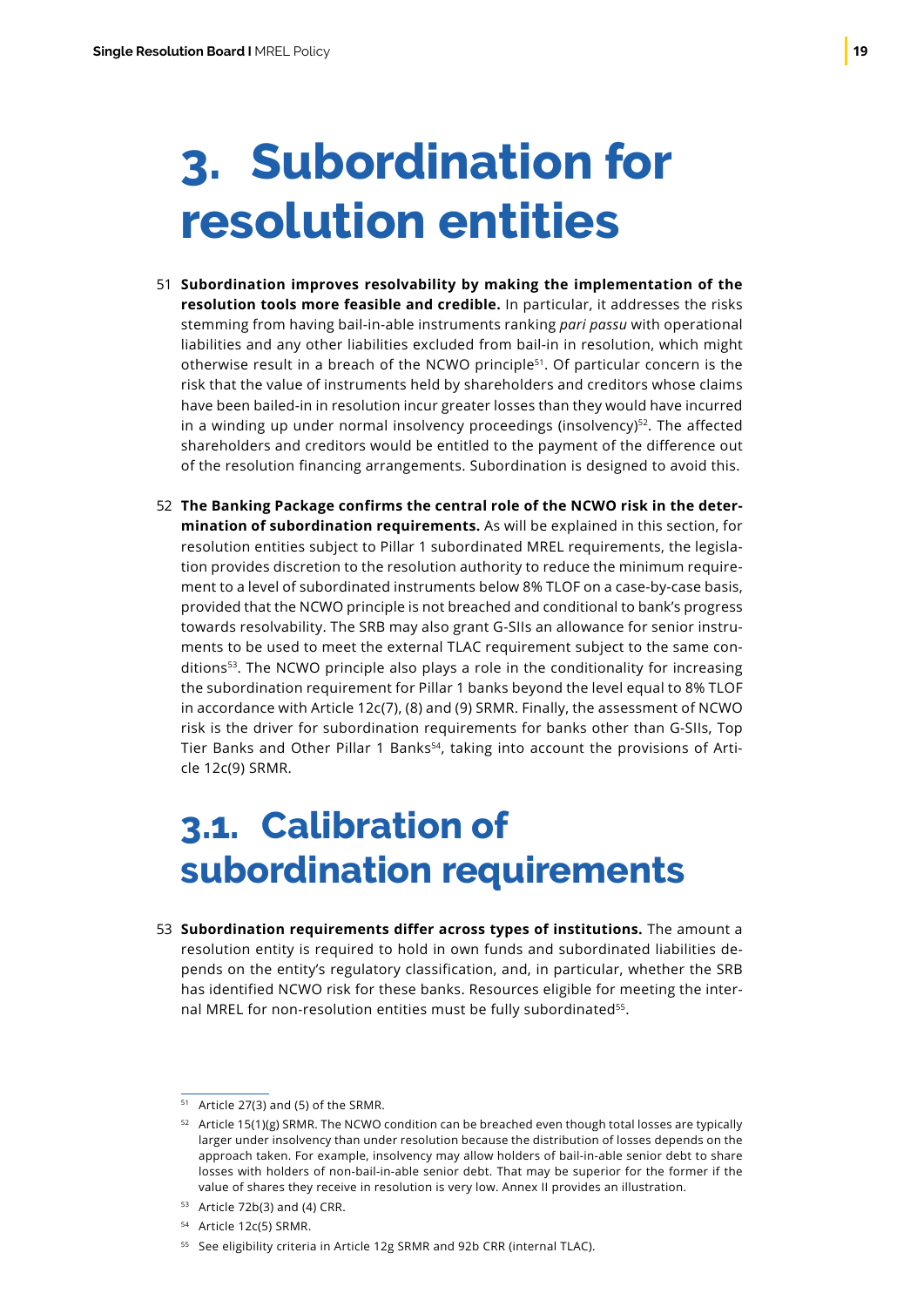## <span id="page-20-0"></span>**3. Subordination for resolution entities**

- **Subordination improves resolvability by making the implementation of the**  51 **resolution tools more feasible and credible.** In particular, it addresses the risks stemming from having bail-in-able instruments ranking *pari passu* with operational liabilities and any other liabilities excluded from bail-in in resolution, which might otherwise result in a breach of the NCWO principle<sup>51</sup>. Of particular concern is the risk that the value of instruments held by shareholders and creditors whose claims have been bailed-in in resolution incur greater losses than they would have incurred in a winding up under normal insolvency proceedings (insolvency) $52$ . The affected shareholders and creditors would be entitled to the payment of the difference out of the resolution financing arrangements. Subordination is designed to avoid this.
- **The Banking Package confirms the central role of the NCWO risk in the deter-**52 **mination of subordination requirements.** As will be explained in this section, for resolution entities subject to Pillar 1 subordinated MREL requirements, the legislation provides discretion to the resolution authority to reduce the minimum requirement to a level of subordinated instruments below 8% TLOF on a case-by-case basis, provided that the NCWO principle is not breached and conditional to bank's progress towards resolvability. The SRB may also grant G-SIIs an allowance for senior instruments to be used to meet the external TLAC requirement subject to the same conditions<sup>53</sup>. The NCWO principle also plays a role in the conditionality for increasing the subordination requirement for Pillar 1 banks beyond the level equal to 8% TLOF in accordance with Article 12c(7), (8) and (9) SRMR. Finally, the assessment of NCWO risk is the driver for subordination requirements for banks other than G-SIIs, Top Tier Banks and Other Pillar 1 Banks<sup>54</sup>, taking into account the provisions of Article 12c(9) SRMR.

### **3.1. Calibration of subordination requirements**

**Subordination requirements differ across types of institutions.** The amount a 53resolution entity is required to hold in own funds and subordinated liabilities depends on the entity's regulatory classification, and, in particular, whether the SRB has identified NCWO risk for these banks. Resources eligible for meeting the internal MREL for non-resolution entities must be fully subordinated<sup>55</sup>.

<sup>51</sup> Article 27(3) and (5) of the SRMR.

 $52$  Article 15(1)(g) SRMR. The NCWO condition can be breached even though total losses are typically larger under insolvency than under resolution because the distribution of losses depends on the approach taken. For example, insolvency may allow holders of bail-in-able senior debt to share losses with holders of non-bail-in-able senior debt. That may be superior for the former if the value of shares they receive in resolution is very low. Annex II provides an illustration.

<sup>53</sup> Article 72b(3) and (4) CRR.

<sup>54</sup> Article 12c(5) SRMR.

<sup>55</sup> See eligibility criteria in Article 12g SRMR and 92b CRR (internal TLAC).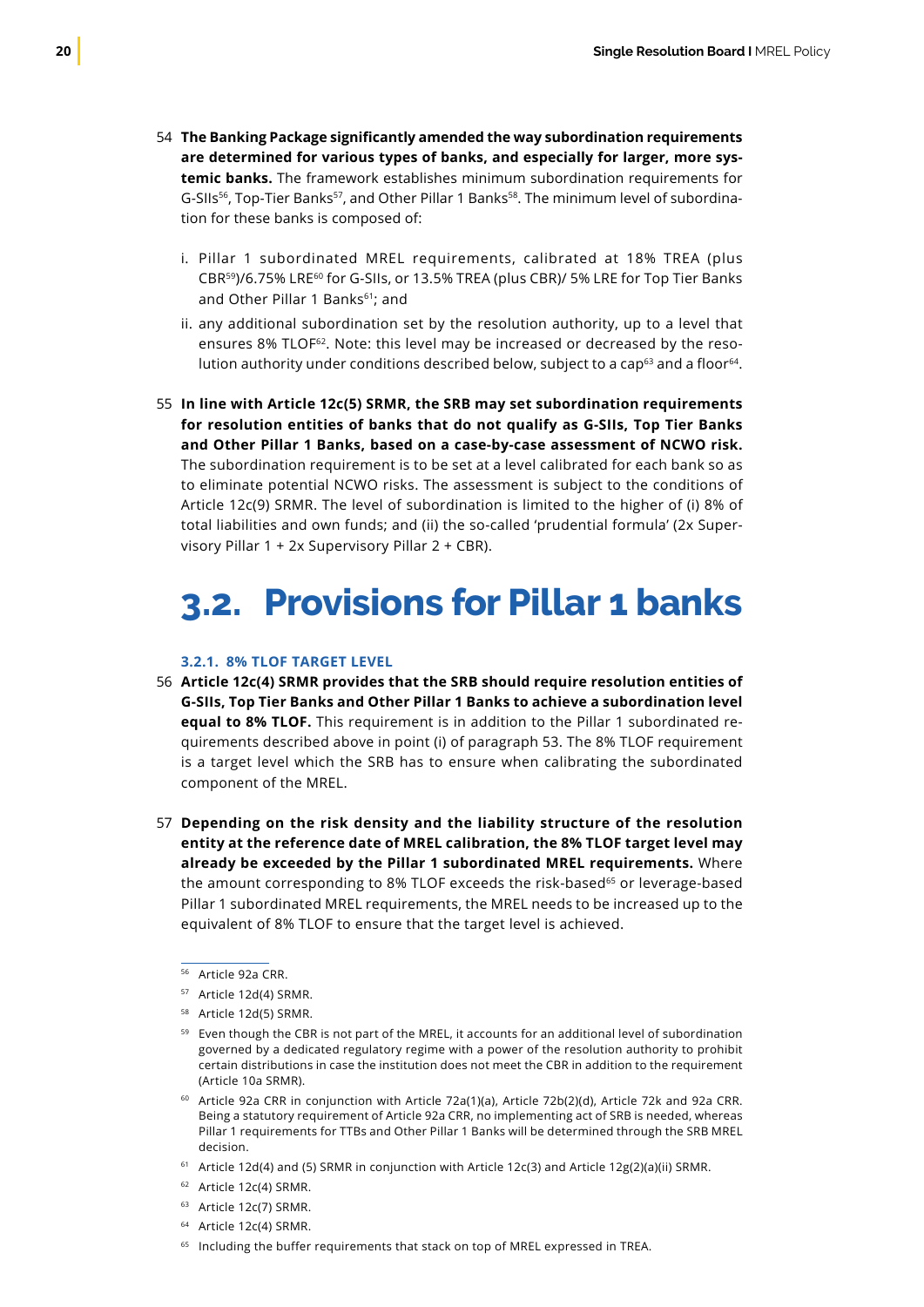- <span id="page-21-0"></span>**The Banking Package significantly amended the way subordination requirements** 54 **are determined for various types of banks, and especially for larger, more systemic banks.** The framework establishes minimum subordination requirements for G-SIIs<sup>56</sup>, Top-Tier Banks<sup>57</sup>, and Other Pillar 1 Banks<sup>58</sup>. The minimum level of subordination for these banks is composed of:
	- i. Pillar 1 subordinated MREL requirements, calibrated at 18% TREA (plus CBR59)/6.75% LRE60 for G-SIIs, or 13.5% TREA (plus CBR)/ 5% LRE for Top Tier Banks and Other Pillar 1 Banks<sup>61</sup>; and
	- ii. any additional subordination set by the resolution authority, up to a level that ensures 8% TLOF<sup>62</sup>. Note: this level may be increased or decreased by the resolution authority under conditions described below, subject to a cap $63$  and a floor $64$ .
- **In line with Article 12c(5) SRMR, the SRB may set subordination requirements** 55 **for resolution entities of banks that do not qualify as G-SIIs, Top Tier Banks and Other Pillar 1 Banks, based on a case-by-case assessment of NCWO risk.** The subordination requirement is to be set at a level calibrated for each bank so as to eliminate potential NCWO risks. The assessment is subject to the conditions of Article 12c(9) SRMR. The level of subordination is limited to the higher of (i) 8% of total liabilities and own funds; and (ii) the so-called 'prudential formula' (2x Supervisory Pillar 1 + 2x Supervisory Pillar 2 + CBR).

### **3.2. Provisions for Pillar 1 banks**

#### **3.2.1. 8% TLOF TARGET LEVEL**

- **Article 12c(4) SRMR provides that the SRB should require resolution entities of** 56 **G-SIIs, Top Tier Banks and Other Pillar 1 Banks to achieve a subordination level equal to 8% TLOF.** This requirement is in addition to the Pillar 1 subordinated requirements described above in point (i) of paragraph 53. The 8% TLOF requirement is a target level which the SRB has to ensure when calibrating the subordinated component of the MREL.
- **Depending on the risk density and the liability structure of the resolution**  57**entity at the reference date of MREL calibration, the 8% TLOF target level may already be exceeded by the Pillar 1 subordinated MREL requirements.** Where the amount corresponding to 8% TLOF exceeds the risk-based<sup>65</sup> or leverage-based Pillar 1 subordinated MREL requirements, the MREL needs to be increased up to the equivalent of 8% TLOF to ensure that the target level is achieved.
	- <sup>56</sup> Article 92a CRR.
	- <sup>57</sup> Article 12d(4) SRMR.
	- <sup>58</sup> Article 12d(5) SRMR.
	- <sup>59</sup> Even though the CBR is not part of the MREL, it accounts for an additional level of subordination governed by a dedicated regulatory regime with a power of the resolution authority to prohibit certain distributions in case the institution does not meet the CBR in addition to the requirement (Article 10a SRMR).
	- <sup>60</sup> Article 92a CRR in conjunction with Article 72a(1)(a), Article 72b(2)(d), Article 72k and 92a CRR. Being a statutory requirement of Article 92a CRR, no implementing act of SRB is needed, whereas Pillar 1 requirements for TTBs and Other Pillar 1 Banks will be determined through the SRB MREL decision.
	- <sup>61</sup> Article 12d(4) and (5) SRMR in conjunction with Article 12c(3) and Article 12g(2)(a)(ii) SRMR.
	- <sup>62</sup> Article 12c(4) SRMR.
	- <sup>63</sup> Article 12c(7) SRMR.
	- <sup>64</sup> Article 12c(4) SRMR.
	- <sup>65</sup> Including the buffer requirements that stack on top of MREL expressed in TREA.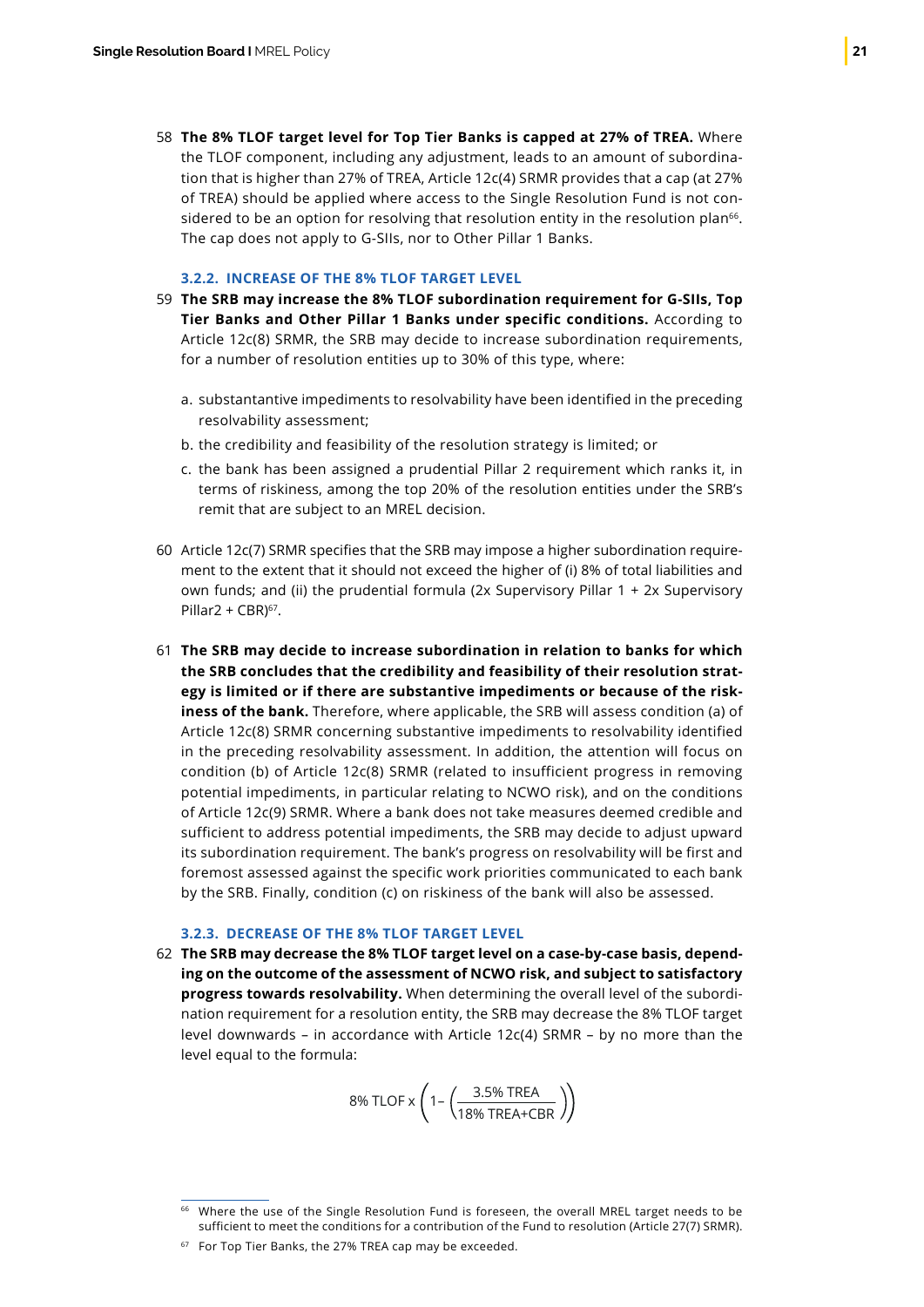**The 8% TLOF target level for Top Tier Banks is capped at 27% of TREA.** Where 58 the TLOF component, including any adjustment, leads to an amount of subordination that is higher than 27% of TREA, Article 12c(4) SRMR provides that a cap (at 27% of TREA) should be applied where access to the Single Resolution Fund is not considered to be an option for resolving that resolution entity in the resolution plan<sup>66</sup>. The cap does not apply to G-SIIs, nor to Other Pillar 1 Banks.

#### **3.2.2. INCREASE OF THE 8% TLOF TARGET LEVEL**

- **The SRB may increase the 8% TLOF subordination requirement for G-SIIs, Top**  59 **Tier Banks and Other Pillar 1 Banks under specific conditions.** According to Article 12c(8) SRMR, the SRB may decide to increase subordination requirements, for a number of resolution entities up to 30% of this type, where:
	- a. substantantive impediments to resolvability have been identified in the preceding resolvability assessment;
	- b. the credibility and feasibility of the resolution strategy is limited; or
	- c. the bank has been assigned a prudential Pillar 2 requirement which ranks it, in terms of riskiness, among the top 20% of the resolution entities under the SRB's remit that are subject to an MREL decision.
- 60 Article 12c(7) SRMR specifies that the SRB may impose a higher subordination requirement to the extent that it should not exceed the higher of (i) 8% of total liabilities and own funds; and (ii) the prudential formula (2x Supervisory Pillar 1 + 2x Supervisory Pillar2 +  $CRN<sup>67</sup>$ .
- **The SRB may decide to increase subordination in relation to banks for which** 61 **the SRB concludes that the credibility and feasibility of their resolution strategy is limited or if there are substantive impediments or because of the riskiness of the bank.** Therefore, where applicable, the SRB will assess condition (a) of Article 12c(8) SRMR concerning substantive impediments to resolvability identified in the preceding resolvability assessment. In addition, the attention will focus on condition (b) of Article 12c(8) SRMR (related to insufficient progress in removing potential impediments, in particular relating to NCWO risk), and on the conditions of Article 12c(9) SRMR. Where a bank does not take measures deemed credible and sufficient to address potential impediments, the SRB may decide to adjust upward its subordination requirement. The bank's progress on resolvability will be first and foremost assessed against the specific work priorities communicated to each bank by the SRB. Finally, condition (c) on riskiness of the bank will also be assessed.

### **3.2.3. DECREASE OF THE 8% TLOF TARGET LEVEL**

**The SRB may decrease the 8% TLOF target level on a case-by-case basis, depend-**62**ing on the outcome of the assessment of NCWO risk, and subject to satisfactory progress towards resolvability.** When determining the overall level of the subordination requirement for a resolution entity, the SRB may decrease the 8% TLOF target level downwards – in accordance with Article 12c(4) SRMR – by no more than the level equal to the formula:

$$
8\% \, \text{TLOF} \times \left(1 - \left(\frac{3.5\% \, \text{TREA}}{18\% \, \text{TREA+CBR}}\right)\right)
$$

<sup>&</sup>lt;sup>66</sup> Where the use of the Single Resolution Fund is foreseen, the overall MREL target needs to be sufficient to meet the conditions for a contribution of the Fund to resolution (Article 27(7) SRMR).

<sup>&</sup>lt;sup>67</sup> For Top Tier Banks, the 27% TREA cap may be exceeded.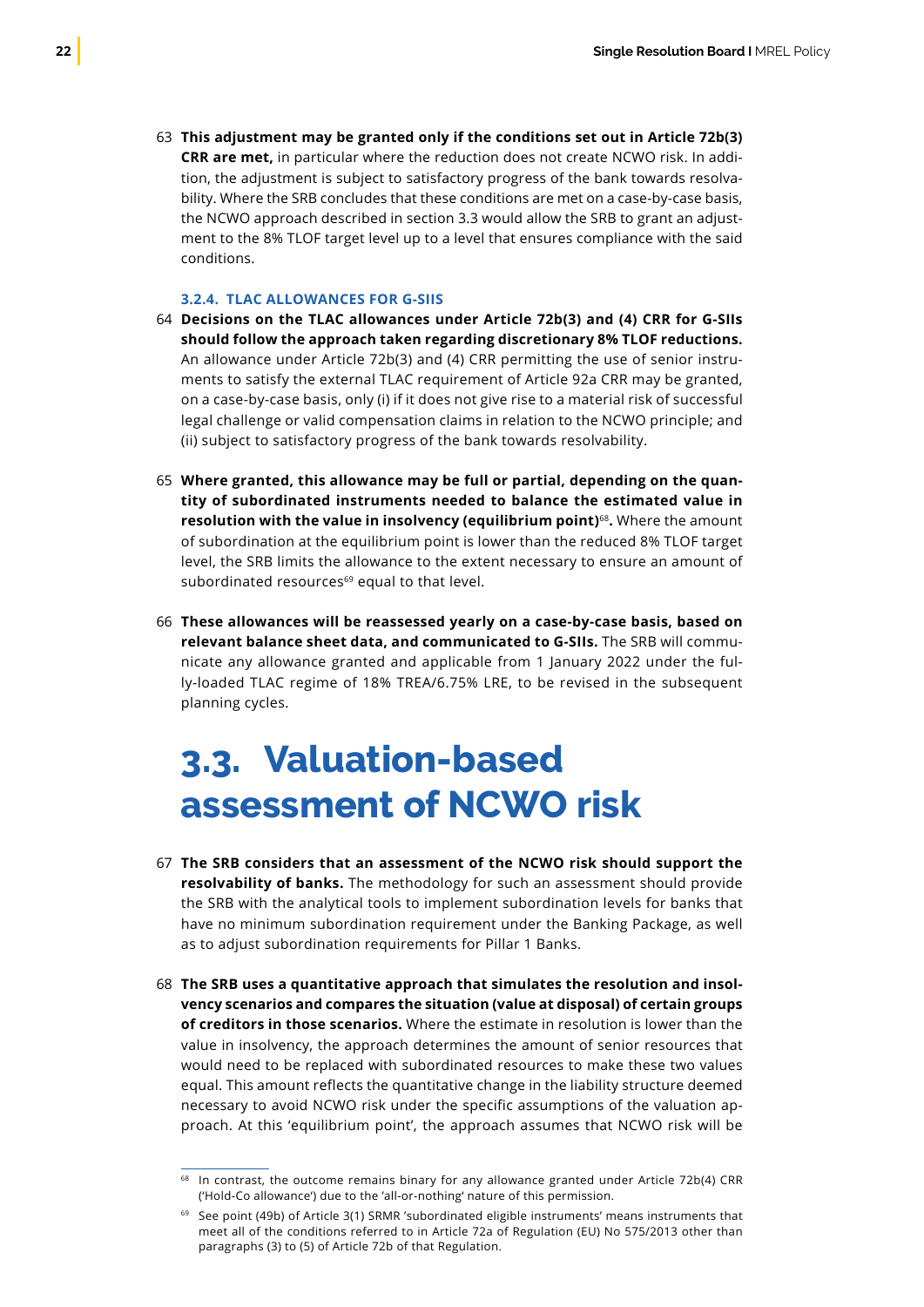<span id="page-23-0"></span>**This adjustment may be granted only if the conditions set out in Article 72b(3)** 63 **CRR are met,** in particular where the reduction does not create NCWO risk. In addition, the adjustment is subject to satisfactory progress of the bank towards resolvability. Where the SRB concludes that these conditions are met on a case-by-case basis, the NCWO approach described in section 3.3 would allow the SRB to grant an adjustment to the 8% TLOF target level up to a level that ensures compliance with the said conditions.

### **3.2.4. TLAC ALLOWANCES FOR G-SIIS**

- **Decisions on the TLAC allowances under Article 72b(3) and (4) CRR for G-SIIs** 64 **should follow the approach taken regarding discretionary 8% TLOF reductions.** An allowance under Article 72b(3) and (4) CRR permitting the use of senior instruments to satisfy the external TLAC requirement of Article 92a CRR may be granted, on a case-by-case basis, only (i) if it does not give rise to a material risk of successful legal challenge or valid compensation claims in relation to the NCWO principle; and (ii) subject to satisfactory progress of the bank towards resolvability.
- **Where granted, this allowance may be full or partial, depending on the quan-**65 **tity of subordinated instruments needed to balance the estimated value in resolution with the value in insolvency (equilibrium point)**<sup>68</sup>**.** Where the amount of subordination at the equilibrium point is lower than the reduced 8% TLOF target level, the SRB limits the allowance to the extent necessary to ensure an amount of subordinated resources<sup>69</sup> equal to that level.
- **These allowances will be reassessed yearly on a case-by-case basis, based on** 66 **relevant balance sheet data, and communicated to G-SIIs.** The SRB will communicate any allowance granted and applicable from 1 January 2022 under the fully-loaded TLAC regime of 18% TREA/6.75% LRE, to be revised in the subsequent planning cycles.

### **3.3. Valuation-based assessment of NCWO risk**

- **The SRB considers that an assessment of the NCWO risk should support the**  67 **resolvability of banks.** The methodology for such an assessment should provide the SRB with the analytical tools to implement subordination levels for banks that have no minimum subordination requirement under the Banking Package, as well as to adjust subordination requirements for Pillar 1 Banks.
- **The SRB uses a quantitative approach that simulates the resolution and insol-**68**vency scenarios and compares the situation (value at disposal) of certain groups of creditors in those scenarios.** Where the estimate in resolution is lower than the value in insolvency, the approach determines the amount of senior resources that would need to be replaced with subordinated resources to make these two values equal. This amount reflects the quantitative change in the liability structure deemed necessary to avoid NCWO risk under the specific assumptions of the valuation approach. At this 'equilibrium point', the approach assumes that NCWO risk will be

 $68$  In contrast, the outcome remains binary for any allowance granted under Article 72b(4) CRR ('Hold-Co allowance') due to the 'all-or-nothing' nature of this permission.

<sup>69</sup> See point (49b) of Article 3(1) SRMR 'subordinated eligible instruments' means instruments that meet all of the conditions referred to in Article 72a of Regulation (EU) No 575/2013 other than paragraphs (3) to (5) of Article 72b of that Regulation.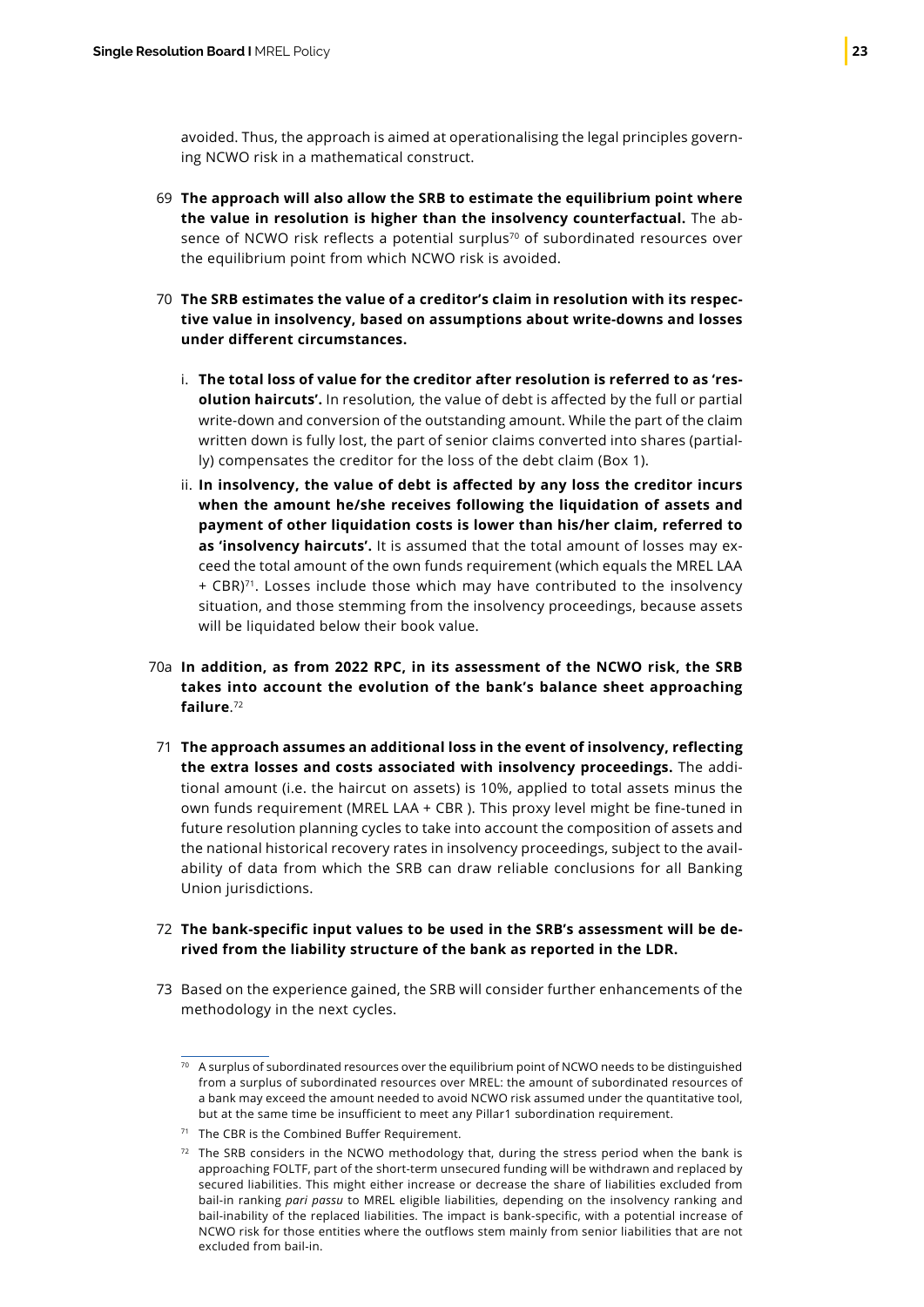avoided. Thus, the approach is aimed at operationalising the legal principles governing NCWO risk in a mathematical construct.

- **The approach will also allow the SRB to estimate the equilibrium point where** 69 **the value in resolution is higher than the insolvency counterfactual.** The absence of NCWO risk reflects a potential surplus<sup>70</sup> of subordinated resources over the equilibrium point from which NCWO risk is avoided.
- **The SRB estimates the value of a creditor's claim in resolution with its respec-**70 **tive value in insolvency, based on assumptions about write-downs and losses under different circumstances.**
	- i. **The total loss of value for the creditor after resolution is referred to as 'resolution haircuts'.** In resolution*,* the value of debt is affected by the full or partial write-down and conversion of the outstanding amount. While the part of the claim written down is fully lost, the part of senior claims converted into shares (partially) compensates the creditor for the loss of the debt claim (Box 1).
	- ii. **In insolvency, the value of debt is affected by any loss the creditor incurs when the amount he/she receives following the liquidation of assets and payment of other liquidation costs is lower than his/her claim, referred to as 'insolvency haircuts'.** It is assumed that the total amount of losses may exceed the total amount of the own funds requirement (which equals the MREL LAA + CBR)71. Losses include those which may have contributed to the insolvency situation, and those stemming from the insolvency proceedings, because assets will be liquidated below their book value.
- **In addition, as from 2022 RPC, in its assessment of the NCWO risk, the SRB**  70a **takes into account the evolution of the bank's balance sheet approaching failure**. 72
- **The approach assumes an additional loss in the event of insolvency, reflecting**  71 **the extra losses and costs associated with insolvency proceedings.** The additional amount (i.e. the haircut on assets) is 10%, applied to total assets minus the own funds requirement (MREL LAA + CBR ). This proxy level might be fine-tuned in future resolution planning cycles to take into account the composition of assets and the national historical recovery rates in insolvency proceedings, subject to the availability of data from which the SRB can draw reliable conclusions for all Banking Union jurisdictions.
- **The bank-specific input values to be used in the SRB's assessment will be de-**72 **rived from the liability structure of the bank as reported in the LDR.**
- 73 Based on the experience gained, the SRB will consider further enhancements of the methodology in the next cycles.

<sup>70</sup> A surplus of subordinated resources over the equilibrium point of NCWO needs to be distinguished from a surplus of subordinated resources over MREL: the amount of subordinated resources of a bank may exceed the amount needed to avoid NCWO risk assumed under the quantitative tool, but at the same time be insufficient to meet any Pillar1 subordination requirement.

<sup>&</sup>lt;sup>71</sup> The CBR is the Combined Buffer Requirement.

 $72$  The SRB considers in the NCWO methodology that, during the stress period when the bank is approaching FOLTF, part of the short-term unsecured funding will be withdrawn and replaced by secured liabilities. This might either increase or decrease the share of liabilities excluded from bail-in ranking *pari passu* to MREL eligible liabilities, depending on the insolvency ranking and bail-inability of the replaced liabilities. The impact is bank-specific, with a potential increase of NCWO risk for those entities where the outflows stem mainly from senior liabilities that are not excluded from bail-in.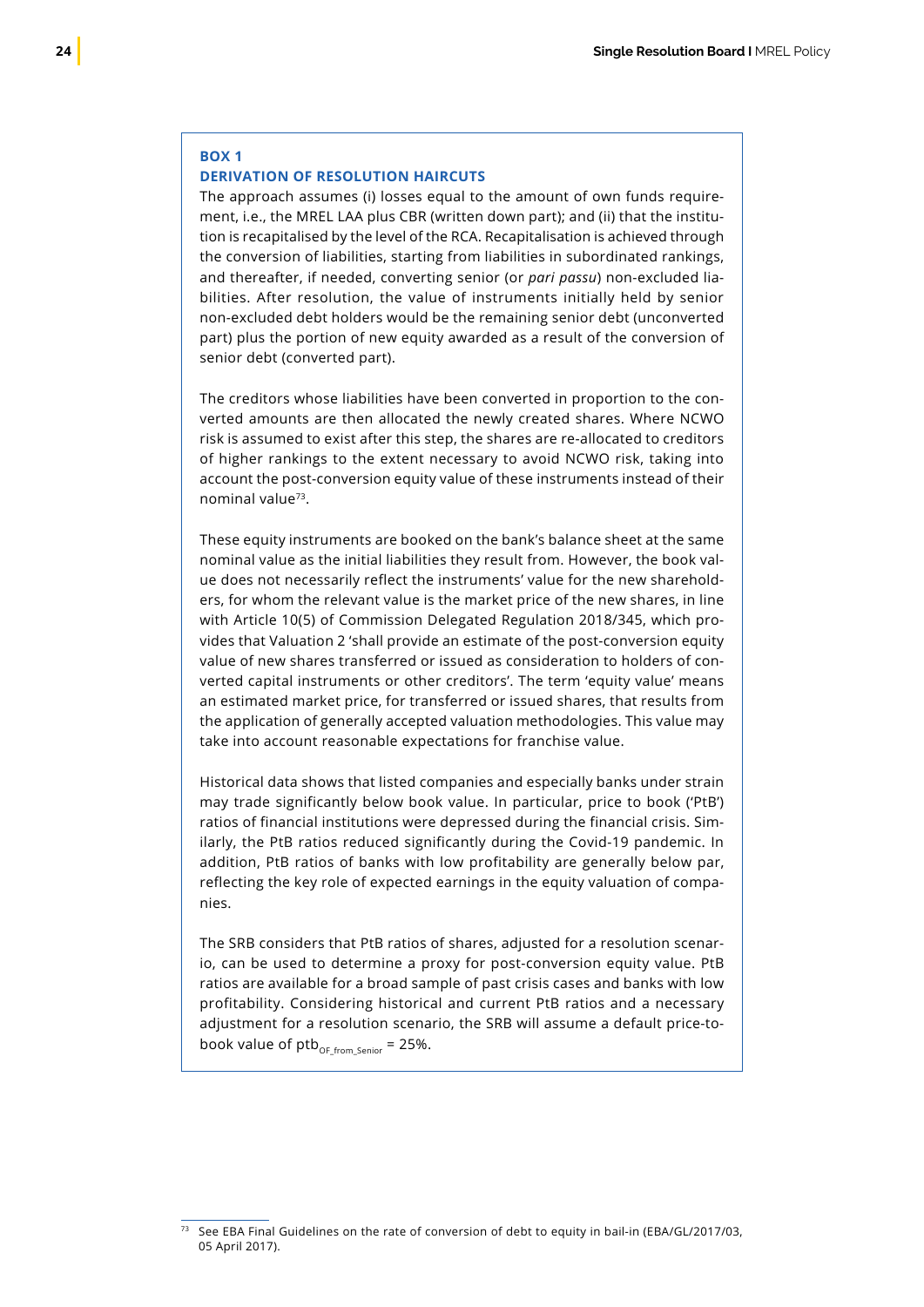#### **BOX 1**

### **DERIVATION OF RESOLUTION HAIRCUTS**

The approach assumes (i) losses equal to the amount of own funds requirement, i.e., the MREL LAA plus CBR (written down part); and (ii) that the institution is recapitalised by the level of the RCA. Recapitalisation is achieved through the conversion of liabilities, starting from liabilities in subordinated rankings, and thereafter, if needed, converting senior (or *pari passu*) non-excluded liabilities. After resolution, the value of instruments initially held by senior non-excluded debt holders would be the remaining senior debt (unconverted part) plus the portion of new equity awarded as a result of the conversion of senior debt (converted part).

The creditors whose liabilities have been converted in proportion to the converted amounts are then allocated the newly created shares. Where NCWO risk is assumed to exist after this step, the shares are re-allocated to creditors of higher rankings to the extent necessary to avoid NCWO risk, taking into account the post-conversion equity value of these instruments instead of their nominal value73.

These equity instruments are booked on the bank's balance sheet at the same nominal value as the initial liabilities they result from. However, the book value does not necessarily reflect the instruments' value for the new shareholders, for whom the relevant value is the market price of the new shares, in line with Article 10(5) of Commission Delegated Regulation 2018/345, which provides that Valuation 2 'shall provide an estimate of the post-conversion equity value of new shares transferred or issued as consideration to holders of converted capital instruments or other creditors'. The term 'equity value' means an estimated market price, for transferred or issued shares, that results from the application of generally accepted valuation methodologies. This value may take into account reasonable expectations for franchise value.

Historical data shows that listed companies and especially banks under strain may trade significantly below book value. In particular, price to book ('PtB') ratios of financial institutions were depressed during the financial crisis. Similarly, the PtB ratios reduced significantly during the Covid-19 pandemic. In addition, PtB ratios of banks with low profitability are generally below par, reflecting the key role of expected earnings in the equity valuation of companies.

The SRB considers that PtB ratios of shares, adjusted for a resolution scenario, can be used to determine a proxy for post-conversion equity value. PtB ratios are available for a broad sample of past crisis cases and banks with low profitability. Considering historical and current PtB ratios and a necessary adjustment for a resolution scenario, the SRB will assume a default price-tobook value of  $ptb_{OF\ from\ Senior} = 25\%$ .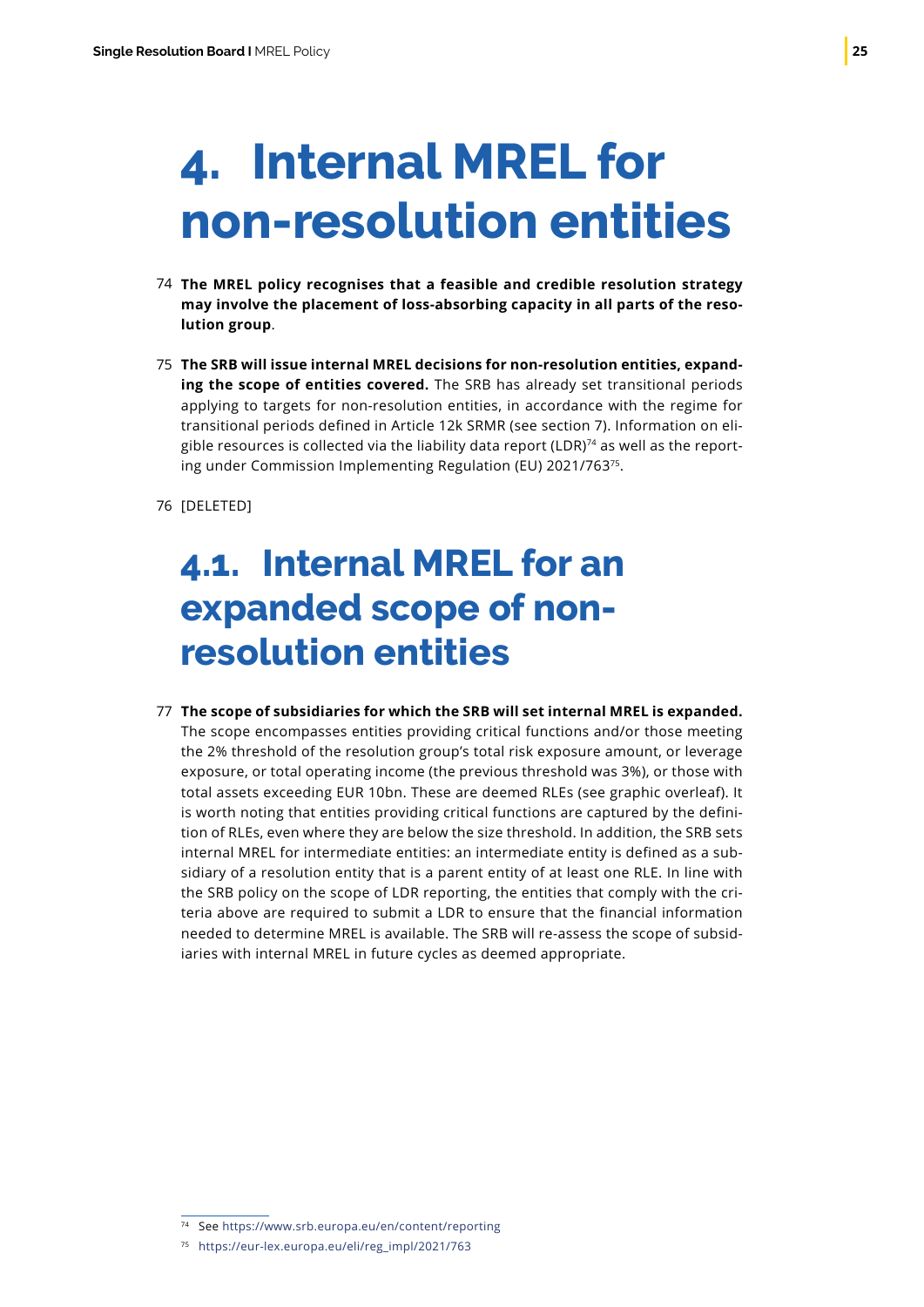# <span id="page-26-0"></span>**4. Internal MREL for non-resolution entities**

- **The MREL policy recognises that a feasible and credible resolution strategy**  74 **may involve the placement of loss-absorbing capacity in all parts of the resolution group**.
- **The SRB will issue internal MREL decisions for non-resolution entities, expand-**75 **ing the scope of entities covered.** The SRB has already set transitional periods applying to targets for non-resolution entities, in accordance with the regime for transitional periods defined in Article 12k SRMR (see section 7). Information on eligible resources is collected via the liability data report (LDR) $74$  as well as the reporting under Commission Implementing Regulation (EU) 2021/76375.
- [DELETED] 76

### **4.1. Internal MREL for an expanded scope of nonresolution entities**

**The scope of subsidiaries for which the SRB will set internal MREL is expanded.** 77The scope encompasses entities providing critical functions and/or those meeting the 2% threshold of the resolution group's total risk exposure amount, or leverage exposure, or total operating income (the previous threshold was 3%), or those with total assets exceeding EUR 10bn. These are deemed RLEs (see graphic overleaf). It is worth noting that entities providing critical functions are captured by the definition of RLEs, even where they are below the size threshold. In addition, the SRB sets internal MREL for intermediate entities: an intermediate entity is defined as a subsidiary of a resolution entity that is a parent entity of at least one RLE. In line with the SRB policy on the scope of LDR reporting, the entities that comply with the criteria above are required to submit a LDR to ensure that the financial information needed to determine MREL is available. The SRB will re-assess the scope of subsidiaries with internal MREL in future cycles as deemed appropriate.

<sup>74</sup> See https://www.srb.europa.eu/en/content/reporting

<sup>75</sup> https://eur-lex.europa.eu/eli/reg\_impl/2021/763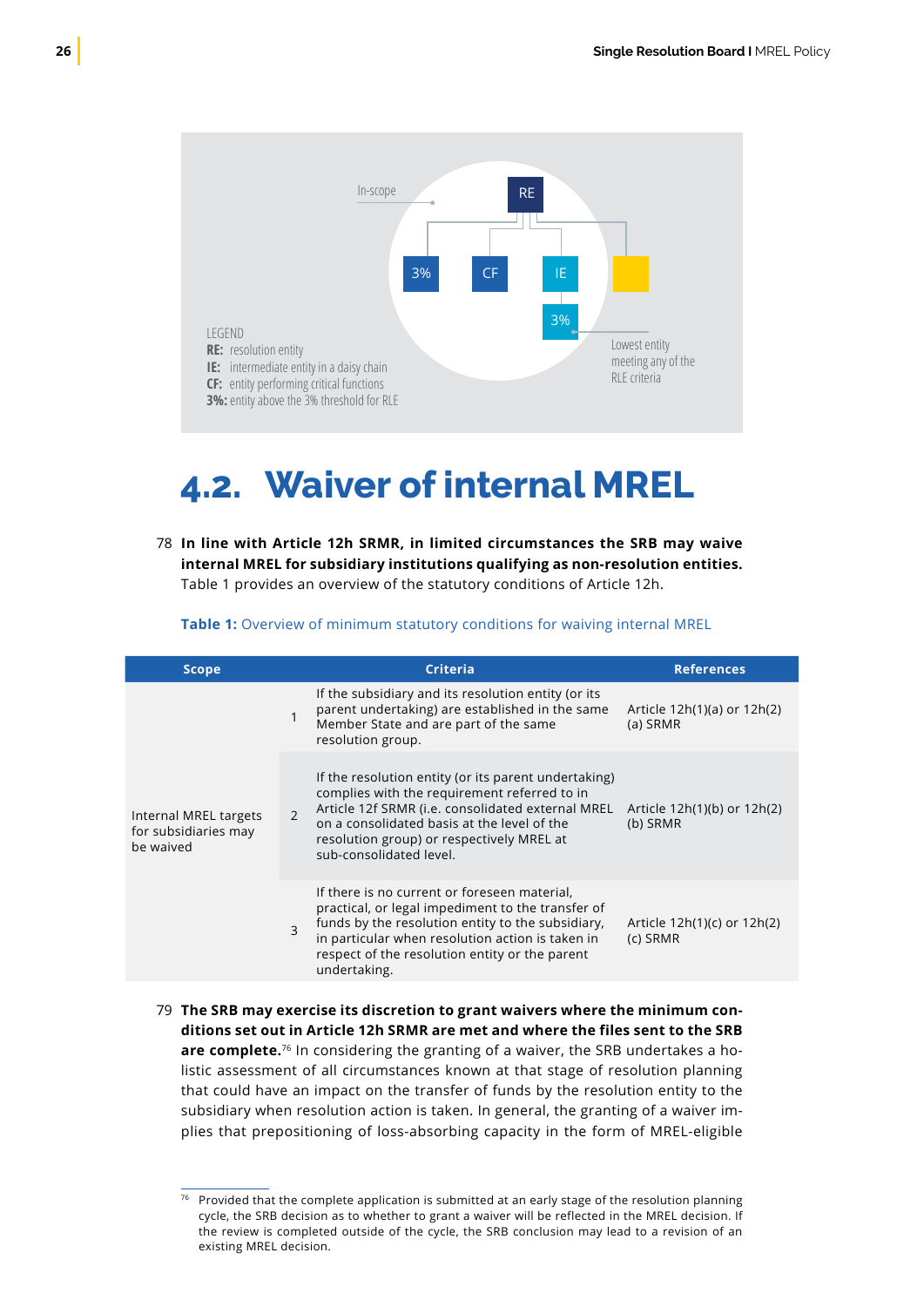<span id="page-27-0"></span>

### **4.2. Waiver of internal MREL**

**In line with Article 12h SRMR, in limited circumstances the SRB may waive** 78 **internal MREL for subsidiary institutions qualifying as non-resolution entities.** Table 1 provides an overview of the statutory conditions of Article 12h.

**Table 1:** Overview of minimum statutory conditions for waiving internal MREL

| <b>Scope</b>                                               |               | <b>Criteria</b>                                                                                                                                                                                                                                                                  | <b>References</b>                       |  |
|------------------------------------------------------------|---------------|----------------------------------------------------------------------------------------------------------------------------------------------------------------------------------------------------------------------------------------------------------------------------------|-----------------------------------------|--|
|                                                            | 1             | If the subsidiary and its resolution entity (or its<br>parent undertaking) are established in the same<br>Member State and are part of the same<br>resolution group.                                                                                                             | Article 12h(1)(a) or 12h(2)<br>(a) SRMR |  |
| Internal MREL targets<br>for subsidiaries may<br>be waived | $\mathcal{P}$ | If the resolution entity (or its parent undertaking)<br>complies with the requirement referred to in<br>Article 12f SRMR (i.e. consolidated external MREL<br>on a consolidated basis at the level of the<br>resolution group) or respectively MREL at<br>sub-consolidated level. | Article 12h(1)(b) or 12h(2)<br>(b) SRMR |  |
|                                                            | 3             | If there is no current or foreseen material,<br>practical, or legal impediment to the transfer of<br>funds by the resolution entity to the subsidiary,<br>in particular when resolution action is taken in<br>respect of the resolution entity or the parent<br>undertaking.     | Article 12h(1)(c) or 12h(2)<br>(c) SRMR |  |

**The SRB may exercise its discretion to grant waivers where the minimum con-**79**ditions set out in Article 12h SRMR are met and where the files sent to the SRB are complete.**76 In considering the granting of a waiver, the SRB undertakes a holistic assessment of all circumstances known at that stage of resolution planning that could have an impact on the transfer of funds by the resolution entity to the subsidiary when resolution action is taken. In general, the granting of a waiver implies that prepositioning of loss-absorbing capacity in the form of MREL-eligible

<sup>76</sup> Provided that the complete application is submitted at an early stage of the resolution planning cycle, the SRB decision as to whether to grant a waiver will be reflected in the MREL decision. If the review is completed outside of the cycle, the SRB conclusion may lead to a revision of an existing MREL decision.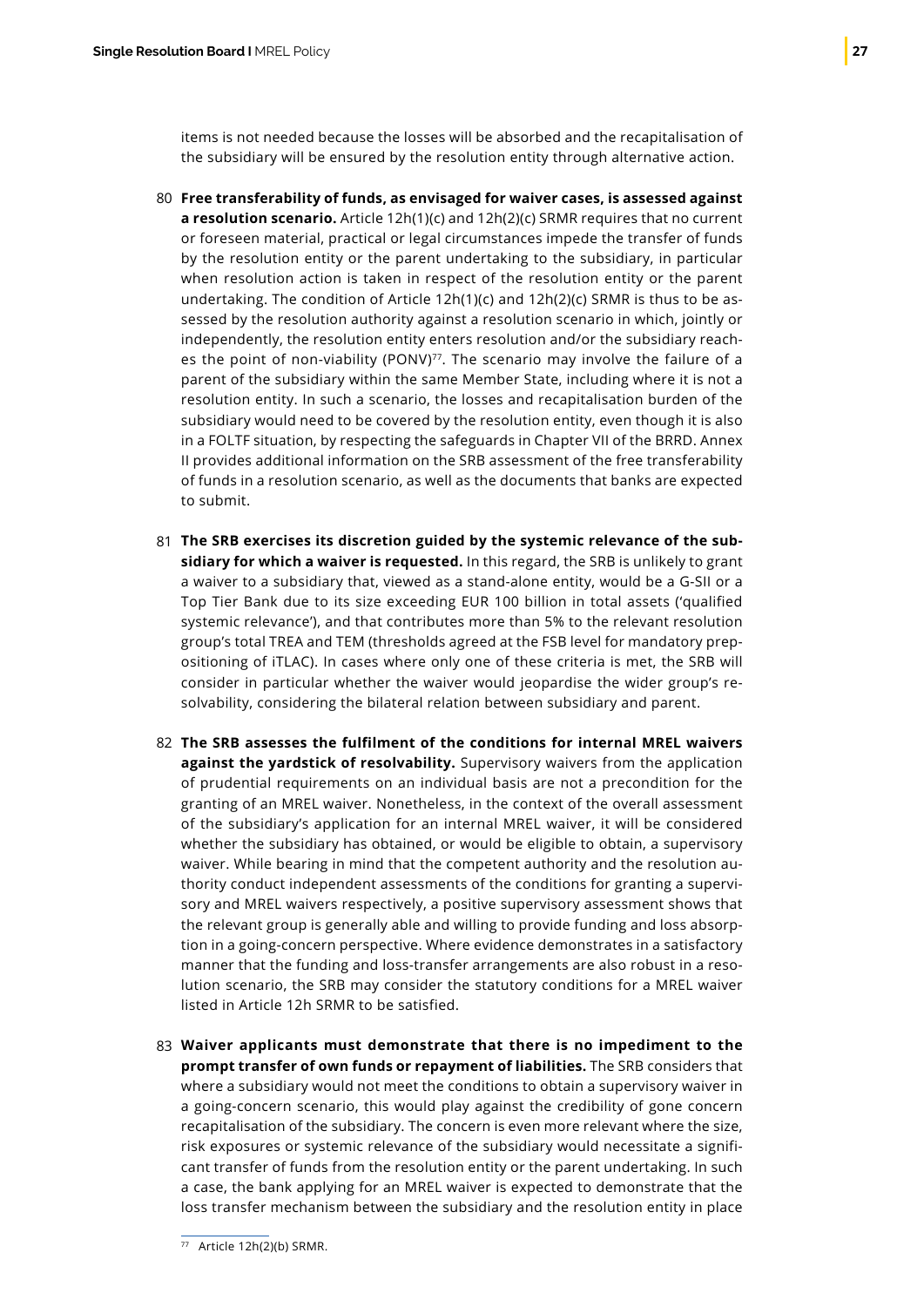items is not needed because the losses will be absorbed and the recapitalisation of the subsidiary will be ensured by the resolution entity through alternative action.

- **Free transferability of funds, as envisaged for waiver cases, is assessed against** 80 **a resolution scenario.** Article 12h(1)(c) and 12h(2)(c) SRMR requires that no current or foreseen material, practical or legal circumstances impede the transfer of funds by the resolution entity or the parent undertaking to the subsidiary, in particular when resolution action is taken in respect of the resolution entity or the parent undertaking. The condition of Article 12h(1)(c) and 12h(2)(c) SRMR is thus to be assessed by the resolution authority against a resolution scenario in which, jointly or independently, the resolution entity enters resolution and/or the subsidiary reaches the point of non-viability (PONV)<sup>77</sup>. The scenario may involve the failure of a parent of the subsidiary within the same Member State, including where it is not a resolution entity. In such a scenario, the losses and recapitalisation burden of the subsidiary would need to be covered by the resolution entity, even though it is also in a FOLTF situation, by respecting the safeguards in Chapter VII of the BRRD. Annex II provides additional information on the SRB assessment of the free transferability of funds in a resolution scenario, as well as the documents that banks are expected to submit.
- **The SRB exercises its discretion guided by the systemic relevance of the sub-**81 **sidiary for which a waiver is requested.** In this regard, the SRB is unlikely to grant a waiver to a subsidiary that, viewed as a stand-alone entity, would be a G-SII or a Top Tier Bank due to its size exceeding EUR 100 billion in total assets ('qualified systemic relevance'), and that contributes more than 5% to the relevant resolution group's total TREA and TEM (thresholds agreed at the FSB level for mandatory prepositioning of iTLAC). In cases where only one of these criteria is met, the SRB will consider in particular whether the waiver would jeopardise the wider group's resolvability, considering the bilateral relation between subsidiary and parent.
- **The SRB assesses the fulfilment of the conditions for internal MREL waivers** 82 **against the yardstick of resolvability.** Supervisory waivers from the application of prudential requirements on an individual basis are not a precondition for the granting of an MREL waiver. Nonetheless, in the context of the overall assessment of the subsidiary's application for an internal MREL waiver, it will be considered whether the subsidiary has obtained, or would be eligible to obtain, a supervisory waiver. While bearing in mind that the competent authority and the resolution authority conduct independent assessments of the conditions for granting a supervisory and MREL waivers respectively, a positive supervisory assessment shows that the relevant group is generally able and willing to provide funding and loss absorption in a going-concern perspective. Where evidence demonstrates in a satisfactory manner that the funding and loss-transfer arrangements are also robust in a resolution scenario, the SRB may consider the statutory conditions for a MREL waiver listed in Article 12h SRMR to be satisfied.
- **Waiver applicants must demonstrate that there is no impediment to the**  83**prompt transfer of own funds or repayment of liabilities.** The SRB considers that where a subsidiary would not meet the conditions to obtain a supervisory waiver in a going-concern scenario, this would play against the credibility of gone concern recapitalisation of the subsidiary. The concern is even more relevant where the size, risk exposures or systemic relevance of the subsidiary would necessitate a significant transfer of funds from the resolution entity or the parent undertaking. In such a case, the bank applying for an MREL waiver is expected to demonstrate that the loss transfer mechanism between the subsidiary and the resolution entity in place

<sup>77</sup> Article 12h(2)(b) SRMR.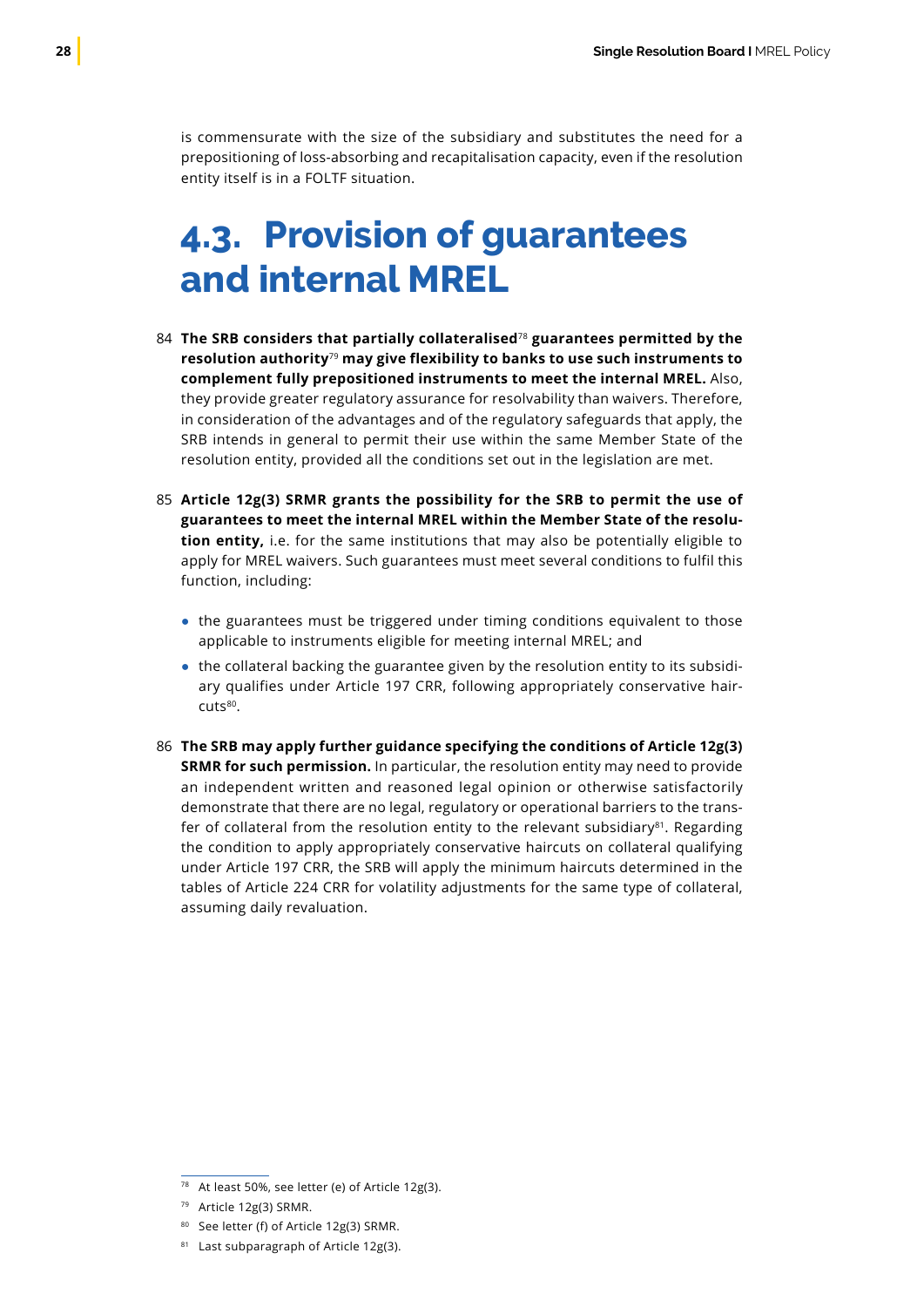<span id="page-29-0"></span>is commensurate with the size of the subsidiary and substitutes the need for a prepositioning of loss-absorbing and recapitalisation capacity, even if the resolution entity itself is in a FOLTF situation.

### **4.3. Provision of guarantees and internal MREL**

- **The SRB considers that partially collateralised**<sup>78</sup> **guarantees permitted by the**  84 **resolution authority**<sup>79</sup> **may give flexibility to banks to use such instruments to complement fully prepositioned instruments to meet the internal MREL.** Also, they provide greater regulatory assurance for resolvability than waivers. Therefore, in consideration of the advantages and of the regulatory safeguards that apply, the SRB intends in general to permit their use within the same Member State of the resolution entity, provided all the conditions set out in the legislation are met.
- **Article 12g(3) SRMR grants the possibility for the SRB to permit the use of** 85 **guarantees to meet the internal MREL within the Member State of the resolution entity,** i.e. for the same institutions that may also be potentially eligible to apply for MREL waivers. Such guarantees must meet several conditions to fulfil this function, including:
	- the guarantees must be triggered under timing conditions equivalent to those applicable to instruments eligible for meeting internal MREL; and
	- the collateral backing the guarantee given by the resolution entity to its subsidiary qualifies under Article 197 CRR, following appropriately conservative haircuts<sup>80</sup>.
- **The SRB may apply further guidance specifying the conditions of Article 12g(3)** 86**SRMR for such permission.** In particular, the resolution entity may need to provide an independent written and reasoned legal opinion or otherwise satisfactorily demonstrate that there are no legal, regulatory or operational barriers to the transfer of collateral from the resolution entity to the relevant subsidiary $81$ . Regarding the condition to apply appropriately conservative haircuts on collateral qualifying under Article 197 CRR, the SRB will apply the minimum haircuts determined in the tables of Article 224 CRR for volatility adjustments for the same type of collateral, assuming daily revaluation.

<sup>78</sup> At least 50%, see letter (e) of Article 12g(3).

<sup>79</sup> Article 12g(3) SRMR.

<sup>80</sup> See letter (f) of Article 12g(3) SRMR.

<sup>81</sup> Last subparagraph of Article 12g(3).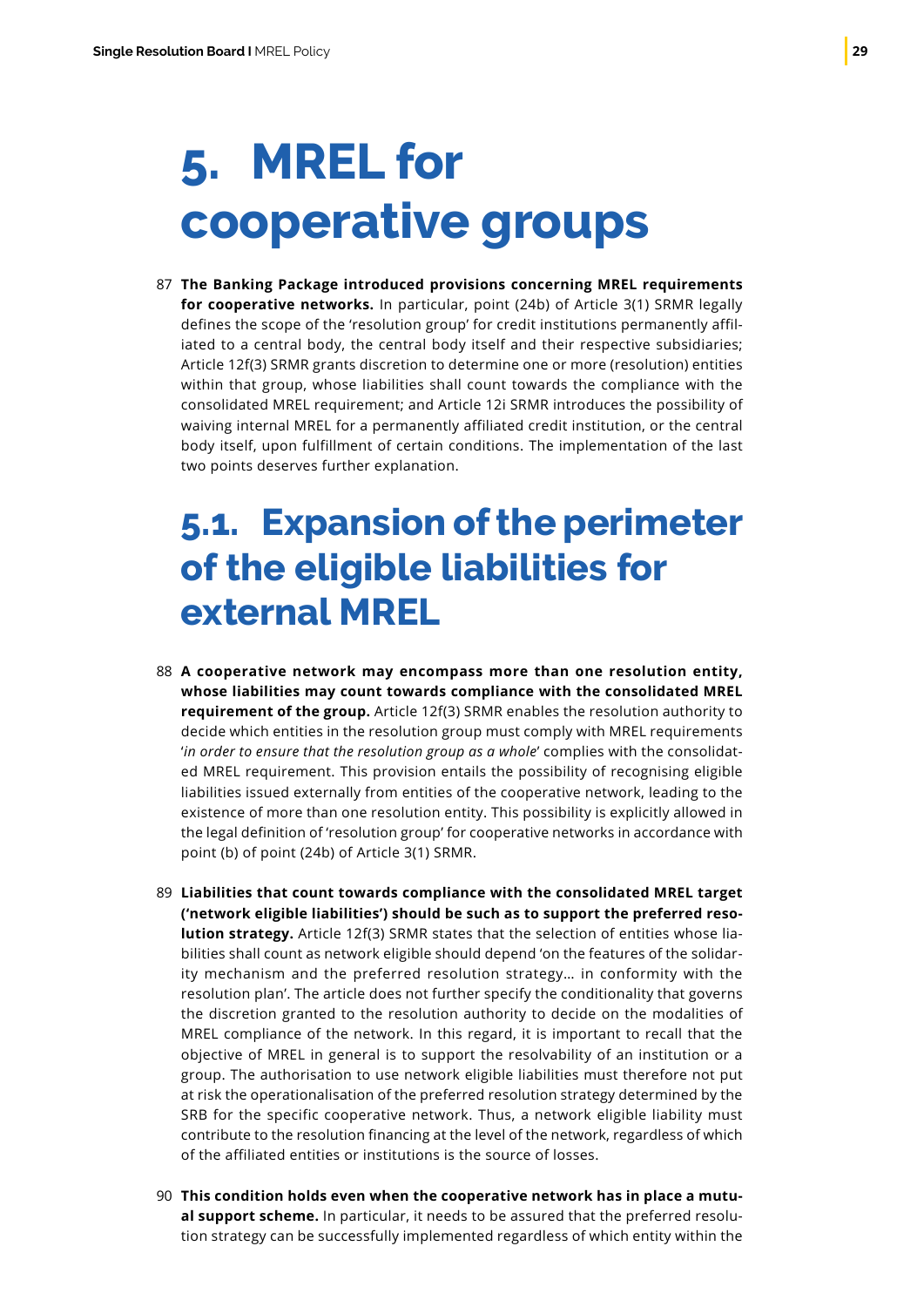## <span id="page-30-0"></span>**5. MREL for cooperative groups**

**The Banking Package introduced provisions concerning MREL requirements**  87 **for cooperative networks.** In particular, point (24b) of Article 3(1) SRMR legally defines the scope of the 'resolution group' for credit institutions permanently affiliated to a central body, the central body itself and their respective subsidiaries; Article 12f(3) SRMR grants discretion to determine one or more (resolution) entities within that group, whose liabilities shall count towards the compliance with the consolidated MREL requirement; and Article 12i SRMR introduces the possibility of waiving internal MREL for a permanently affiliated credit institution, or the central body itself, upon fulfillment of certain conditions. The implementation of the last two points deserves further explanation.

### **5.1. Expansion of the perimeter of the eligible liabilities for external MREL**

- **A cooperative network may encompass more than one resolution entity,** 88 **whose liabilities may count towards compliance with the consolidated MREL requirement of the group.** Article 12f(3) SRMR enables the resolution authority to decide which entities in the resolution group must comply with MREL requirements '*in order to ensure that the resolution group as a whole*' complies with the consolidated MREL requirement. This provision entails the possibility of recognising eligible liabilities issued externally from entities of the cooperative network, leading to the existence of more than one resolution entity. This possibility is explicitly allowed in the legal definition of 'resolution group' for cooperative networks in accordance with point (b) of point (24b) of Article 3(1) SRMR.
- **Liabilities that count towards compliance with the consolidated MREL target** 89 **('network eligible liabilities') should be such as to support the preferred resolution strategy.** Article 12f(3) SRMR states that the selection of entities whose liabilities shall count as network eligible should depend 'on the features of the solidarity mechanism and the preferred resolution strategy… in conformity with the resolution plan'. The article does not further specify the conditionality that governs the discretion granted to the resolution authority to decide on the modalities of MREL compliance of the network. In this regard, it is important to recall that the objective of MREL in general is to support the resolvability of an institution or a group. The authorisation to use network eligible liabilities must therefore not put at risk the operationalisation of the preferred resolution strategy determined by the SRB for the specific cooperative network. Thus, a network eligible liability must contribute to the resolution financing at the level of the network, regardless of which of the affiliated entities or institutions is the source of losses.
- **This condition holds even when the cooperative network has in place a mutu-**90**al support scheme.** In particular, it needs to be assured that the preferred resolution strategy can be successfully implemented regardless of which entity within the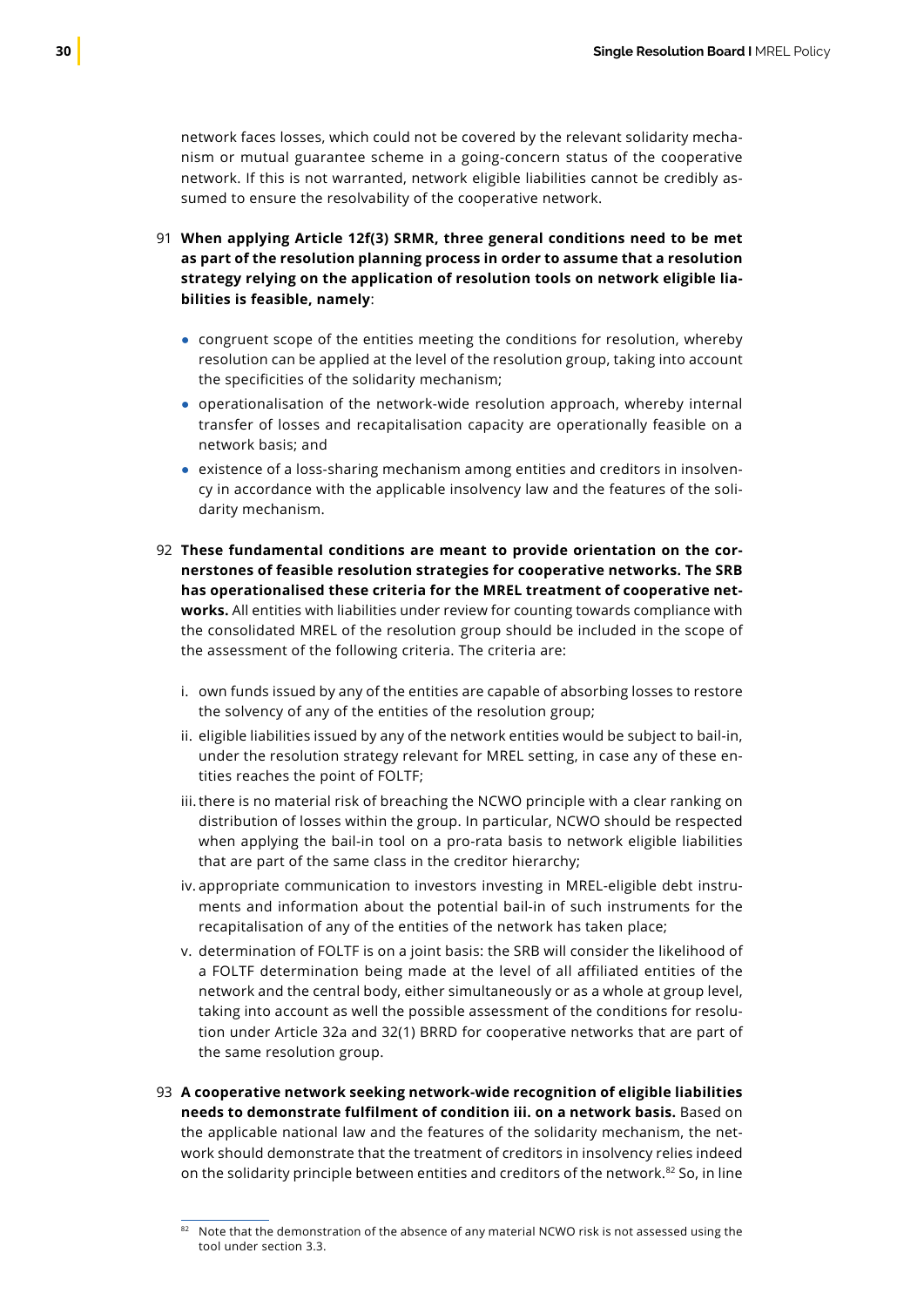network faces losses, which could not be covered by the relevant solidarity mechanism or mutual guarantee scheme in a going-concern status of the cooperative network. If this is not warranted, network eligible liabilities cannot be credibly assumed to ensure the resolvability of the cooperative network.

- **When applying Article 12f(3) SRMR, three general conditions need to be met** 91 **as part of the resolution planning process in order to assume that a resolution strategy relying on the application of resolution tools on network eligible liabilities is feasible, namely**:
	- congruent scope of the entities meeting the conditions for resolution, whereby resolution can be applied at the level of the resolution group, taking into account the specificities of the solidarity mechanism;
	- operationalisation of the network-wide resolution approach, whereby internal transfer of losses and recapitalisation capacity are operationally feasible on a network basis; and
	- existence of a loss-sharing mechanism among entities and creditors in insolvency in accordance with the applicable insolvency law and the features of the solidarity mechanism.
- **These fundamental conditions are meant to provide orientation on the cor-**92 **nerstones of feasible resolution strategies for cooperative networks. The SRB has operationalised these criteria for the MREL treatment of cooperative networks.** All entities with liabilities under review for counting towards compliance with the consolidated MREL of the resolution group should be included in the scope of the assessment of the following criteria. The criteria are:
	- i. own funds issued by any of the entities are capable of absorbing losses to restore the solvency of any of the entities of the resolution group;
	- ii. eligible liabilities issued by any of the network entities would be subject to bail-in, under the resolution strategy relevant for MREL setting, in case any of these entities reaches the point of FOLTF;
	- iii. there is no material risk of breaching the NCWO principle with a clear ranking on distribution of losses within the group. In particular, NCWO should be respected when applying the bail-in tool on a pro-rata basis to network eligible liabilities that are part of the same class in the creditor hierarchy;
	- iv. appropriate communication to investors investing in MREL-eligible debt instruments and information about the potential bail-in of such instruments for the recapitalisation of any of the entities of the network has taken place;
	- v. determination of FOLTF is on a joint basis: the SRB will consider the likelihood of a FOLTF determination being made at the level of all affiliated entities of the network and the central body, either simultaneously or as a whole at group level, taking into account as well the possible assessment of the conditions for resolution under Article 32a and 32(1) BRRD for cooperative networks that are part of the same resolution group.
- **A cooperative network seeking network-wide recognition of eligible liabilities** 93**needs to demonstrate fulfilment of condition iii. on a network basis.** Based on the applicable national law and the features of the solidarity mechanism, the network should demonstrate that the treatment of creditors in insolvency relies indeed on the solidarity principle between entities and creditors of the network.82 So, in line

<sup>82</sup> Note that the demonstration of the absence of any material NCWO risk is not assessed using the tool under section 3.3.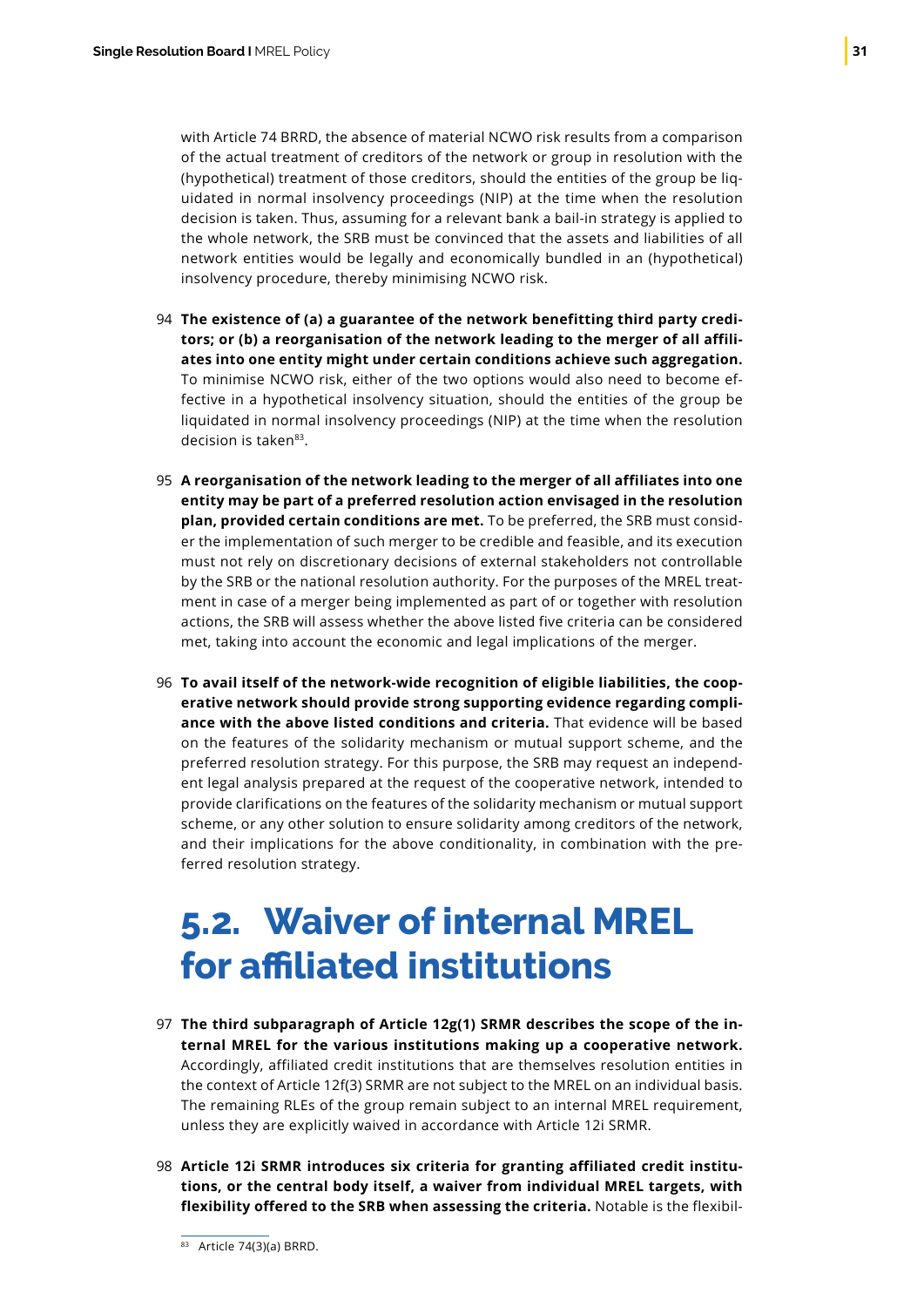<span id="page-32-0"></span>with Article 74 BRRD, the absence of material NCWO risk results from a comparison of the actual treatment of creditors of the network or group in resolution with the (hypothetical) treatment of those creditors, should the entities of the group be liquidated in normal insolvency proceedings (NIP) at the time when the resolution decision is taken. Thus, assuming for a relevant bank a bail-in strategy is applied to the whole network, the SRB must be convinced that the assets and liabilities of all network entities would be legally and economically bundled in an (hypothetical) insolvency procedure, thereby minimising NCWO risk.

- **The existence of (a) a guarantee of the network benefitting third party credi-**94 **tors; or (b) a reorganisation of the network leading to the merger of all affiliates into one entity might under certain conditions achieve such aggregation.** To minimise NCWO risk, either of the two options would also need to become effective in a hypothetical insolvency situation, should the entities of the group be liquidated in normal insolvency proceedings (NIP) at the time when the resolution decision is taken<sup>83</sup>.
- **A reorganisation of the network leading to the merger of all affiliates into one** 95 **entity may be part of a preferred resolution action envisaged in the resolution plan, provided certain conditions are met.** To be preferred, the SRB must consider the implementation of such merger to be credible and feasible, and its execution must not rely on discretionary decisions of external stakeholders not controllable by the SRB or the national resolution authority. For the purposes of the MREL treatment in case of a merger being implemented as part of or together with resolution actions, the SRB will assess whether the above listed five criteria can be considered met, taking into account the economic and legal implications of the merger.
- **To avail itself of the network-wide recognition of eligible liabilities, the coop-**96 **erative network should provide strong supporting evidence regarding compliance with the above listed conditions and criteria.** That evidence will be based on the features of the solidarity mechanism or mutual support scheme, and the preferred resolution strategy. For this purpose, the SRB may request an independent legal analysis prepared at the request of the cooperative network, intended to provide clarifications on the features of the solidarity mechanism or mutual support scheme, or any other solution to ensure solidarity among creditors of the network, and their implications for the above conditionality, in combination with the preferred resolution strategy.

### **5.2. Waiver of internal MREL for affiliated institutions**

- **The third subparagraph of Article 12g(1) SRMR describes the scope of the in-**97 **ternal MREL for the various institutions making up a cooperative network.** Accordingly, affiliated credit institutions that are themselves resolution entities in the context of Article 12f(3) SRMR are not subject to the MREL on an individual basis. The remaining RLEs of the group remain subject to an internal MREL requirement, unless they are explicitly waived in accordance with Article 12i SRMR.
- **Article 12i SRMR introduces six criteria for granting affiliated credit institu-**98**tions, or the central body itself, a waiver from individual MREL targets, with flexibility offered to the SRB when assessing the criteria.** Notable is the flexibil-

<sup>83</sup> Article 74(3)(a) BRRD.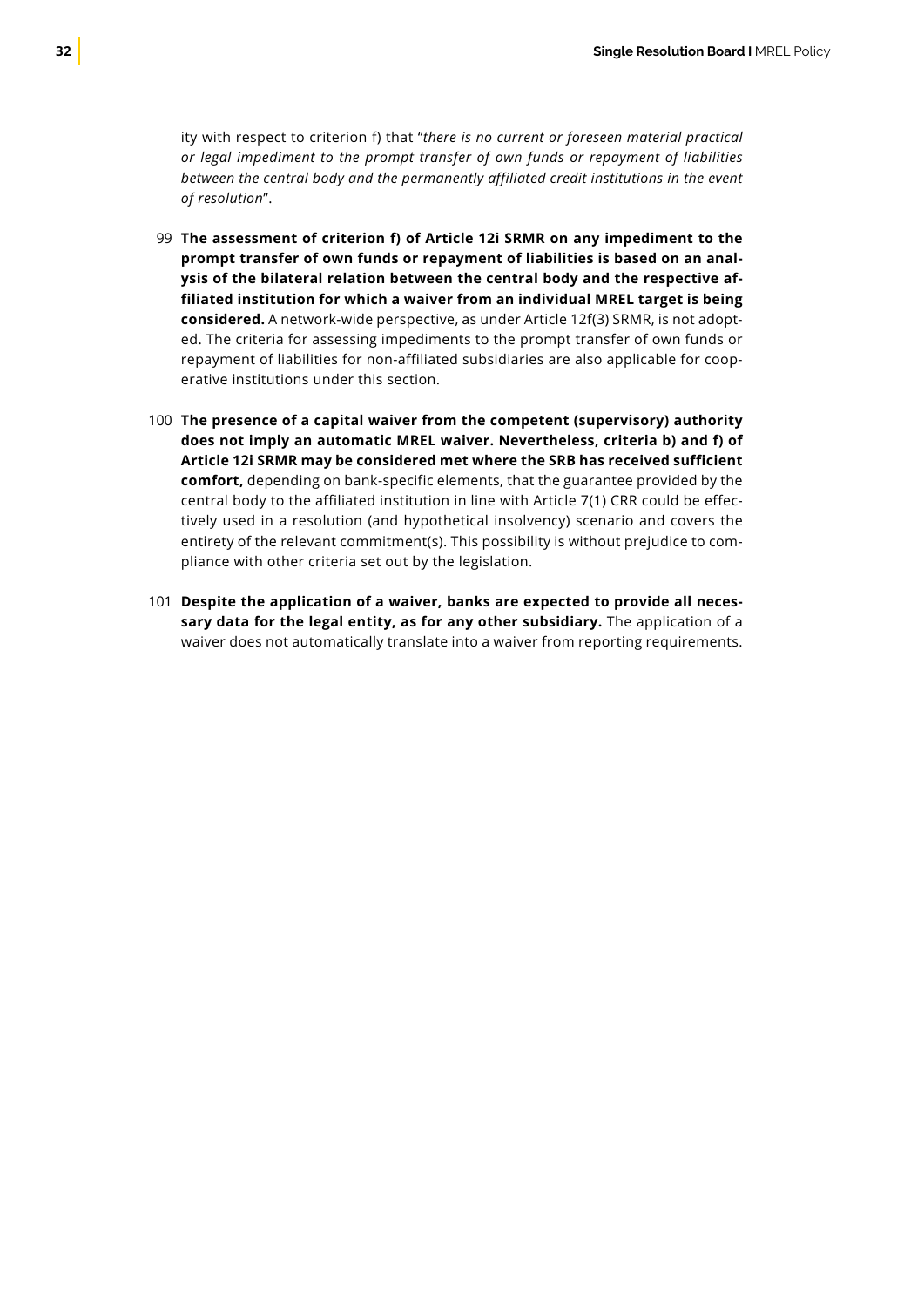ity with respect to criterion f) that "*there is no current or foreseen material practical or legal impediment to the prompt transfer of own funds or repayment of liabilities between the central body and the permanently affiliated credit institutions in the event of resolution*".

- **The assessment of criterion f) of Article 12i SRMR on any impediment to the** 99 **prompt transfer of own funds or repayment of liabilities is based on an analysis of the bilateral relation between the central body and the respective affiliated institution for which a waiver from an individual MREL target is being considered.** A network-wide perspective, as under Article 12f(3) SRMR, is not adopted. The criteria for assessing impediments to the prompt transfer of own funds or repayment of liabilities for non-affiliated subsidiaries are also applicable for cooperative institutions under this section.
- **The presence of a capital waiver from the competent (supervisory) authority** 100 **does not imply an automatic MREL waiver. Nevertheless, criteria b) and f) of Article 12i SRMR may be considered met where the SRB has received sufficient comfort,** depending on bank-specific elements, that the guarantee provided by the central body to the affiliated institution in line with Article 7(1) CRR could be effectively used in a resolution (and hypothetical insolvency) scenario and covers the entirety of the relevant commitment(s). This possibility is without prejudice to compliance with other criteria set out by the legislation.
- **Despite the application of a waiver, banks are expected to provide all neces-**101**sary data for the legal entity, as for any other subsidiary.** The application of a waiver does not automatically translate into a waiver from reporting requirements.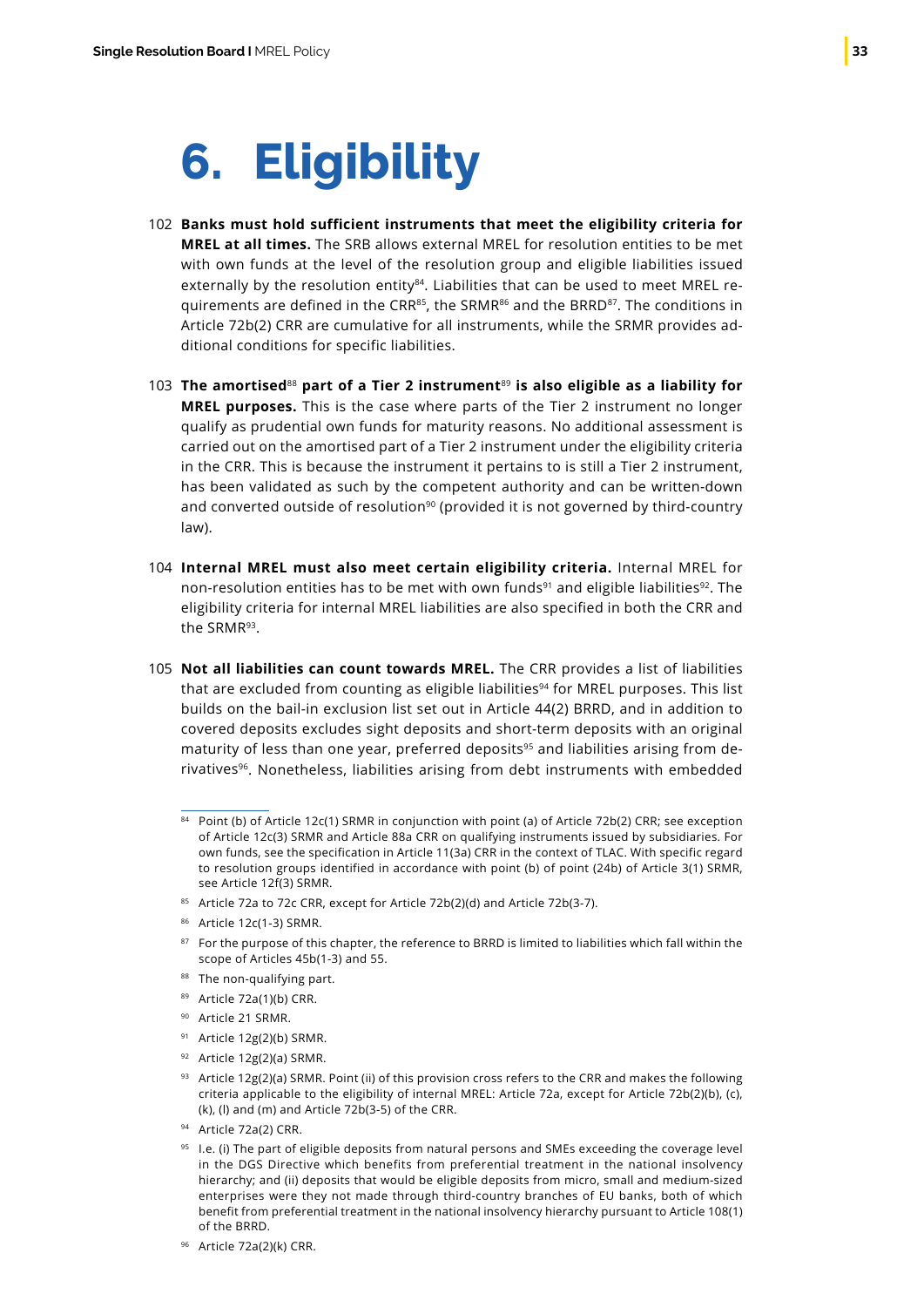## <span id="page-34-0"></span>**6. Eligibility**

- **Banks must hold sufficient instruments that meet the eligibility criteria for**  102 **MREL at all times.** The SRB allows external MREL for resolution entities to be met with own funds at the level of the resolution group and eligible liabilities issued externally by the resolution entity<sup>84</sup>. Liabilities that can be used to meet MREL requirements are defined in the CRR<sup>85</sup>, the SRMR<sup>86</sup> and the BRRD<sup>87</sup>. The conditions in Article 72b(2) CRR are cumulative for all instruments, while the SRMR provides additional conditions for specific liabilities.
- **The amortised**<sup>88</sup> **part of a Tier 2 instrument**<sup>89</sup> **is also eligible as a liability for**  103 **MREL purposes.** This is the case where parts of the Tier 2 instrument no longer qualify as prudential own funds for maturity reasons. No additional assessment is carried out on the amortised part of a Tier 2 instrument under the eligibility criteria in the CRR. This is because the instrument it pertains to is still a Tier 2 instrument, has been validated as such by the competent authority and can be written-down and converted outside of resolution<sup>90</sup> (provided it is not governed by third-country law).
- **Internal MREL must also meet certain eligibility criteria.** Internal MREL for 104 non-resolution entities has to be met with own funds<sup>91</sup> and eligible liabilities<sup>92</sup>. The eligibility criteria for internal MREL liabilities are also specified in both the CRR and the SRMR93.
- **Not all liabilities can count towards MREL.** The CRR provides a list of liabilities 105that are excluded from counting as eligible liabilities $94$  for MREL purposes. This list builds on the bail-in exclusion list set out in Article 44(2) BRRD, and in addition to covered deposits excludes sight deposits and short-term deposits with an original maturity of less than one year, preferred deposits<sup>95</sup> and liabilities arising from derivatives<sup>96</sup>. Nonetheless, liabilities arising from debt instruments with embedded
	- 84 Point (b) of Article 12c(1) SRMR in conjunction with point (a) of Article 72b(2) CRR; see exception of Article 12c(3) SRMR and Article 88a CRR on qualifying instruments issued by subsidiaries. For own funds, see the specification in Article 11(3a) CRR in the context of TLAC. With specific regard to resolution groups identified in accordance with point (b) of point (24b) of Article 3(1) SRMR, see Article 12f(3) SRMR.
	- 85 Article 72a to 72c CRR, except for Article 72b(2)(d) and Article 72b(3-7).
	- <sup>86</sup> Article 12c(1-3) SRMR.
	- 87 For the purpose of this chapter, the reference to BRRD is limited to liabilities which fall within the scope of Articles 45b(1-3) and 55.
	- 88 The non-qualifying part.
	- <sup>89</sup> Article 72a(1)(b) CRR.
	- 90 Article 21 SRMR.
	- 91 Article 12g(2)(b) SRMR.
	- <sup>92</sup> Article 12g(2)(a) SRMR.
	- 93 Article 12g(2)(a) SRMR. Point (ii) of this provision cross refers to the CRR and makes the following criteria applicable to the eligibility of internal MREL: Article 72a, except for Article 72b(2)(b), (c), (k), (l) and (m) and Article 72b(3-5) of the CRR.
	- <sup>94</sup> Article 72a(2) CRR.
	- 95 I.e. (i) The part of eligible deposits from natural persons and SMEs exceeding the coverage level in the DGS Directive which benefits from preferential treatment in the national insolvency hierarchy; and (ii) deposits that would be eligible deposits from micro, small and medium-sized enterprises were they not made through third-country branches of EU banks, both of which benefit from preferential treatment in the national insolvency hierarchy pursuant to Article 108(1) of the BRRD.
	- <sup>96</sup> Article 72a(2)(k) CRR.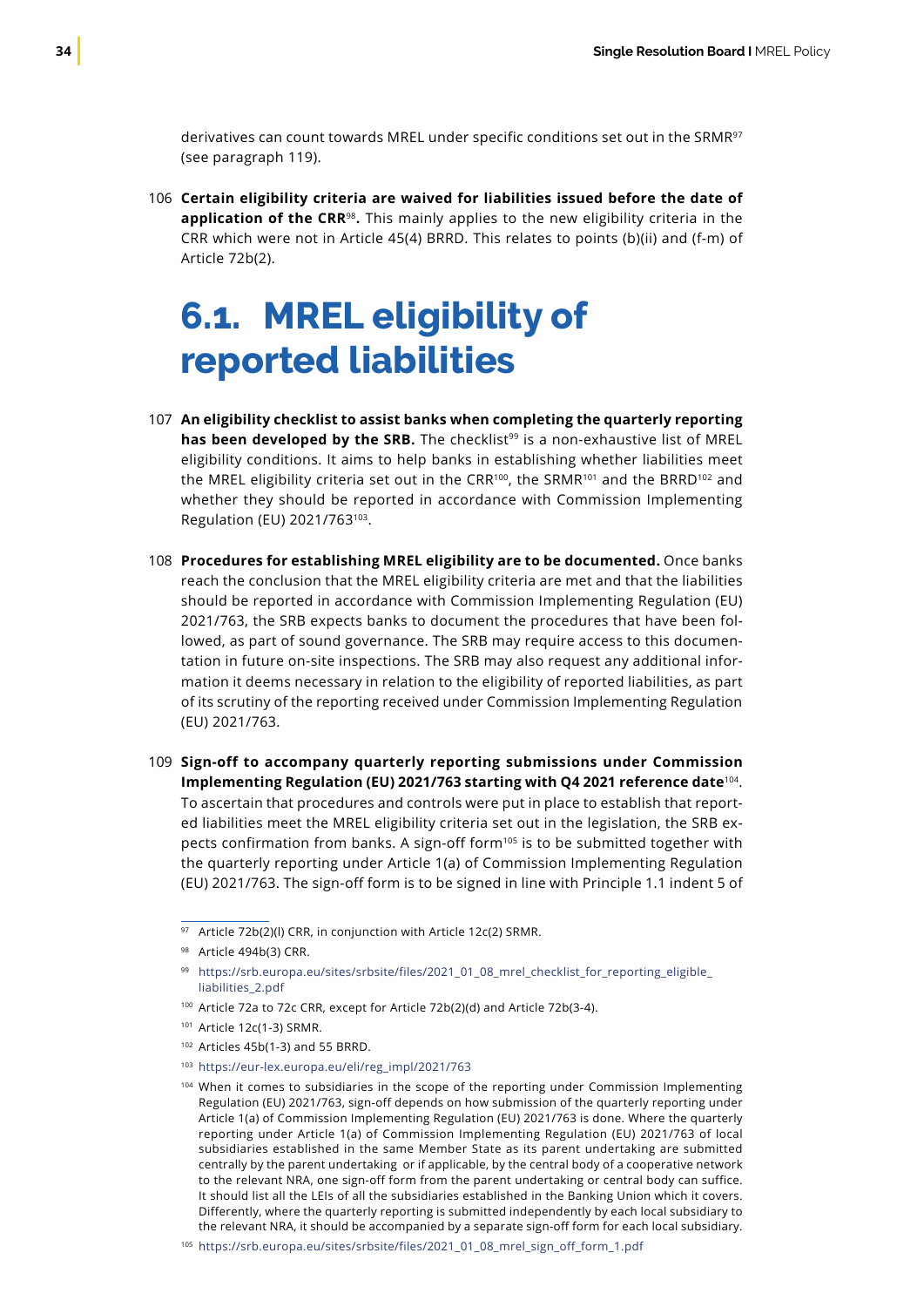<span id="page-35-0"></span>derivatives can count towards MREL under specific conditions set out in the SRMR<sup>97</sup> (see paragraph 119).

**Certain eligibility criteria are waived for liabilities issued before the date of** 106 **application of the CRR**<sup>98</sup>**.** This mainly applies to the new eligibility criteria in the CRR which were not in Article 45(4) BRRD. This relates to points (b)(ii) and (f-m) of Article 72b(2).

### **6.1. MREL eligibility of reported liabilities**

- **An eligibility checklist to assist banks when completing the quarterly reporting** 107 **has been developed by the SRB.** The checklist<sup>99</sup> is a non-exhaustive list of MREL eligibility conditions. It aims to help banks in establishing whether liabilities meet the MREL eligibility criteria set out in the CRR<sup>100</sup>, the SRMR<sup>101</sup> and the BRRD<sup>102</sup> and whether they should be reported in accordance with Commission Implementing Regulation (EU) 2021/763103.
- **Procedures for establishing MREL eligibility are to be documented.** Once banks 108 reach the conclusion that the MREL eligibility criteria are met and that the liabilities should be reported in accordance with Commission Implementing Regulation (EU) 2021/763, the SRB expects banks to document the procedures that have been followed, as part of sound governance. The SRB may require access to this documentation in future on-site inspections. The SRB may also request any additional information it deems necessary in relation to the eligibility of reported liabilities, as part of its scrutiny of the reporting received under Commission Implementing Regulation (EU) 2021/763.
- **Sign-off to accompany quarterly reporting submissions under Commission**  109**Implementing Regulation (EU) 2021/763 starting with Q4 2021 reference date**<sup>104</sup>. To ascertain that procedures and controls were put in place to establish that reported liabilities meet the MREL eligibility criteria set out in the legislation, the SRB expects confirmation from banks. A sign-off form<sup>105</sup> is to be submitted together with the quarterly reporting under Article 1(a) of Commission Implementing Regulation (EU) 2021/763. The sign-off form is to be signed in line with Principle 1.1 indent 5 of

<sup>100</sup> Article 72a to 72c CRR, except for Article 72b(2)(d) and Article 72b(3-4).

<sup>102</sup> Articles 45b(1-3) and 55 BRRD.

<sup>97</sup> Article 72b(2)(I) CRR, in conjunction with Article 12c(2) SRMR.

<sup>98</sup> Article 494b(3) CRR.

<sup>99</sup> [https://srb.europa.eu/sites/srbsite/files/2021\\_01\\_08\\_mrel\\_checklist\\_for\\_reporting\\_eligible\\_](https://srb.europa.eu/sites/srbsite/files/2021_01_08_mrel_checklist_for_reporting_eligible_liabilities_2.pdf) [liabilities\\_2.pdf](https://srb.europa.eu/sites/srbsite/files/2021_01_08_mrel_checklist_for_reporting_eligible_liabilities_2.pdf)

<sup>101</sup> Article 12c(1-3) SRMR.

<sup>103</sup> https://eur-lex.europa.eu/eli/reg\_impl/2021/763

<sup>104</sup> When it comes to subsidiaries in the scope of the reporting under Commission Implementing Regulation (EU) 2021/763, sign-off depends on how submission of the quarterly reporting under Article 1(a) of Commission Implementing Regulation (EU) 2021/763 is done. Where the quarterly reporting under Article 1(a) of Commission Implementing Regulation (EU) 2021/763 of local subsidiaries established in the same Member State as its parent undertaking are submitted centrally by the parent undertaking or if applicable, by the central body of a cooperative network to the relevant NRA, one sign-off form from the parent undertaking or central body can suffice. It should list all the LEIs of all the subsidiaries established in the Banking Union which it covers. Differently, where the quarterly reporting is submitted independently by each local subsidiary to the relevant NRA, it should be accompanied by a separate sign-off form for each local subsidiary.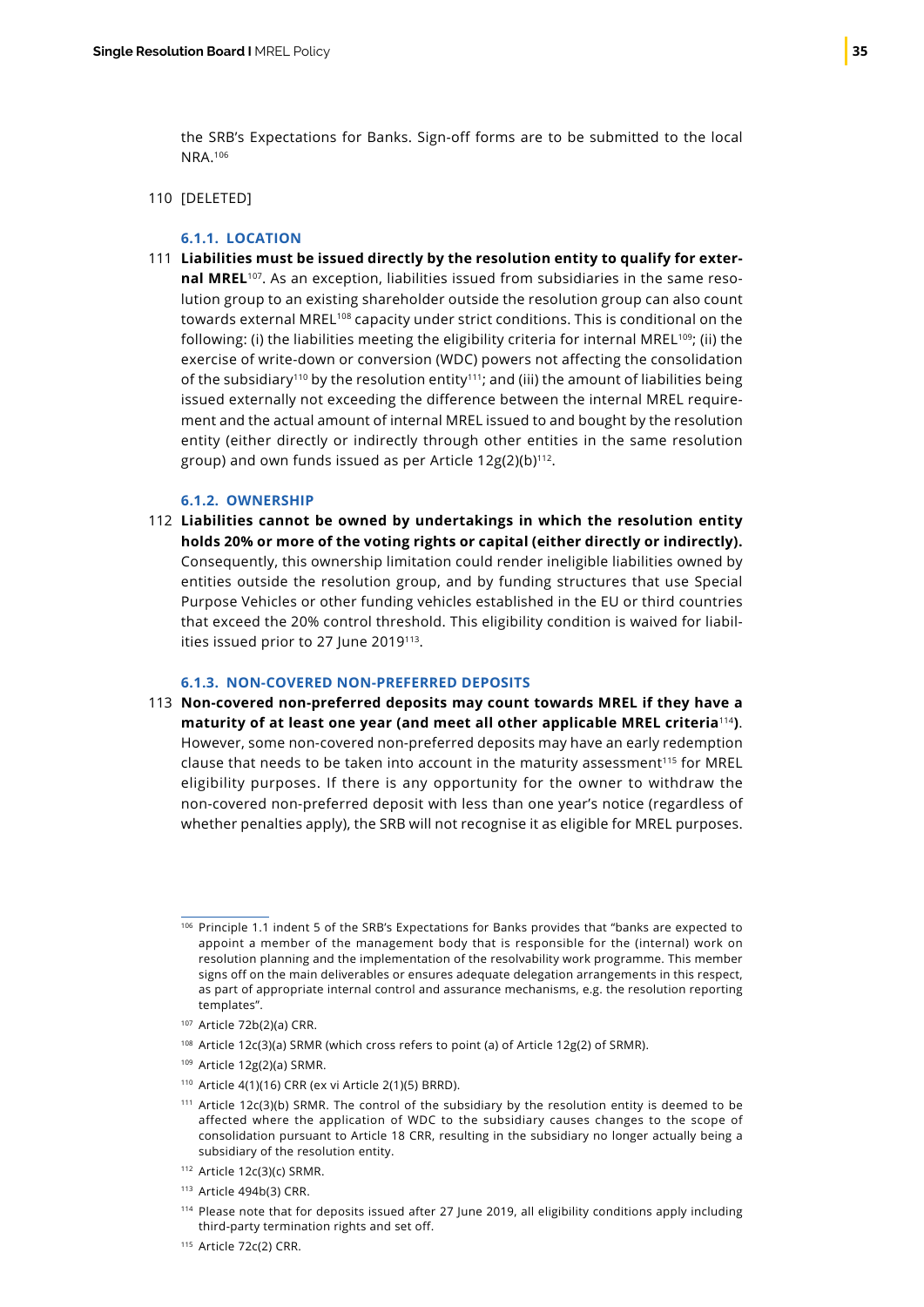the SRB's Expectations for Banks. Sign-off forms are to be submitted to the local NRA.106

#### 110 [DELETED]

#### **6.1.1. LOCATION**

**Liabilities must be issued directly by the resolution entity to qualify for exter-**111 **nal MREL**107. As an exception, liabilities issued from subsidiaries in the same resolution group to an existing shareholder outside the resolution group can also count towards external MREL<sup>108</sup> capacity under strict conditions. This is conditional on the following: (i) the liabilities meeting the eligibility criteria for internal MREL<sup>109</sup>; (ii) the exercise of write-down or conversion (WDC) powers not affecting the consolidation of the subsidiary<sup>110</sup> by the resolution entity<sup>111</sup>; and (iii) the amount of liabilities being issued externally not exceeding the difference between the internal MREL requirement and the actual amount of internal MREL issued to and bought by the resolution entity (either directly or indirectly through other entities in the same resolution group) and own funds issued as per Article  $12g(2)(b)^{112}$ .

#### **6.1.2. OWNERSHIP**

**Liabilities cannot be owned by undertakings in which the resolution entity** 112 **holds 20% or more of the voting rights or capital (either directly or indirectly).** Consequently, this ownership limitation could render ineligible liabilities owned by entities outside the resolution group, and by funding structures that use Special Purpose Vehicles or other funding vehicles established in the EU or third countries that exceed the 20% control threshold. This eligibility condition is waived for liabilities issued prior to 27 June 2019<sup>113</sup>.

#### **6.1.3. NON-COVERED NON-PREFERRED DEPOSITS**

**Non-covered non-preferred deposits may count towards MREL if they have a** 113**maturity of at least one year (and meet all other applicable MREL criteria**<sup>114</sup>**)**. However, some non-covered non-preferred deposits may have an early redemption clause that needs to be taken into account in the maturity assessment<sup>115</sup> for MREL eligibility purposes. If there is any opportunity for the owner to withdraw the non-covered non-preferred deposit with less than one year's notice (regardless of whether penalties apply), the SRB will not recognise it as eligible for MREL purposes.

<sup>108</sup> Article 12c(3)(a) SRMR (which cross refers to point (a) of Article 12g(2) of SRMR).

- <sup>112</sup> Article 12c(3)(c) SRMR.
- <sup>113</sup> Article 494b(3) CRR.

<sup>106</sup> Principle 1.1 indent 5 of the SRB's Expectations for Banks provides that "banks are expected to appoint a member of the management body that is responsible for the (internal) work on resolution planning and the implementation of the resolvability work programme. This member signs off on the main deliverables or ensures adequate delegation arrangements in this respect, as part of appropriate internal control and assurance mechanisms, e.g. the resolution reporting templates".

<sup>107</sup> Article 72b(2)(a) CRR.

<sup>109</sup> Article 12g(2)(a) SRMR.

<sup>110</sup> Article 4(1)(16) CRR (ex vi Article 2(1)(5) BRRD).

<sup>111</sup> Article 12c(3)(b) SRMR. The control of the subsidiary by the resolution entity is deemed to be affected where the application of WDC to the subsidiary causes changes to the scope of consolidation pursuant to Article 18 CRR, resulting in the subsidiary no longer actually being a subsidiary of the resolution entity.

<sup>114</sup> Please note that for deposits issued after 27 June 2019, all eligibility conditions apply including third-party termination rights and set off.

<sup>115</sup> Article 72c(2) CRR.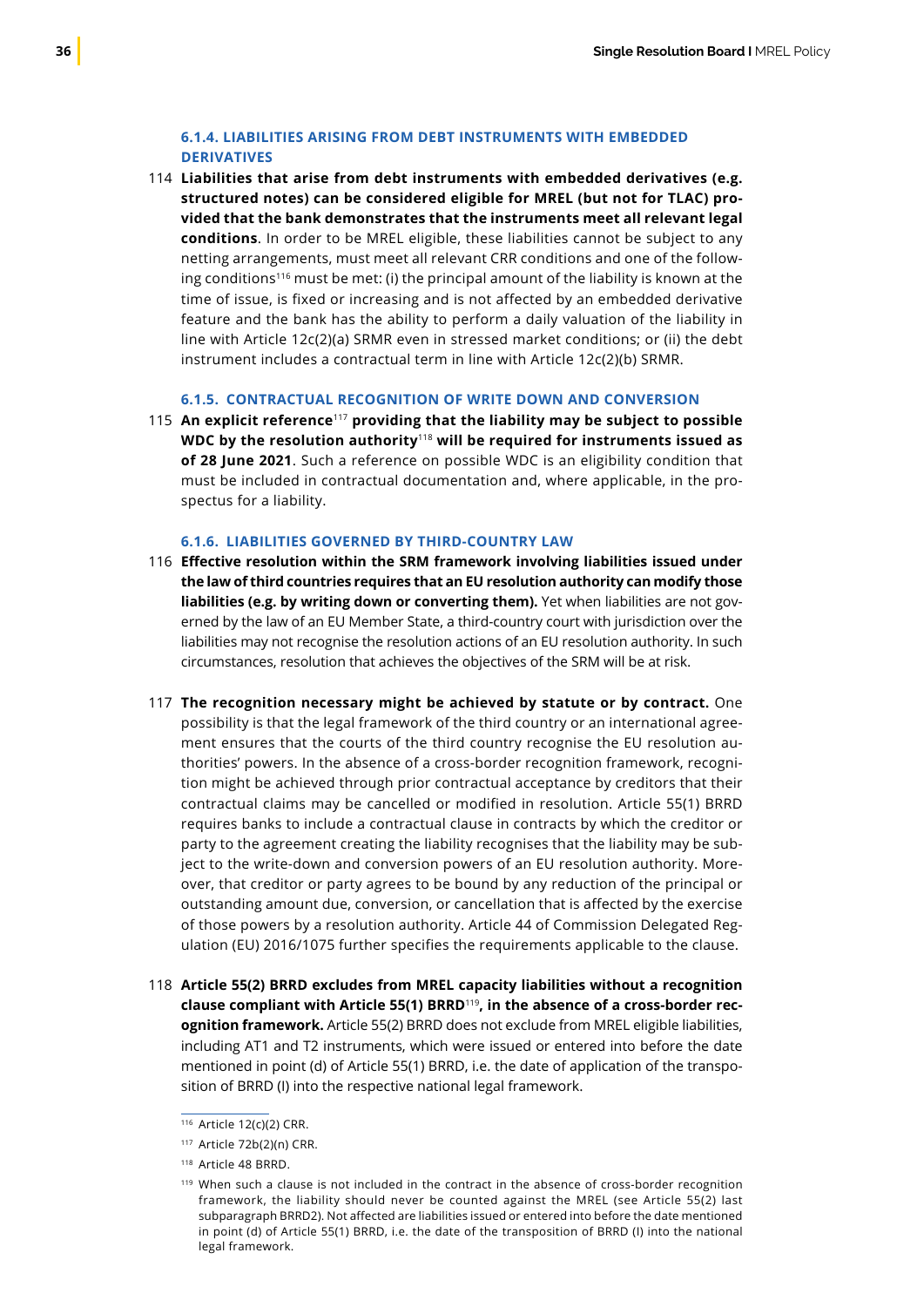### **6.1.4. LIABILITIES ARISING FROM DEBT INSTRUMENTS WITH EMBEDDED DERIVATIVES**

**Liabilities that arise from debt instruments with embedded derivatives (e.g.** 114 **structured notes) can be considered eligible for MREL (but not for TLAC) provided that the bank demonstrates that the instruments meet all relevant legal conditions**. In order to be MREL eligible, these liabilities cannot be subject to any netting arrangements, must meet all relevant CRR conditions and one of the following conditions<sup>116</sup> must be met: (i) the principal amount of the liability is known at the time of issue, is fixed or increasing and is not affected by an embedded derivative feature and the bank has the ability to perform a daily valuation of the liability in line with Article 12c(2)(a) SRMR even in stressed market conditions; or (ii) the debt instrument includes a contractual term in line with Article 12c(2)(b) SRMR.

### **6.1.5. CONTRACTUAL RECOGNITION OF WRITE DOWN AND CONVERSION**

**An explicit reference**<sup>117</sup> **providing that the liability may be subject to possible**  115 **WDC by the resolution authority**<sup>118</sup> **will be required for instruments issued as of 28 June 2021**. Such a reference on possible WDC is an eligibility condition that must be included in contractual documentation and, where applicable, in the prospectus for a liability.

#### **6.1.6. LIABILITIES GOVERNED BY THIRD-COUNTRY LAW**

- **Effective resolution within the SRM framework involving liabilities issued under** 116 **the law of third countries requires that an EU resolution authority can modify those liabilities (e.g. by writing down or converting them).** Yet when liabilities are not governed by the law of an EU Member State, a third‑country court with jurisdiction over the liabilities may not recognise the resolution actions of an EU resolution authority. In such circumstances, resolution that achieves the objectives of the SRM will be at risk.
- **The recognition necessary might be achieved by statute or by contract.** One 117 possibility is that the legal framework of the third country or an international agreement ensures that the courts of the third country recognise the EU resolution authorities' powers. In the absence of a cross-border recognition framework, recognition might be achieved through prior contractual acceptance by creditors that their contractual claims may be cancelled or modified in resolution. Article 55(1) BRRD requires banks to include a contractual clause in contracts by which the creditor or party to the agreement creating the liability recognises that the liability may be subject to the write-down and conversion powers of an EU resolution authority. Moreover, that creditor or party agrees to be bound by any reduction of the principal or outstanding amount due, conversion, or cancellation that is affected by the exercise of those powers by a resolution authority. Article 44 of Commission Delegated Regulation (EU) 2016/1075 further specifies the requirements applicable to the clause.
- **Article 55(2) BRRD excludes from MREL capacity liabilities without a recognition** 118**clause compliant with Article 55(1) BRRD**<sup>119</sup>**, in the absence of a cross-border recognition framework.** Article 55(2) BRRD does not exclude from MREL eligible liabilities, including AT1 and T2 instruments, which were issued or entered into before the date mentioned in point (d) of Article 55(1) BRRD, i.e. the date of application of the transposition of BRRD (I) into the respective national legal framework.

<sup>116</sup> Article 12(c)(2) CRR.

<sup>117</sup> Article 72b(2)(n) CRR.

<sup>118</sup> Article 48 BRRD.

<sup>&</sup>lt;sup>119</sup> When such a clause is not included in the contract in the absence of cross-border recognition framework, the liability should never be counted against the MREL (see Article 55(2) last subparagraph BRRD2). Not affected are liabilities issued or entered into before the date mentioned in point (d) of Article 55(1) BRRD, i.e. the date of the transposition of BRRD (I) into the national legal framework.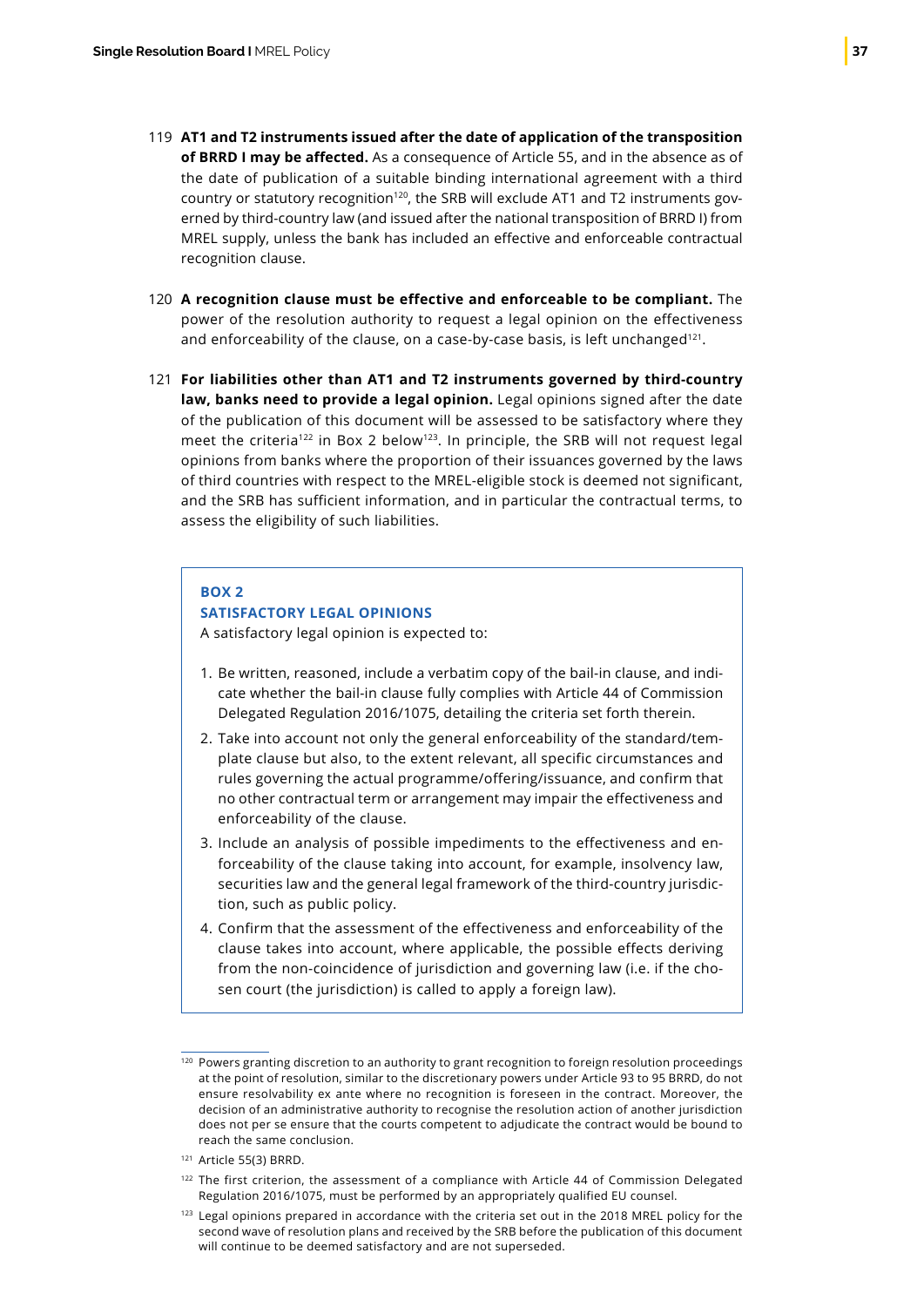- **AT1 and T2 instruments issued after the date of application of the transposition**  119 **of BRRD I may be affected.** As a consequence of Article 55, and in the absence as of the date of publication of a suitable binding international agreement with a third country or statutory recognition120, the SRB will exclude AT1 and T2 instruments governed by third-country law (and issued after the national transposition of BRRD I) from MREL supply, unless the bank has included an effective and enforceable contractual recognition clause.
- **A recognition clause must be effective and enforceable to be compliant.** The 120 power of the resolution authority to request a legal opinion on the effectiveness and enforceability of the clause, on a case-by-case basis, is left unchanged<sup>121</sup>.
- **For liabilities other than AT1 and T2 instruments governed by third-country**  121 **law, banks need to provide a legal opinion.** Legal opinions signed after the date of the publication of this document will be assessed to be satisfactory where they meet the criteria<sup>122</sup> in Box 2 below<sup>123</sup>. In principle, the SRB will not request legal opinions from banks where the proportion of their issuances governed by the laws of third countries with respect to the MREL-eligible stock is deemed not significant, and the SRB has sufficient information, and in particular the contractual terms, to assess the eligibility of such liabilities.

#### **BOX 2**

### **SATISFACTORY LEGAL OPINIONS**

A satisfactory legal opinion is expected to:

- 1. Be written, reasoned, include a verbatim copy of the bail-in clause, and indicate whether the bail-in clause fully complies with Article 44 of Commission Delegated Regulation 2016/1075, detailing the criteria set forth therein.
- 2. Take into account not only the general enforceability of the standard/template clause but also, to the extent relevant, all specific circumstances and rules governing the actual programme/offering/issuance, and confirm that no other contractual term or arrangement may impair the effectiveness and enforceability of the clause.
- 3. Include an analysis of possible impediments to the effectiveness and enforceability of the clause taking into account, for example, insolvency law, securities law and the general legal framework of the third-country jurisdiction, such as public policy.
- 4. Confirm that the assessment of the effectiveness and enforceability of the clause takes into account, where applicable, the possible effects deriving from the non-coincidence of jurisdiction and governing law (i.e. if the chosen court (the jurisdiction) is called to apply a foreign law).

 $120$  Powers granting discretion to an authority to grant recognition to foreign resolution proceedings at the point of resolution, similar to the discretionary powers under Article 93 to 95 BRRD, do not ensure resolvability ex ante where no recognition is foreseen in the contract. Moreover, the decision of an administrative authority to recognise the resolution action of another jurisdiction does not per se ensure that the courts competent to adjudicate the contract would be bound to reach the same conclusion.

<sup>121</sup> Article 55(3) BRRD.

<sup>&</sup>lt;sup>122</sup> The first criterion, the assessment of a compliance with Article 44 of Commission Delegated Regulation 2016/1075, must be performed by an appropriately qualified EU counsel.

<sup>&</sup>lt;sup>123</sup> Legal opinions prepared in accordance with the criteria set out in the 2018 MREL policy for the second wave of resolution plans and received by the SRB before the publication of this document will continue to be deemed satisfactory and are not superseded.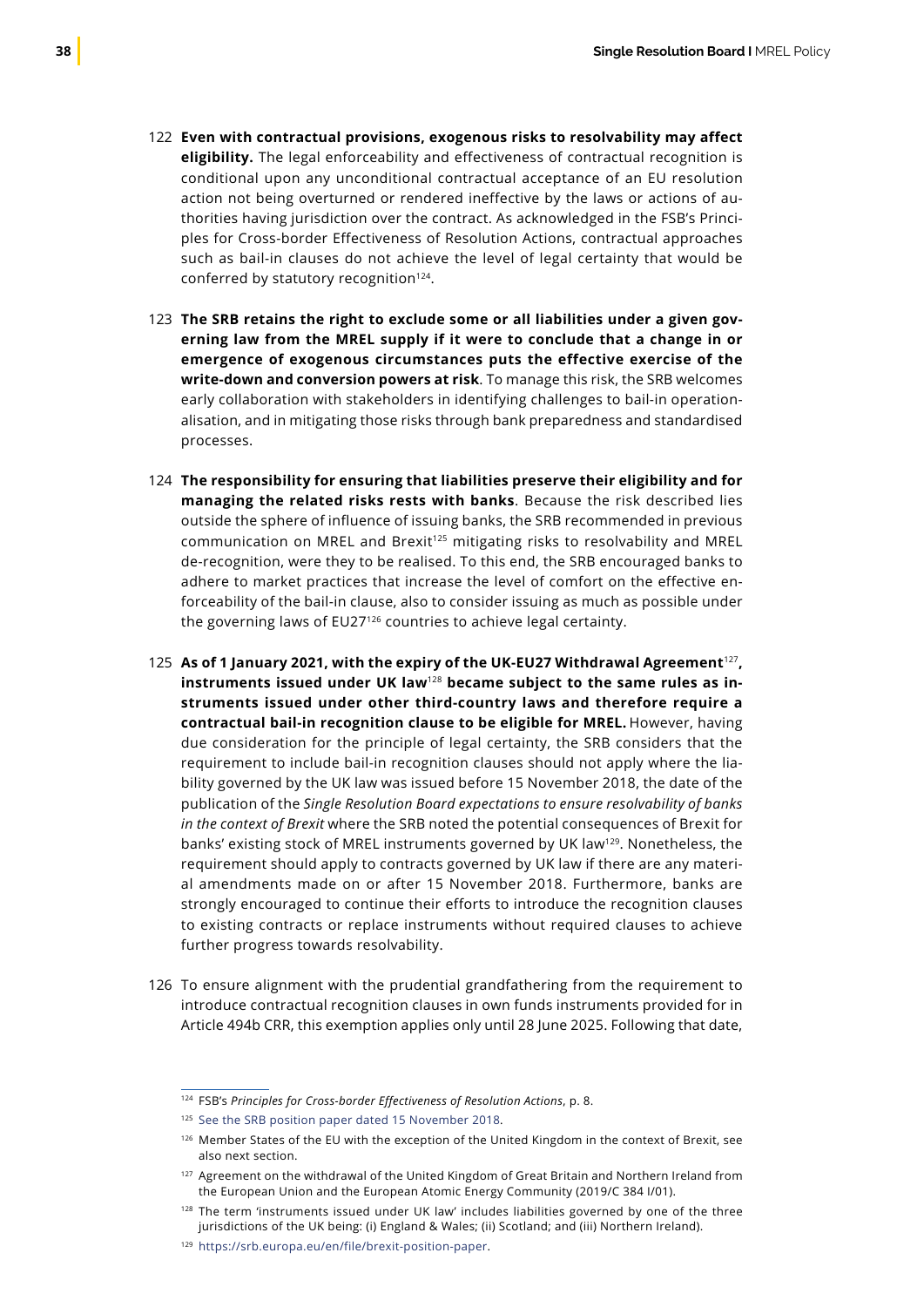- **Even with contractual provisions, exogenous risks to resolvability may affect** 122 **eligibility.** The legal enforceability and effectiveness of contractual recognition is conditional upon any unconditional contractual acceptance of an EU resolution action not being overturned or rendered ineffective by the laws or actions of authorities having jurisdiction over the contract. As acknowledged in the FSB's Principles for Cross-border Effectiveness of Resolution Actions, contractual approaches such as bail-in clauses do not achieve the level of legal certainty that would be conferred by statutory recognition<sup>124</sup>.
- **The SRB retains the right to exclude some or all liabilities under a given gov-**123 **erning law from the MREL supply if it were to conclude that a change in or emergence of exogenous circumstances puts the effective exercise of the write-down and conversion powers at risk**. To manage this risk, the SRB welcomes early collaboration with stakeholders in identifying challenges to bail-in operationalisation, and in mitigating those risks through bank preparedness and standardised processes.
- **The responsibility for ensuring that liabilities preserve their eligibility and for**  124 **managing the related risks rests with banks**. Because the risk described lies outside the sphere of influence of issuing banks, the SRB recommended in previous communication on MREL and Brexit<sup>125</sup> mitigating risks to resolvability and MREL de-recognition, were they to be realised. To this end, the SRB encouraged banks to adhere to market practices that increase the level of comfort on the effective enforceability of the bail-in clause, also to consider issuing as much as possible under the governing laws of EU27<sup>126</sup> countries to achieve legal certainty.
- **As of 1 January 2021, with the expiry of the UK-EU27 Withdrawal Agreement**<sup>127</sup>**,**  125 **instruments issued under UK law**<sup>128</sup> **became subject to the same rules as instruments issued under other third-country laws and therefore require a contractual bail-in recognition clause to be eligible for MREL.** However, having due consideration for the principle of legal certainty, the SRB considers that the requirement to include bail-in recognition clauses should not apply where the liability governed by the UK law was issued before 15 November 2018, the date of the publication of the *Single Resolution Board expectations to ensure resolvability of banks in the context of Brexit* where the SRB noted the potential consequences of Brexit for banks' existing stock of MREL instruments governed by UK law129. Nonetheless, the requirement should apply to contracts governed by UK law if there are any material amendments made on or after 15 November 2018. Furthermore, banks are strongly encouraged to continue their efforts to introduce the recognition clauses to existing contracts or replace instruments without required clauses to achieve further progress towards resolvability.
- 126 To ensure alignment with the prudential grandfathering from the requirement to introduce contractual recognition clauses in own funds instruments provided for in Article 494b CRR, this exemption applies only until 28 June 2025. Following that date,

<sup>124</sup> FSB's *Principles for Cross-border Effectiveness of Resolution Actions*, p. 8.

<sup>&</sup>lt;sup>125</sup> [See the SRB position paper dated 15 November 2018](https://srb.europa.eu/en/node/679).

<sup>126</sup> Member States of the EU with the exception of the United Kingdom in the context of Brexit, see also next section.

<sup>&</sup>lt;sup>127</sup> Agreement on the withdrawal of the United Kingdom of Great Britain and Northern Ireland from the European Union and the European Atomic Energy Community (2019/C 384 I/01).

<sup>128</sup> The term 'instruments issued under UK law' includes liabilities governed by one of the three jurisdictions of the UK being: (i) England & Wales; (ii) Scotland; and (iii) Northern Ireland).

<sup>129</sup> https://srb.europa.eu/en/file/brexit-position-paper.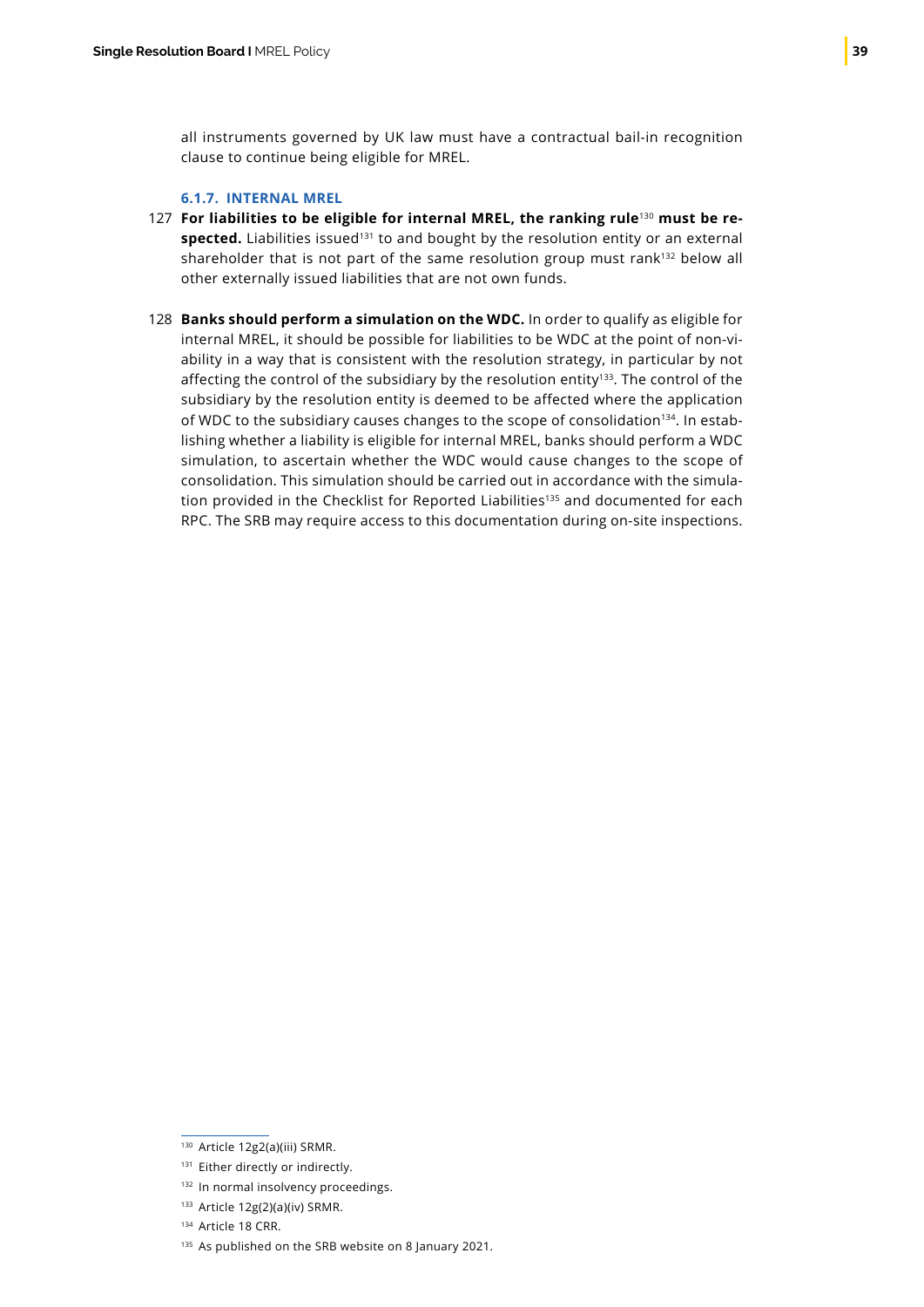all instruments governed by UK law must have a contractual bail-in recognition clause to continue being eligible for MREL.

### **6.1.7. INTERNAL MREL**

- **For liabilities to be eligible for internal MREL, the ranking rule**130 **must be re-**127 spected. Liabilities issued<sup>131</sup> to and bought by the resolution entity or an external shareholder that is not part of the same resolution group must rank<sup>132</sup> below all other externally issued liabilities that are not own funds.
- 128 **Banks should perform a simulation on the WDC.** In order to qualify as eligible for internal MREL, it should be possible for liabilities to be WDC at the point of non-viability in a way that is consistent with the resolution strategy, in particular by not affecting the control of the subsidiary by the resolution entity<sup>133</sup>. The control of the subsidiary by the resolution entity is deemed to be affected where the application of WDC to the subsidiary causes changes to the scope of consolidation<sup>134</sup>. In establishing whether a liability is eligible for internal MREL, banks should perform a WDC simulation, to ascertain whether the WDC would cause changes to the scope of consolidation. This simulation should be carried out in accordance with the simulation provided in the Checklist for Reported Liabilities<sup>135</sup> and documented for each RPC. The SRB may require access to this documentation during on-site inspections.

<sup>130</sup> Article 12g2(a)(iii) SRMR.

<sup>131</sup> Either directly or indirectly.

<sup>132</sup> In normal insolvency proceedings.

<sup>133</sup> Article 12g(2)(a)(iv) SRMR.

<sup>134</sup> Article 18 CRR.

<sup>&</sup>lt;sup>135</sup> As published on the SRB website on 8 January 2021.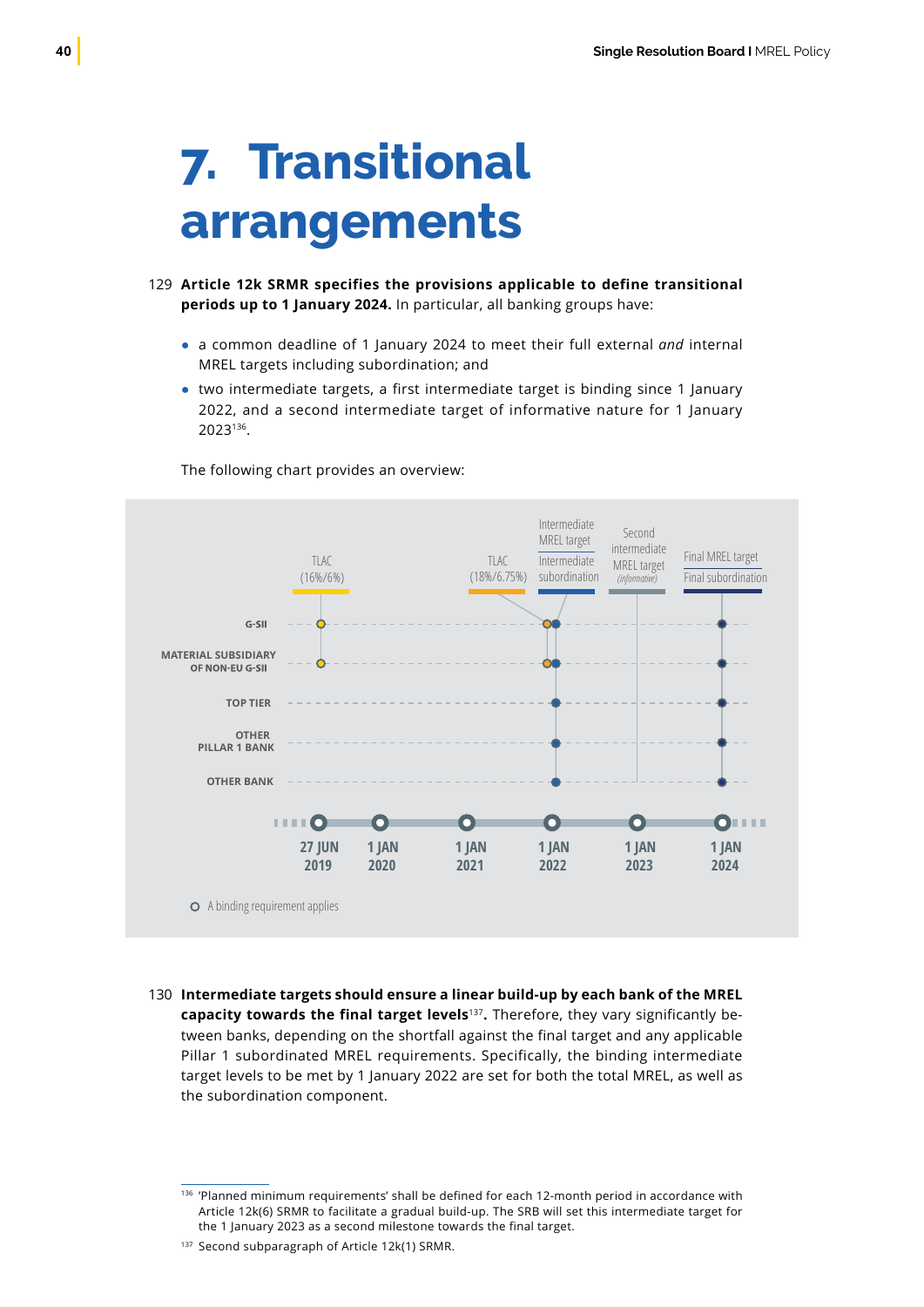# <span id="page-41-0"></span>**7. Transitional arrangements**

- **Article 12k SRMR specifies the provisions applicable to define transitional** 129 **periods up to 1 January 2024.** In particular, all banking groups have:
	- a common deadline of 1 January 2024 to meet their full external *and* internal MREL targets including subordination; and
	- two intermediate targets, a first intermediate target is binding since 1 January 2022, and a second intermediate target of informative nature for 1 January 2023136.



The following chart provides an overview:

**Intermediate targets should ensure a linear build-up by each bank of the MREL**  130**capacity towards the final target levels**<sup>137</sup>**.** Therefore, they vary significantly between banks, depending on the shortfall against the final target and any applicable Pillar 1 subordinated MREL requirements. Specifically, the binding intermediate target levels to be met by 1 January 2022 are set for both the total MREL, as well as the subordination component.

<sup>136 &#</sup>x27;Planned minimum requirements' shall be defined for each 12-month period in accordance with Article 12k(6) SRMR to facilitate a gradual build-up. The SRB will set this intermediate target for the 1 January 2023 as a second milestone towards the final target.

<sup>&</sup>lt;sup>137</sup> Second subparagraph of Article 12k(1) SRMR.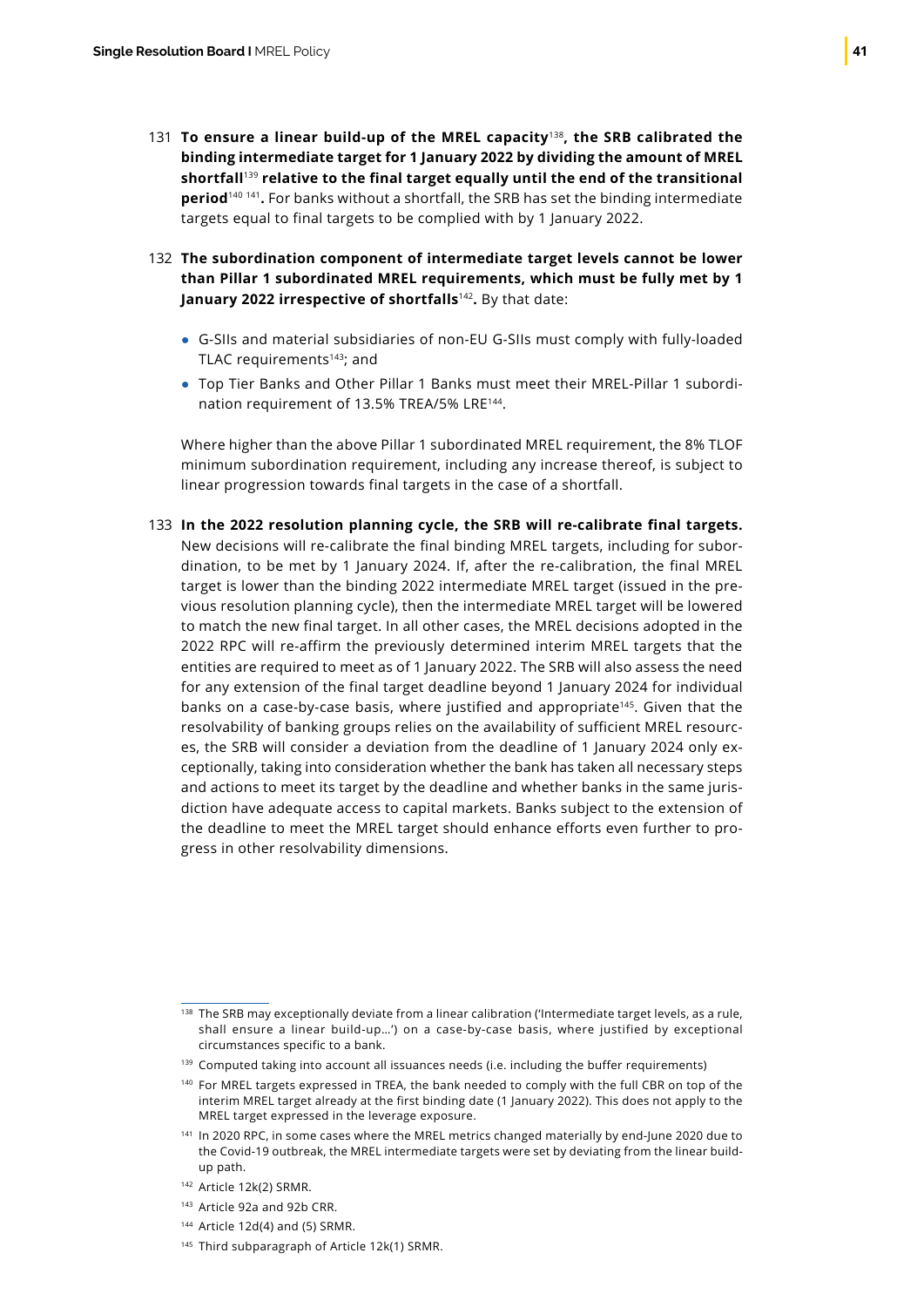- **To ensure a linear build-up of the MREL capacity**<sup>138</sup>**, the SRB calibrated the**  131 **binding intermediate target for 1 January 2022 by dividing the amount of MREL shortfall**<sup>139</sup> **relative to the final target equally until the end of the transitional period**<sup>140</sup> <sup>141</sup>**.** For banks without a shortfall, the SRB has set the binding intermediate targets equal to final targets to be complied with by 1 January 2022.
- **The subordination component of intermediate target levels cannot be lower** 132 **than Pillar 1 subordinated MREL requirements, which must be fully met by 1 January 2022 irrespective of shortfalls**<sup>142</sup>**.** By that date:
	- G-SIIs and material subsidiaries of non-EU G-SIIs must comply with fully-loaded TLAC requirements<sup>143</sup>; and
	- Top Tier Banks and Other Pillar 1 Banks must meet their MREL-Pillar 1 subordination requirement of 13.5% TREA/5% LRE144.

Where higher than the above Pillar 1 subordinated MREL requirement, the 8% TLOF minimum subordination requirement, including any increase thereof, is subject to linear progression towards final targets in the case of a shortfall.

**In the 2022 resolution planning cycle, the SRB will re-calibrate final targets.** 133New decisions will re-calibrate the final binding MREL targets, including for subordination, to be met by 1 January 2024. If, after the re-calibration, the final MREL target is lower than the binding 2022 intermediate MREL target (issued in the previous resolution planning cycle), then the intermediate MREL target will be lowered to match the new final target. In all other cases, the MREL decisions adopted in the 2022 RPC will re-affirm the previously determined interim MREL targets that the entities are required to meet as of 1 January 2022. The SRB will also assess the need for any extension of the final target deadline beyond 1 January 2024 for individual banks on a case-by-case basis, where justified and appropriate<sup>145</sup>. Given that the resolvability of banking groups relies on the availability of sufficient MREL resources, the SRB will consider a deviation from the deadline of 1 January 2024 only exceptionally, taking into consideration whether the bank has taken all necessary steps and actions to meet its target by the deadline and whether banks in the same jurisdiction have adequate access to capital markets. Banks subject to the extension of the deadline to meet the MREL target should enhance efforts even further to progress in other resolvability dimensions.

- <sup>143</sup> Article 92a and 92b CRR.
- $144$  Article 12d(4) and (5) SRMR.
- 145 Third subparagraph of Article 12k(1) SRMR.

<sup>&</sup>lt;sup>138</sup> The SRB may exceptionally deviate from a linear calibration ('Intermediate target levels, as a rule, shall ensure a linear build-up…') on a case-by-case basis, where justified by exceptional circumstances specific to a bank.

<sup>&</sup>lt;sup>139</sup> Computed taking into account all issuances needs (i.e. including the buffer requirements)

<sup>&</sup>lt;sup>140</sup> For MREL targets expressed in TREA, the bank needed to comply with the full CBR on top of the interim MREL target already at the first binding date (1 January 2022). This does not apply to the MREL target expressed in the leverage exposure.

<sup>&</sup>lt;sup>141</sup> In 2020 RPC, in some cases where the MREL metrics changed materially by end-June 2020 due to the Covid-19 outbreak, the MREL intermediate targets were set by deviating from the linear buildup path.

<sup>142</sup> Article 12k(2) SRMR.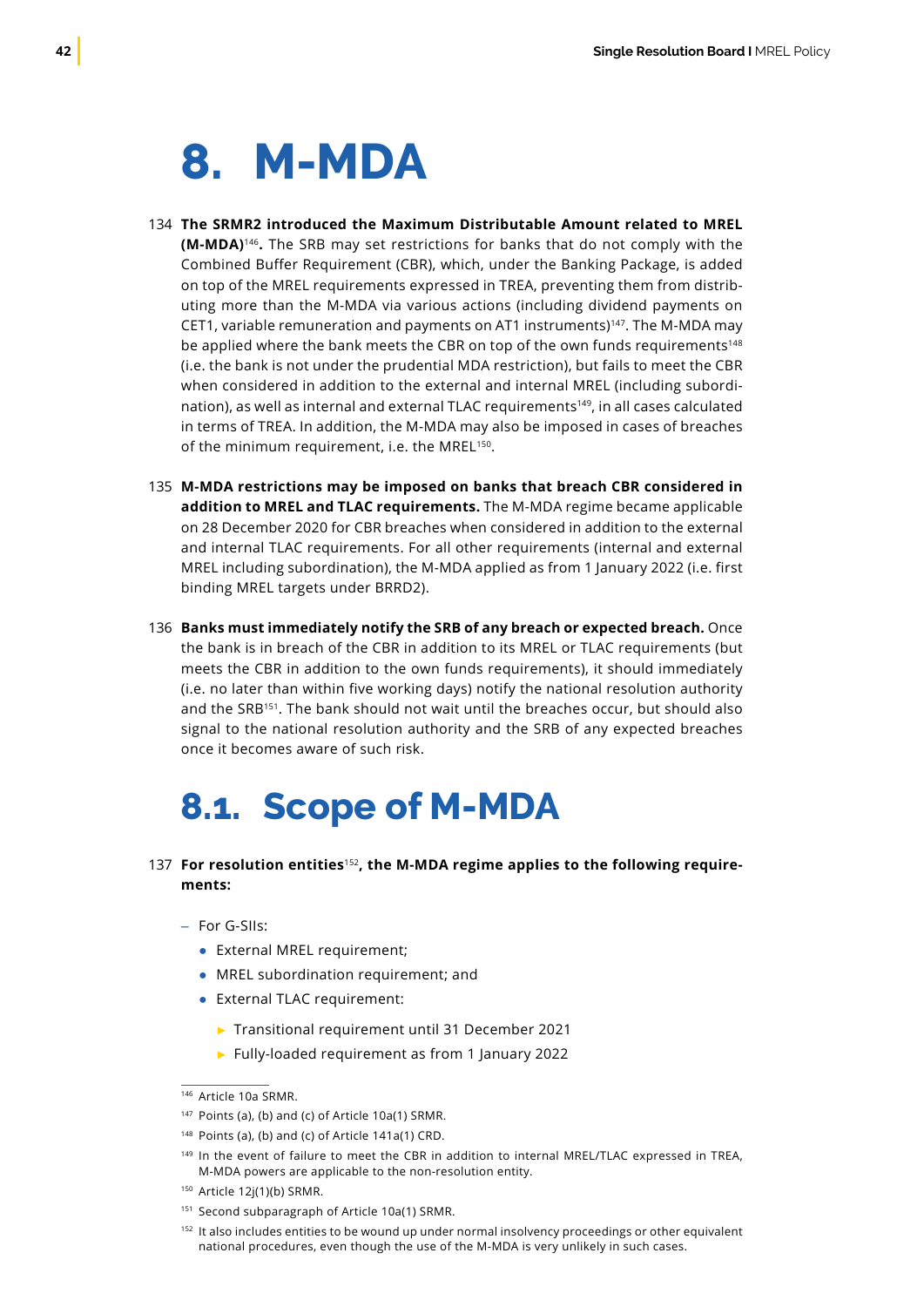## <span id="page-43-0"></span>**8. M-MDA**

- **The SRMR2 introduced the Maximum Distributable Amount related to MREL**  134 **(M-MDA)**<sup>146</sup>**.** The SRB may set restrictions for banks that do not comply with the Combined Buffer Requirement (CBR), which, under the Banking Package, is added on top of the MREL requirements expressed in TREA, preventing them from distributing more than the M-MDA via various actions (including dividend payments on CET1, variable remuneration and payments on AT1 instruments)147. The M-MDA may be applied where the bank meets the CBR on top of the own funds requirements<sup>148</sup> (i.e. the bank is not under the prudential MDA restriction), but fails to meet the CBR when considered in addition to the external and internal MREL (including subordination), as well as internal and external TLAC requirements<sup>149</sup>, in all cases calculated in terms of TREA. In addition, the M-MDA may also be imposed in cases of breaches of the minimum requirement, i.e. the MREL<sup>150</sup>.
- **M-MDA restrictions may be imposed on banks that breach CBR considered in**  135 **addition to MREL and TLAC requirements.** The M-MDA regime became applicable on 28 December 2020 for CBR breaches when considered in addition to the external and internal TLAC requirements. For all other requirements (internal and external MREL including subordination), the M-MDA applied as from 1 January 2022 (i.e. first binding MREL targets under BRRD2).
- **Banks must immediately notify the SRB of any breach or expected breach.** Once 136 the bank is in breach of the CBR in addition to its MREL or TLAC requirements (but meets the CBR in addition to the own funds requirements), it should immediately (i.e. no later than within five working days) notify the national resolution authority and the SRB<sup>151</sup>. The bank should not wait until the breaches occur, but should also signal to the national resolution authority and the SRB of any expected breaches once it becomes aware of such risk.

### **8.1. Scope of M-MDA**

- **For resolution entities**<sup>152</sup>**, the M-MDA regime applies to the following require-**137**ments:**
	- For G-SIIs:
		- External MREL requirement;
		- MREL subordination requirement; and
		- External TLAC requirement:
			- ► Transitional requirement until 31 December 2021
			- ► Fully-loaded requirement as from 1 January 2022

<sup>146</sup> Article 10a SRMR.

<sup>147</sup> Points (a), (b) and (c) of Article 10a(1) SRMR.

 $148$  Points (a), (b) and (c) of Article 141a(1) CRD.

<sup>&</sup>lt;sup>149</sup> In the event of failure to meet the CBR in addition to internal MREL/TLAC expressed in TREA, M-MDA powers are applicable to the non-resolution entity.

<sup>150</sup> Article 12j(1)(b) SRMR.

<sup>151</sup> Second subparagraph of Article 10a(1) SRMR.

<sup>152</sup> It also includes entities to be wound up under normal insolvency proceedings or other equivalent national procedures, even though the use of the M-MDA is very unlikely in such cases.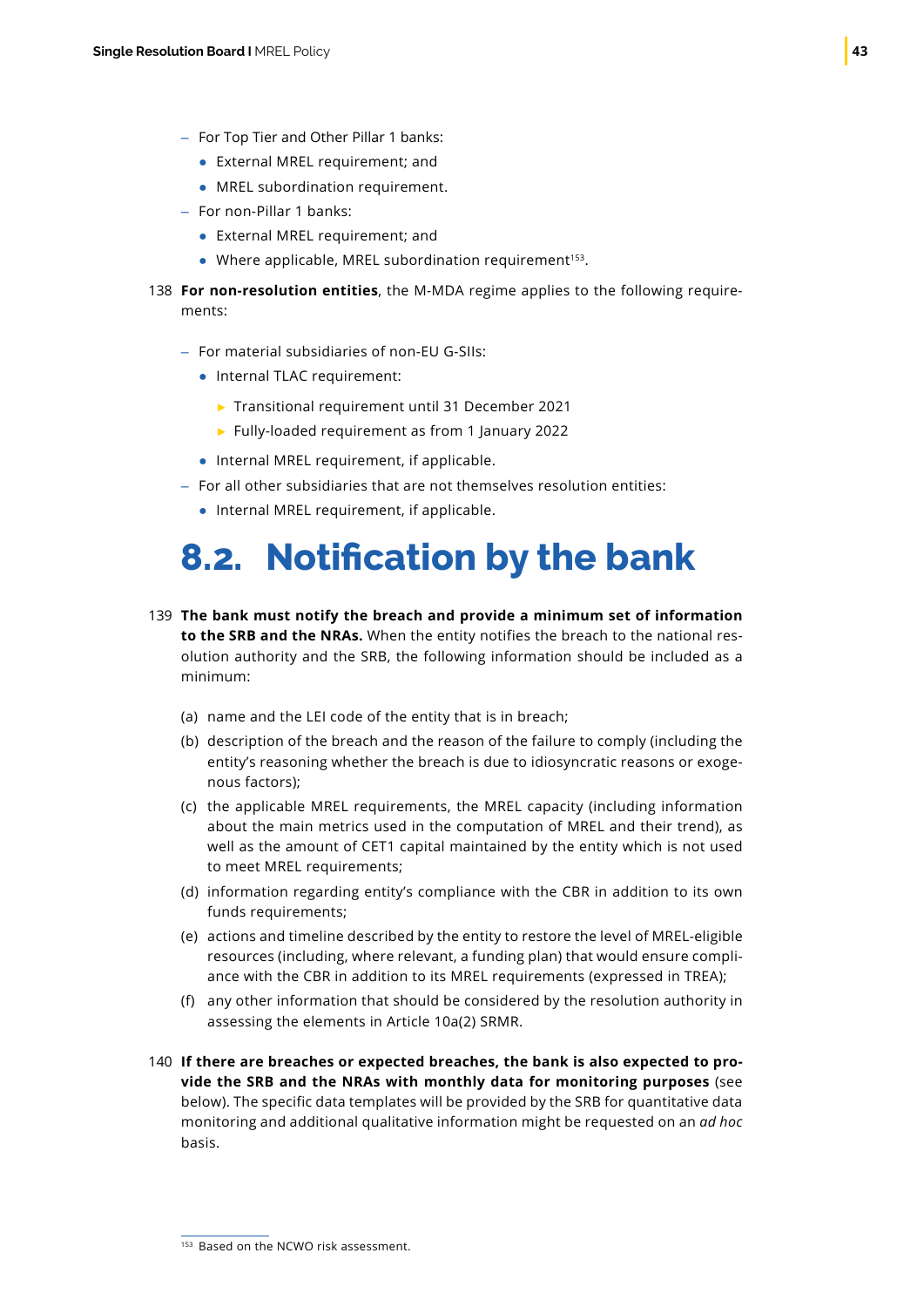- <span id="page-44-0"></span>– For Top Tier and Other Pillar 1 banks:
	- External MREL requirement; and
	- MREL subordination requirement.
- For non-Pillar 1 banks:
	- External MREL requirement; and
	- $\bullet$  Where applicable, MREL subordination requirement<sup>153</sup>.
- **For non-resolution entities**, the M-MDA regime applies to the following require-138 ments:
	- For material subsidiaries of non-EU G-SIIs:
		- Internal TLAC requirement:
			- ► Transitional requirement until 31 December 2021
			- ► Fully-loaded requirement as from 1 January 2022
		- Internal MREL requirement, if applicable.
	- For all other subsidiaries that are not themselves resolution entities:
		- Internal MREL requirement, if applicable.

### **8.2. Notification by the bank**

- **The bank must notify the breach and provide a minimum set of information**  139 **to the SRB and the NRAs.** When the entity notifies the breach to the national resolution authority and the SRB, the following information should be included as a minimum:
	- (a) name and the LEI code of the entity that is in breach;
	- (b) description of the breach and the reason of the failure to comply (including the entity's reasoning whether the breach is due to idiosyncratic reasons or exogenous factors);
	- (c) the applicable MREL requirements, the MREL capacity (including information about the main metrics used in the computation of MREL and their trend), as well as the amount of CET1 capital maintained by the entity which is not used to meet MREL requirements;
	- (d) information regarding entity's compliance with the CBR in addition to its own funds requirements;
	- (e) actions and timeline described by the entity to restore the level of MREL-eligible resources (including, where relevant, a funding plan) that would ensure compliance with the CBR in addition to its MREL requirements (expressed in TREA);
	- (f) any other information that should be considered by the resolution authority in assessing the elements in Article 10a(2) SRMR.
- **If there are breaches or expected breaches, the bank is also expected to pro-**140**vide the SRB and the NRAs with monthly data for monitoring purposes** (see below). The specific data templates will be provided by the SRB for quantitative data monitoring and additional qualitative information might be requested on an *ad hoc* basis.

<sup>&</sup>lt;sup>153</sup> Based on the NCWO risk assessment.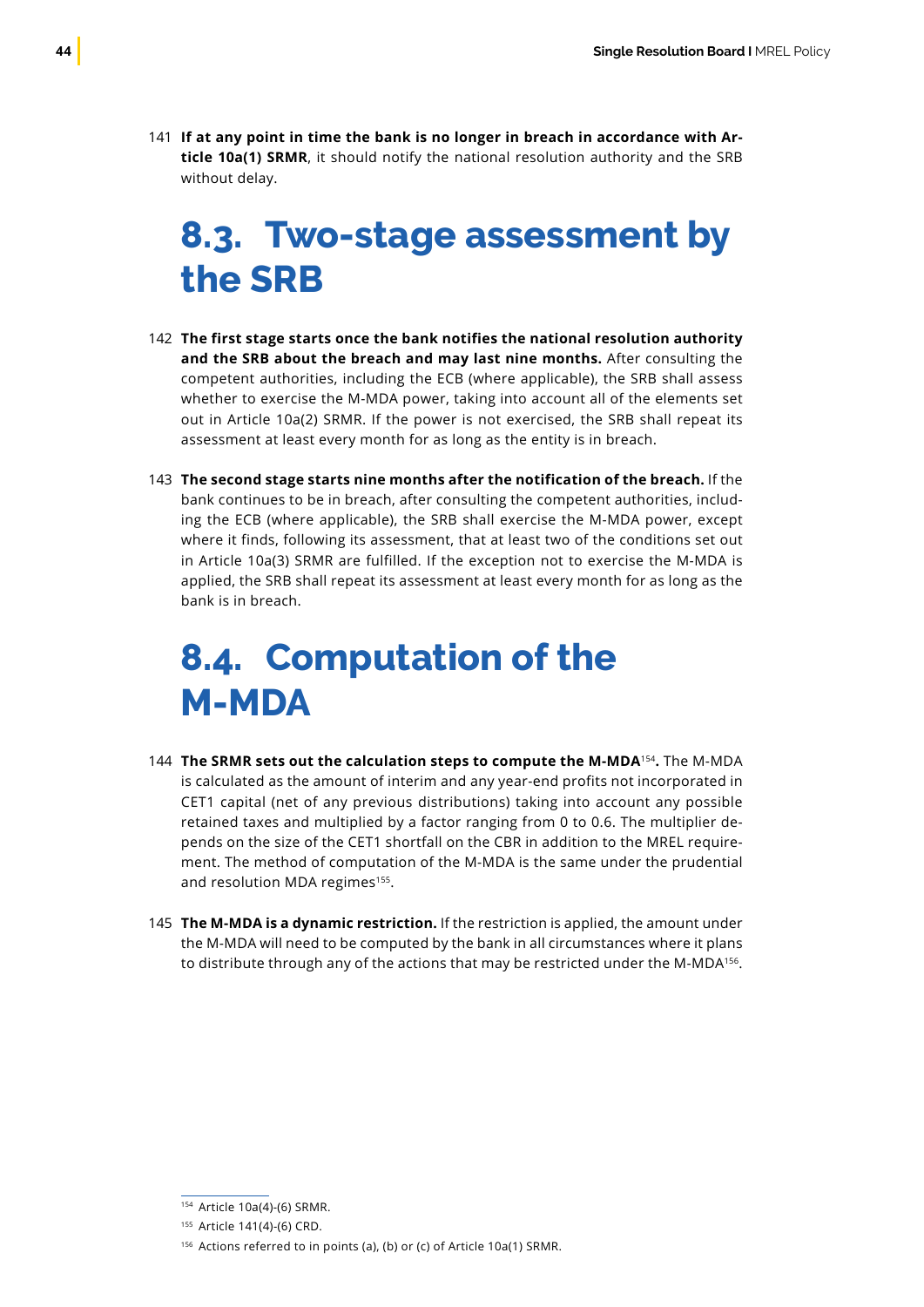<span id="page-45-0"></span>**If at any point in time the bank is no longer in breach in accordance with Ar-**141 **ticle 10a(1) SRMR**, it should notify the national resolution authority and the SRB without delay.

### **8.3. Two-stage assessment by the SRB**

- **The first stage starts once the bank notifies the national resolution authority**  142 **and the SRB about the breach and may last nine months.** After consulting the competent authorities, including the ECB (where applicable), the SRB shall assess whether to exercise the M-MDA power, taking into account all of the elements set out in Article 10a(2) SRMR. If the power is not exercised, the SRB shall repeat its assessment at least every month for as long as the entity is in breach.
- **The second stage starts nine months after the notification of the breach.** If the 143 bank continues to be in breach, after consulting the competent authorities, including the ECB (where applicable), the SRB shall exercise the M-MDA power, except where it finds, following its assessment, that at least two of the conditions set out in Article 10a(3) SRMR are fulfilled. If the exception not to exercise the M-MDA is applied, the SRB shall repeat its assessment at least every month for as long as the bank is in breach.

### **8.4. Computation of the M-MDA**

- **The SRMR sets out the calculation steps to compute the M-MDA**<sup>154</sup>**.** The M-MDA 144 is calculated as the amount of interim and any year-end profits not incorporated in CET1 capital (net of any previous distributions) taking into account any possible retained taxes and multiplied by a factor ranging from 0 to 0.6. The multiplier depends on the size of the CET1 shortfall on the CBR in addition to the MREL requirement. The method of computation of the M-MDA is the same under the prudential and resolution MDA regimes<sup>155</sup>.
- **The M-MDA is a dynamic restriction.** If the restriction is applied, the amount under 145the M-MDA will need to be computed by the bank in all circumstances where it plans to distribute through any of the actions that may be restricted under the M-MDA<sup>156</sup>.

<sup>154</sup> Article 10a(4)-(6) SRMR.

<sup>155</sup> Article 141(4)-(6) CRD.

<sup>156</sup> Actions referred to in points (a), (b) or (c) of Article 10a(1) SRMR.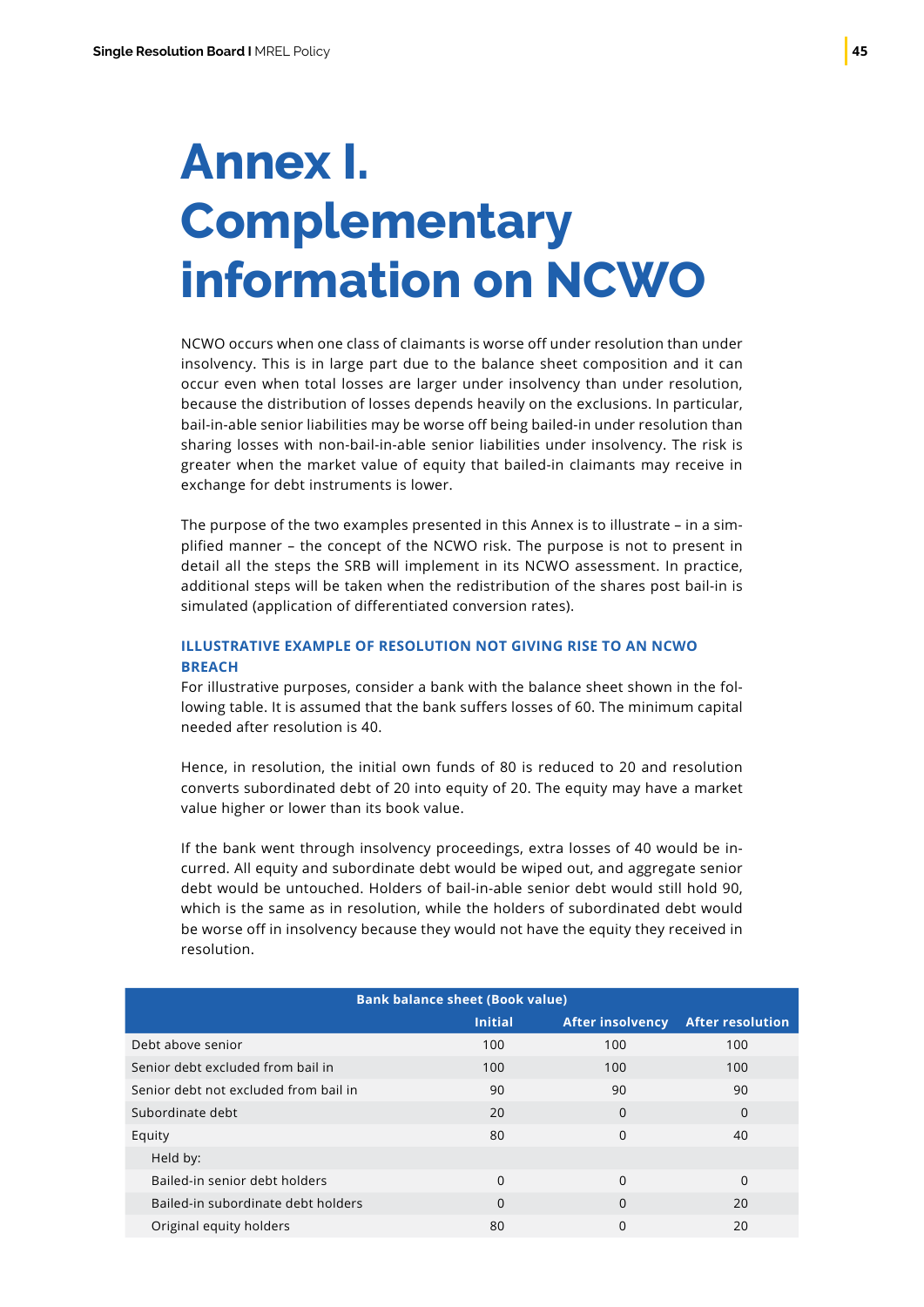# <span id="page-46-0"></span>**Annex I. Complementary information on NCWO**

NCWO occurs when one class of claimants is worse off under resolution than under insolvency. This is in large part due to the balance sheet composition and it can occur even when total losses are larger under insolvency than under resolution, because the distribution of losses depends heavily on the exclusions. In particular, bail-in-able senior liabilities may be worse off being bailed-in under resolution than sharing losses with non-bail-in-able senior liabilities under insolvency. The risk is greater when the market value of equity that bailed-in claimants may receive in exchange for debt instruments is lower.

The purpose of the two examples presented in this Annex is to illustrate – in a simplified manner – the concept of the NCWO risk. The purpose is not to present in detail all the steps the SRB will implement in its NCWO assessment. In practice, additional steps will be taken when the redistribution of the shares post bail-in is simulated (application of differentiated conversion rates).

### **ILLUSTRATIVE EXAMPLE OF RESOLUTION NOT GIVING RISE TO AN NCWO BREACH**

For illustrative purposes, consider a bank with the balance sheet shown in the following table. It is assumed that the bank suffers losses of 60. The minimum capital needed after resolution is 40.

Hence, in resolution, the initial own funds of 80 is reduced to 20 and resolution converts subordinated debt of 20 into equity of 20. The equity may have a market value higher or lower than its book value.

If the bank went through insolvency proceedings, extra losses of 40 would be incurred. All equity and subordinate debt would be wiped out, and aggregate senior debt would be untouched. Holders of bail-in-able senior debt would still hold 90, which is the same as in resolution, while the holders of subordinated debt would be worse off in insolvency because they would not have the equity they received in resolution.

| <b>Bank balance sheet (Book value)</b> |                |                         |                         |
|----------------------------------------|----------------|-------------------------|-------------------------|
|                                        | <b>Initial</b> | <b>After insolvency</b> | <b>After resolution</b> |
| Debt above senior                      | 100            | 100                     | 100                     |
| Senior debt excluded from bail in      | 100            | 100                     | 100                     |
| Senior debt not excluded from bail in  | 90             | 90                      | 90                      |
| Subordinate debt                       | 20             | $\Omega$                | $\Omega$                |
| Equity                                 | 80             | $\Omega$                | 40                      |
| Held by:                               |                |                         |                         |
| Bailed-in senior debt holders          | $\Omega$       | $\Omega$                | $\Omega$                |
| Bailed-in subordinate debt holders     | $\Omega$       | $\Omega$                | 20                      |
| Original equity holders                | 80             | $\Omega$                | 20                      |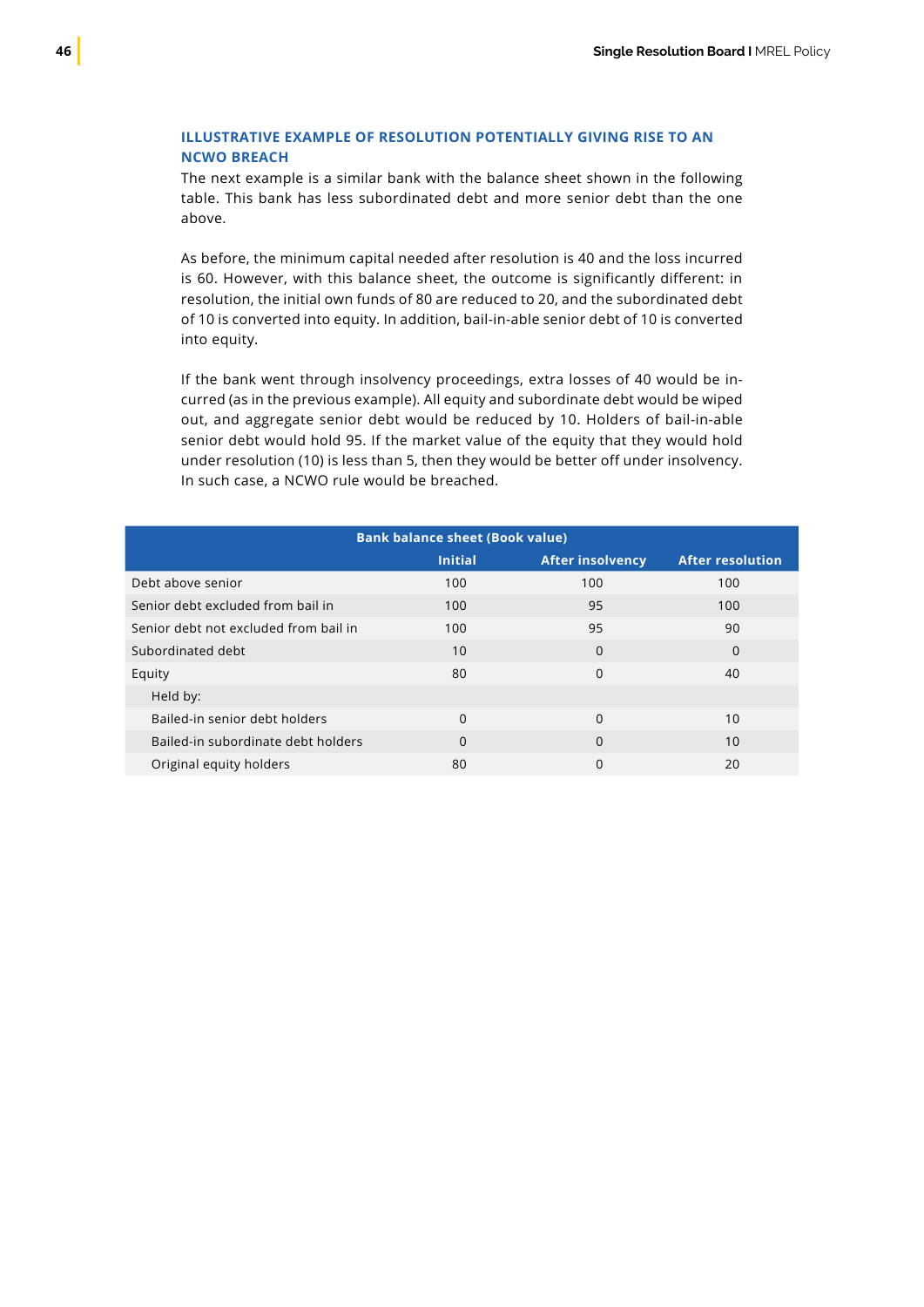### **ILLUSTRATIVE EXAMPLE OF RESOLUTION POTENTIALLY GIVING RISE TO AN NCWO BREACH**

The next example is a similar bank with the balance sheet shown in the following table. This bank has less subordinated debt and more senior debt than the one above.

As before, the minimum capital needed after resolution is 40 and the loss incurred is 60. However, with this balance sheet, the outcome is significantly different: in resolution, the initial own funds of 80 are reduced to 20, and the subordinated debt of 10 is converted into equity. In addition, bail-in-able senior debt of 10 is converted into equity.

If the bank went through insolvency proceedings, extra losses of 40 would be incurred (as in the previous example). All equity and subordinate debt would be wiped out, and aggregate senior debt would be reduced by 10. Holders of bail-in-able senior debt would hold 95. If the market value of the equity that they would hold under resolution (10) is less than 5, then they would be better off under insolvency. In such case, a NCWO rule would be breached.

|                                       | <b>Bank balance sheet (Book value)</b> |                         |                         |
|---------------------------------------|----------------------------------------|-------------------------|-------------------------|
|                                       | <b>Initial</b>                         | <b>After insolvency</b> | <b>After resolution</b> |
| Debt above senior                     | 100                                    | 100                     | 100                     |
| Senior debt excluded from bail in     | 100                                    | 95                      | 100                     |
| Senior debt not excluded from bail in | 100                                    | 95                      | 90                      |
| Subordinated debt                     | 10                                     | $\Omega$                | $\Omega$                |
| Equity                                | 80                                     | $\Omega$                | 40                      |
| Held by:                              |                                        |                         |                         |
| Bailed-in senior debt holders         | $\Omega$                               | $\Omega$                | 10                      |
| Bailed-in subordinate debt holders    | $\Omega$                               | $\Omega$                | 10                      |
| Original equity holders               | 80                                     | 0                       | 20                      |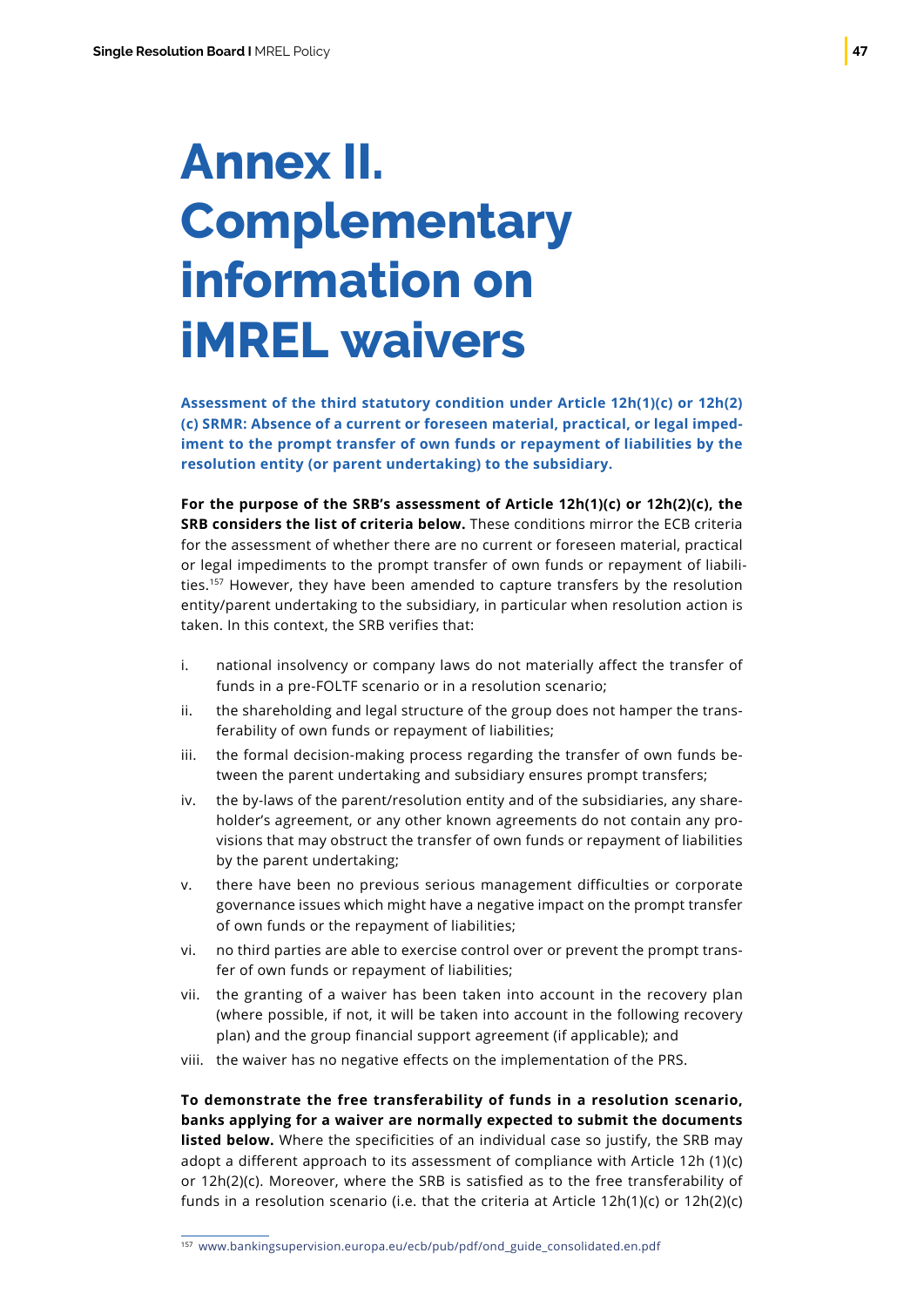# <span id="page-48-0"></span>**Annex II. Complementary information on iMREL waivers**

**Assessment of the third statutory condition under Article 12h(1)(c) or 12h(2) (c) SRMR: Absence of a current or foreseen material, practical, or legal impediment to the prompt transfer of own funds or repayment of liabilities by the resolution entity (or parent undertaking) to the subsidiary.**

**For the purpose of the SRB's assessment of Article 12h(1)(c) or 12h(2)(c), the SRB considers the list of criteria below.** These conditions mirror the ECB criteria for the assessment of whether there are no current or foreseen material, practical or legal impediments to the prompt transfer of own funds or repayment of liabilities.157 However, they have been amended to capture transfers by the resolution entity/parent undertaking to the subsidiary, in particular when resolution action is taken. In this context, the SRB verifies that:

- i. national insolvency or company laws do not materially affect the transfer of funds in a pre-FOLTF scenario or in a resolution scenario;
- ii. the shareholding and legal structure of the group does not hamper the transferability of own funds or repayment of liabilities;
- iii. the formal decision-making process regarding the transfer of own funds between the parent undertaking and subsidiary ensures prompt transfers;
- iv. the by-laws of the parent/resolution entity and of the subsidiaries, any shareholder's agreement, or any other known agreements do not contain any provisions that may obstruct the transfer of own funds or repayment of liabilities by the parent undertaking;
- v. there have been no previous serious management difficulties or corporate governance issues which might have a negative impact on the prompt transfer of own funds or the repayment of liabilities;
- vi. no third parties are able to exercise control over or prevent the prompt transfer of own funds or repayment of liabilities;
- vii. the granting of a waiver has been taken into account in the recovery plan (where possible, if not, it will be taken into account in the following recovery plan) and the group financial support agreement (if applicable); and
- viii. the waiver has no negative effects on the implementation of the PRS.

**To demonstrate the free transferability of funds in a resolution scenario, banks applying for a waiver are normally expected to submit the documents listed below.** Where the specificities of an individual case so justify, the SRB may adopt a different approach to its assessment of compliance with Article 12h (1)(c) or 12h(2)(c). Moreover, where the SRB is satisfied as to the free transferability of funds in a resolution scenario (i.e. that the criteria at Article 12h(1)(c) or 12h(2)(c)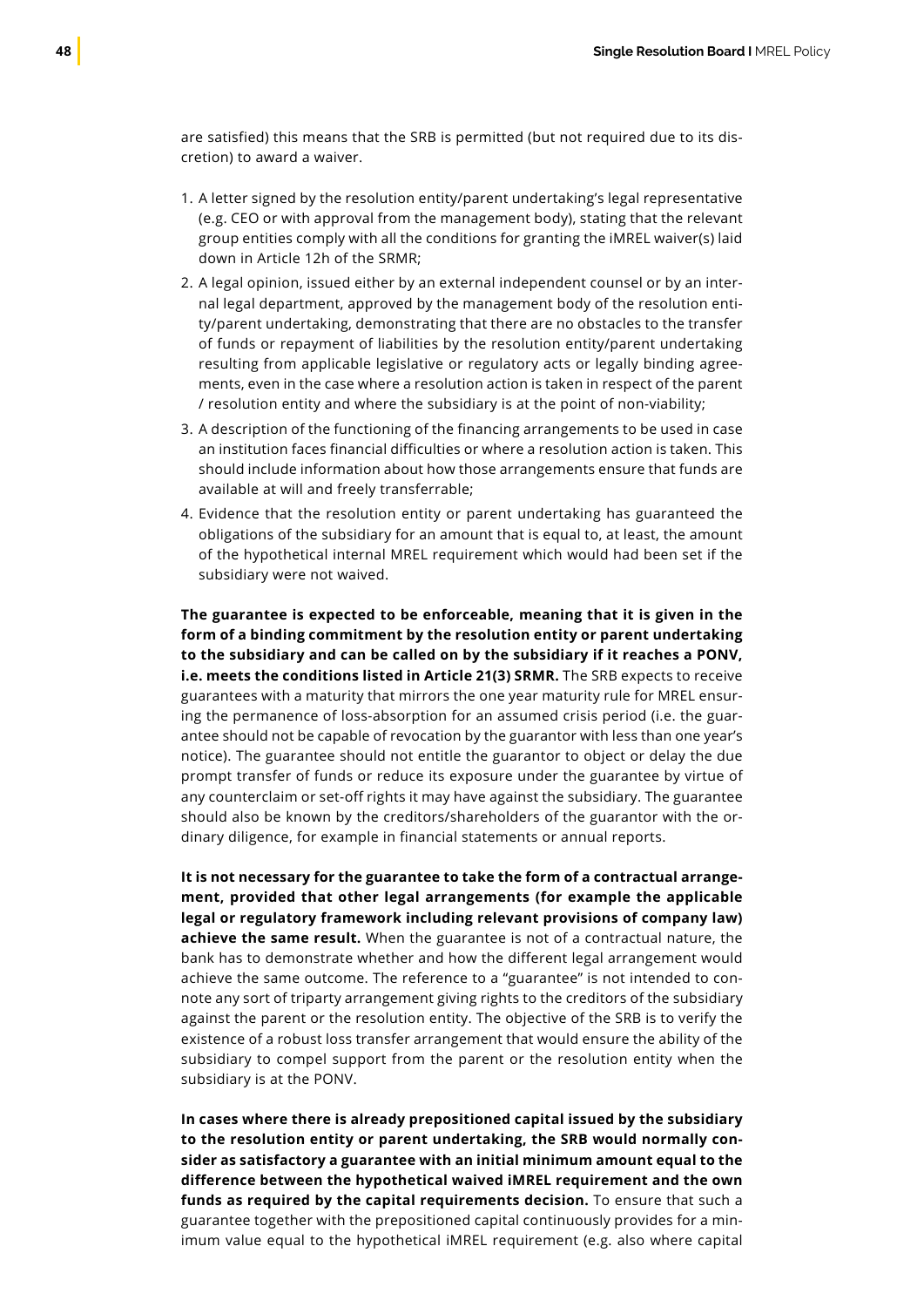are satisfied) this means that the SRB is permitted (but not required due to its discretion) to award a waiver.

- 1. A letter signed by the resolution entity/parent undertaking's legal representative (e.g. CEO or with approval from the management body), stating that the relevant group entities comply with all the conditions for granting the iMREL waiver(s) laid down in Article 12h of the SRMR;
- 2. A legal opinion, issued either by an external independent counsel or by an internal legal department, approved by the management body of the resolution entity/parent undertaking, demonstrating that there are no obstacles to the transfer of funds or repayment of liabilities by the resolution entity/parent undertaking resulting from applicable legislative or regulatory acts or legally binding agreements, even in the case where a resolution action is taken in respect of the parent / resolution entity and where the subsidiary is at the point of non-viability;
- 3. A description of the functioning of the financing arrangements to be used in case an institution faces financial difficulties or where a resolution action is taken. This should include information about how those arrangements ensure that funds are available at will and freely transferrable;
- 4. Evidence that the resolution entity or parent undertaking has guaranteed the obligations of the subsidiary for an amount that is equal to, at least, the amount of the hypothetical internal MREL requirement which would had been set if the subsidiary were not waived.

**The guarantee is expected to be enforceable, meaning that it is given in the form of a binding commitment by the resolution entity or parent undertaking to the subsidiary and can be called on by the subsidiary if it reaches a PONV, i.e. meets the conditions listed in Article 21(3) SRMR.** The SRB expects to receive guarantees with a maturity that mirrors the one year maturity rule for MREL ensuring the permanence of loss-absorption for an assumed crisis period (i.e. the guarantee should not be capable of revocation by the guarantor with less than one year's notice). The guarantee should not entitle the guarantor to object or delay the due prompt transfer of funds or reduce its exposure under the guarantee by virtue of any counterclaim or set-off rights it may have against the subsidiary. The guarantee should also be known by the creditors/shareholders of the guarantor with the ordinary diligence, for example in financial statements or annual reports.

**It is not necessary for the guarantee to take the form of a contractual arrangement, provided that other legal arrangements (for example the applicable legal or regulatory framework including relevant provisions of company law) achieve the same result.** When the guarantee is not of a contractual nature, the bank has to demonstrate whether and how the different legal arrangement would achieve the same outcome. The reference to a "guarantee" is not intended to connote any sort of triparty arrangement giving rights to the creditors of the subsidiary against the parent or the resolution entity. The objective of the SRB is to verify the existence of a robust loss transfer arrangement that would ensure the ability of the subsidiary to compel support from the parent or the resolution entity when the subsidiary is at the PONV.

**In cases where there is already prepositioned capital issued by the subsidiary to the resolution entity or parent undertaking, the SRB would normally consider as satisfactory a guarantee with an initial minimum amount equal to the difference between the hypothetical waived iMREL requirement and the own funds as required by the capital requirements decision.** To ensure that such a guarantee together with the prepositioned capital continuously provides for a minimum value equal to the hypothetical iMREL requirement (e.g. also where capital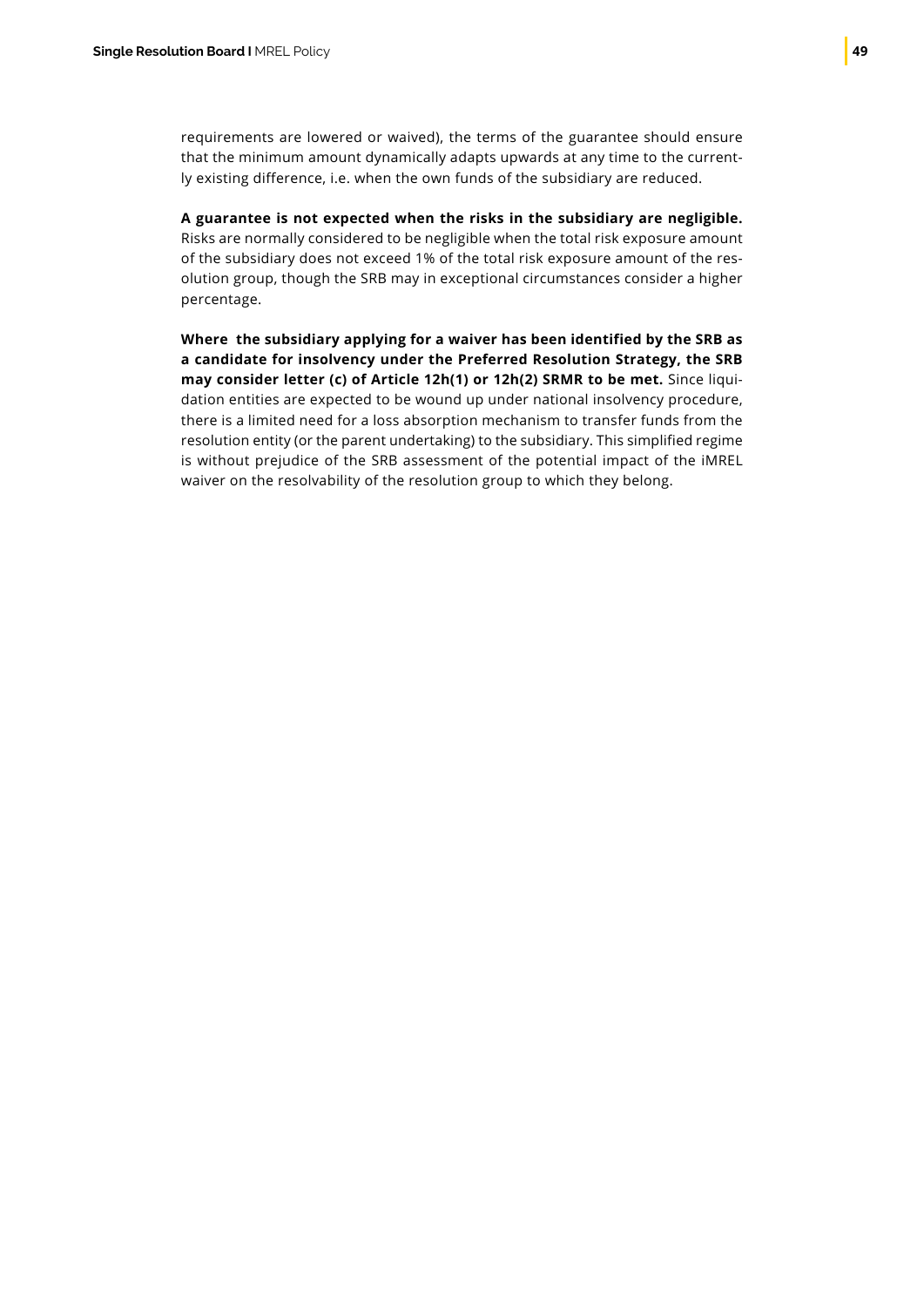requirements are lowered or waived), the terms of the guarantee should ensure that the minimum amount dynamically adapts upwards at any time to the currently existing difference, i.e. when the own funds of the subsidiary are reduced.

**A guarantee is not expected when the risks in the subsidiary are negligible.** Risks are normally considered to be negligible when the total risk exposure amount of the subsidiary does not exceed 1% of the total risk exposure amount of the resolution group, though the SRB may in exceptional circumstances consider a higher percentage.

**Where the subsidiary applying for a waiver has been identified by the SRB as a candidate for insolvency under the Preferred Resolution Strategy, the SRB may consider letter (c) of Article 12h(1) or 12h(2) SRMR to be met.** Since liquidation entities are expected to be wound up under national insolvency procedure, there is a limited need for a loss absorption mechanism to transfer funds from the resolution entity (or the parent undertaking) to the subsidiary. This simplified regime is without prejudice of the SRB assessment of the potential impact of the iMREL waiver on the resolvability of the resolution group to which they belong.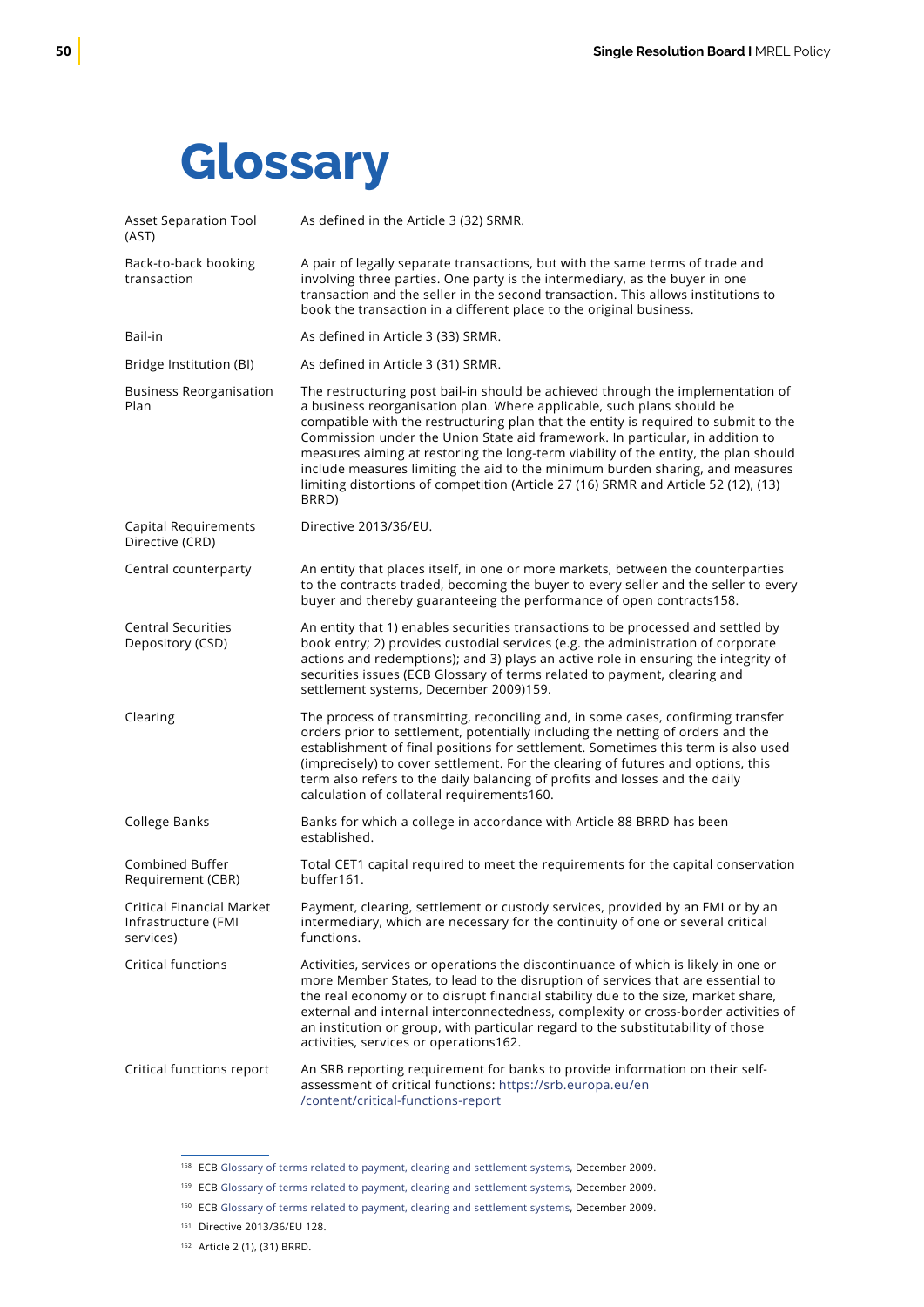## <span id="page-51-0"></span>**Glossary**

| <b>Asset Separation Tool</b><br>(AST)                                | As defined in the Article 3 (32) SRMR.                                                                                                                                                                                                                                                                                                                                                                                                                                                                                                                                                                    |
|----------------------------------------------------------------------|-----------------------------------------------------------------------------------------------------------------------------------------------------------------------------------------------------------------------------------------------------------------------------------------------------------------------------------------------------------------------------------------------------------------------------------------------------------------------------------------------------------------------------------------------------------------------------------------------------------|
| Back-to-back booking<br>transaction                                  | A pair of legally separate transactions, but with the same terms of trade and<br>involving three parties. One party is the intermediary, as the buyer in one<br>transaction and the seller in the second transaction. This allows institutions to<br>book the transaction in a different place to the original business.                                                                                                                                                                                                                                                                                  |
| Bail-in                                                              | As defined in Article 3 (33) SRMR.                                                                                                                                                                                                                                                                                                                                                                                                                                                                                                                                                                        |
| Bridge Institution (BI)                                              | As defined in Article 3 (31) SRMR.                                                                                                                                                                                                                                                                                                                                                                                                                                                                                                                                                                        |
| <b>Business Reorganisation</b><br>Plan                               | The restructuring post bail-in should be achieved through the implementation of<br>a business reorganisation plan. Where applicable, such plans should be<br>compatible with the restructuring plan that the entity is required to submit to the<br>Commission under the Union State aid framework. In particular, in addition to<br>measures aiming at restoring the long-term viability of the entity, the plan should<br>include measures limiting the aid to the minimum burden sharing, and measures<br>limiting distortions of competition (Article 27 (16) SRMR and Article 52 (12), (13)<br>BRRD) |
| Capital Requirements<br>Directive (CRD)                              | Directive 2013/36/EU.                                                                                                                                                                                                                                                                                                                                                                                                                                                                                                                                                                                     |
| Central counterparty                                                 | An entity that places itself, in one or more markets, between the counterparties<br>to the contracts traded, becoming the buyer to every seller and the seller to every<br>buyer and thereby guaranteeing the performance of open contracts158.                                                                                                                                                                                                                                                                                                                                                           |
| <b>Central Securities</b><br>Depository (CSD)                        | An entity that 1) enables securities transactions to be processed and settled by<br>book entry; 2) provides custodial services (e.g. the administration of corporate<br>actions and redemptions); and 3) plays an active role in ensuring the integrity of<br>securities issues (ECB Glossary of terms related to payment, clearing and<br>settlement systems, December 2009)159.                                                                                                                                                                                                                         |
| Clearing                                                             | The process of transmitting, reconciling and, in some cases, confirming transfer<br>orders prior to settlement, potentially including the netting of orders and the<br>establishment of final positions for settlement. Sometimes this term is also used<br>(imprecisely) to cover settlement. For the clearing of futures and options, this<br>term also refers to the daily balancing of profits and losses and the daily<br>calculation of collateral requirements160.                                                                                                                                 |
| College Banks                                                        | Banks for which a college in accordance with Article 88 BRRD has been<br>established.                                                                                                                                                                                                                                                                                                                                                                                                                                                                                                                     |
| Combined Buffer<br>Requirement (CBR)                                 | Total CET1 capital required to meet the requirements for the capital conservation<br>buffer161.                                                                                                                                                                                                                                                                                                                                                                                                                                                                                                           |
| <b>Critical Financial Market</b><br>Infrastructure (FMI<br>services) | Payment, clearing, settlement or custody services, provided by an FMI or by an<br>intermediary, which are necessary for the continuity of one or several critical<br>functions.                                                                                                                                                                                                                                                                                                                                                                                                                           |
| <b>Critical functions</b>                                            | Activities, services or operations the discontinuance of which is likely in one or<br>more Member States, to lead to the disruption of services that are essential to<br>the real economy or to disrupt financial stability due to the size, market share,<br>external and internal interconnectedness, complexity or cross-border activities of<br>an institution or group, with particular regard to the substitutability of those<br>activities, services or operations162.                                                                                                                            |
| Critical functions report                                            | An SRB reporting requirement for banks to provide information on their self-<br>assessment of critical functions: https://srb.europa.eu/en<br>/content/critical-functions-report                                                                                                                                                                                                                                                                                                                                                                                                                          |

<sup>&</sup>lt;sup>158</sup> ECB [Glossary of terms related to payment, clearing and settlement systems](https://www.ecb.europa.eu/pub/pdf/other/glossaryrelatedtopaymentclearingandsettlementsystemsen.pdf), December 2009.

<sup>159</sup> ECB [Glossary of terms related to payment, clearing and settlement systems](https://www.ecb.europa.eu/pub/pdf/other/glossaryrelatedtopaymentclearingandsettlementsystemsen.pdf), December 2009.

<sup>160</sup> ECB [Glossary of terms related to payment, clearing and settlement systems](https://www.ecb.europa.eu/pub/pdf/other/glossaryrelatedtopaymentclearingandsettlementsystemsen.pdf), December 2009.

<sup>161</sup> Directive 2013/36/EU 128.

<sup>162</sup> Article 2 (1), (31) BRRD.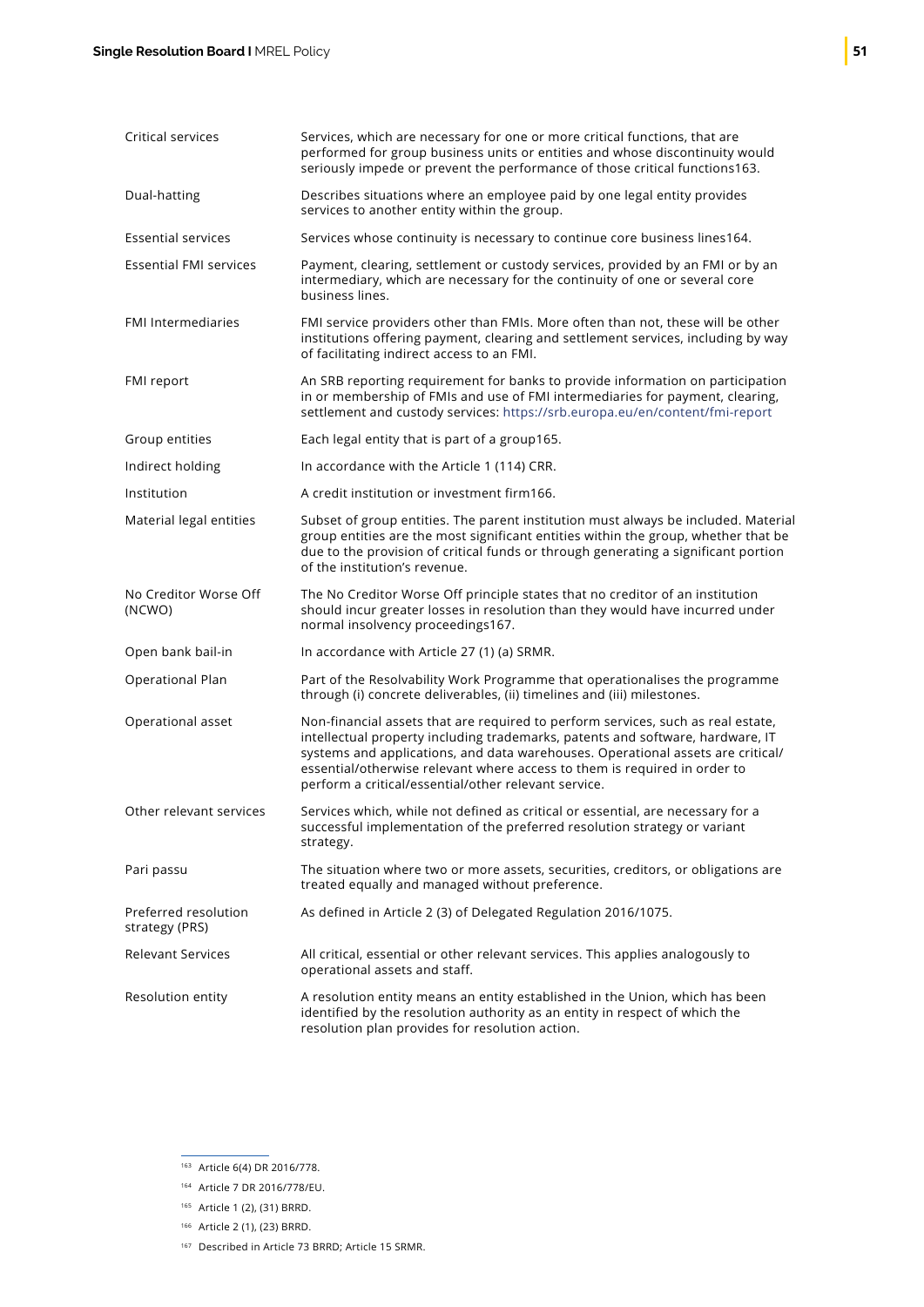| Critical services                      | Services, which are necessary for one or more critical functions, that are<br>performed for group business units or entities and whose discontinuity would<br>seriously impede or prevent the performance of those critical functions163.                                                                                                                                                  |
|----------------------------------------|--------------------------------------------------------------------------------------------------------------------------------------------------------------------------------------------------------------------------------------------------------------------------------------------------------------------------------------------------------------------------------------------|
| Dual-hatting                           | Describes situations where an employee paid by one legal entity provides<br>services to another entity within the group.                                                                                                                                                                                                                                                                   |
| <b>Essential services</b>              | Services whose continuity is necessary to continue core business lines164.                                                                                                                                                                                                                                                                                                                 |
| <b>Essential FMI services</b>          | Payment, clearing, settlement or custody services, provided by an FMI or by an<br>intermediary, which are necessary for the continuity of one or several core<br>business lines.                                                                                                                                                                                                           |
| <b>FMI Intermediaries</b>              | FMI service providers other than FMIs. More often than not, these will be other<br>institutions offering payment, clearing and settlement services, including by way<br>of facilitating indirect access to an FMI.                                                                                                                                                                         |
| FMI report                             | An SRB reporting requirement for banks to provide information on participation<br>in or membership of FMIs and use of FMI intermediaries for payment, clearing,<br>settlement and custody services: https://srb.europa.eu/en/content/fmi-report                                                                                                                                            |
| Group entities                         | Each legal entity that is part of a group165.                                                                                                                                                                                                                                                                                                                                              |
| Indirect holding                       | In accordance with the Article 1 (114) CRR.                                                                                                                                                                                                                                                                                                                                                |
| Institution                            | A credit institution or investment firm166.                                                                                                                                                                                                                                                                                                                                                |
| Material legal entities                | Subset of group entities. The parent institution must always be included. Material<br>group entities are the most significant entities within the group, whether that be<br>due to the provision of critical funds or through generating a significant portion<br>of the institution's revenue.                                                                                            |
| No Creditor Worse Off<br>(NCWO)        | The No Creditor Worse Off principle states that no creditor of an institution<br>should incur greater losses in resolution than they would have incurred under<br>normal insolvency proceedings167.                                                                                                                                                                                        |
| Open bank bail-in                      | In accordance with Article 27 (1) (a) SRMR.                                                                                                                                                                                                                                                                                                                                                |
| Operational Plan                       | Part of the Resolvability Work Programme that operationalises the programme<br>through (i) concrete deliverables, (ii) timelines and (iii) milestones.                                                                                                                                                                                                                                     |
| Operational asset                      | Non-financial assets that are required to perform services, such as real estate,<br>intellectual property including trademarks, patents and software, hardware, IT<br>systems and applications, and data warehouses. Operational assets are critical/<br>essential/otherwise relevant where access to them is required in order to<br>perform a critical/essential/other relevant service. |
| Other relevant services                | Services which, while not defined as critical or essential, are necessary for a<br>successful implementation of the preferred resolution strategy or variant<br>strategy.                                                                                                                                                                                                                  |
| Pari passu                             | The situation where two or more assets, securities, creditors, or obligations are<br>treated equally and managed without preference.                                                                                                                                                                                                                                                       |
| Preferred resolution<br>strategy (PRS) | As defined in Article 2 (3) of Delegated Regulation 2016/1075.                                                                                                                                                                                                                                                                                                                             |
| <b>Relevant Services</b>               | All critical, essential or other relevant services. This applies analogously to<br>operational assets and staff.                                                                                                                                                                                                                                                                           |
| Resolution entity                      | A resolution entity means an entity established in the Union, which has been<br>identified by the resolution authority as an entity in respect of which the<br>resolution plan provides for resolution action.                                                                                                                                                                             |

<sup>163</sup> Article 6(4) DR 2016/778.

<sup>164</sup> Article 7 DR 2016/778/EU.

<sup>165</sup> Article 1 (2), (31) BRRD.

<sup>166</sup> Article 2 (1), (23) BRRD.

<sup>167</sup> Described in Article 73 BRRD; Article 15 SRMR.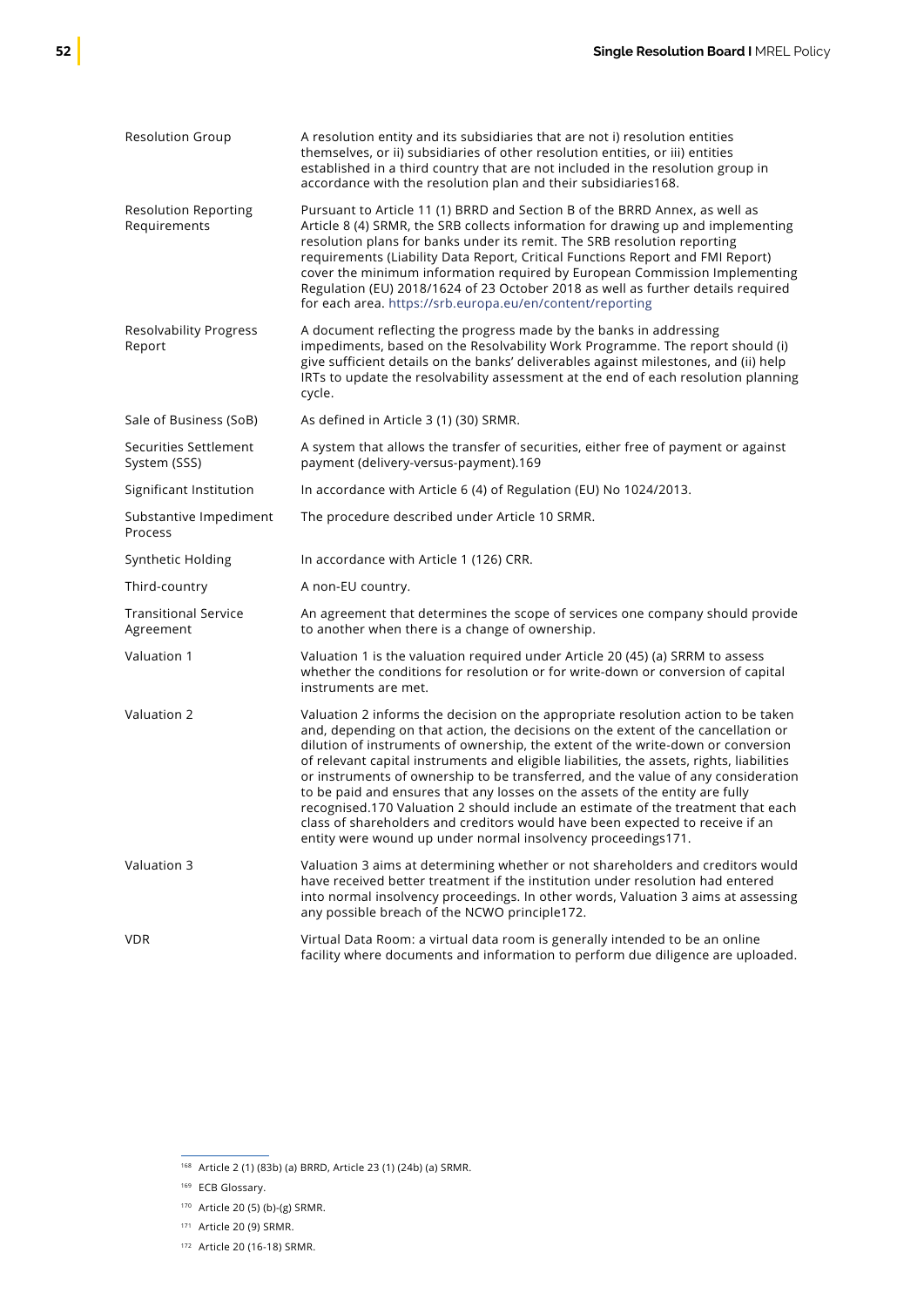| <b>Resolution Group</b>                     | A resolution entity and its subsidiaries that are not i) resolution entities<br>themselves, or ii) subsidiaries of other resolution entities, or iii) entities<br>established in a third country that are not included in the resolution group in<br>accordance with the resolution plan and their subsidiaries168.                                                                                                                                                                                                                                                                     |
|---------------------------------------------|-----------------------------------------------------------------------------------------------------------------------------------------------------------------------------------------------------------------------------------------------------------------------------------------------------------------------------------------------------------------------------------------------------------------------------------------------------------------------------------------------------------------------------------------------------------------------------------------|
| <b>Resolution Reporting</b><br>Requirements | Pursuant to Article 11 (1) BRRD and Section B of the BRRD Annex, as well as<br>Article 8 (4) SRMR, the SRB collects information for drawing up and implementing<br>resolution plans for banks under its remit. The SRB resolution reporting<br>requirements (Liability Data Report, Critical Functions Report and FMI Report)<br>cover the minimum information required by European Commission Implementing<br>Regulation (EU) 2018/1624 of 23 October 2018 as well as further details required<br>for each area. https://srb.europa.eu/en/content/reporting                            |
| <b>Resolvability Progress</b><br>Report     | A document reflecting the progress made by the banks in addressing<br>impediments, based on the Resolvability Work Programme. The report should (i)<br>give sufficient details on the banks' deliverables against milestones, and (ii) help<br>IRTs to update the resolvability assessment at the end of each resolution planning<br>cycle.                                                                                                                                                                                                                                             |
| Sale of Business (SoB)                      | As defined in Article 3 (1) (30) SRMR.                                                                                                                                                                                                                                                                                                                                                                                                                                                                                                                                                  |
| Securities Settlement<br>System (SSS)       | A system that allows the transfer of securities, either free of payment or against<br>payment (delivery-versus-payment).169                                                                                                                                                                                                                                                                                                                                                                                                                                                             |
| Significant Institution                     | In accordance with Article 6 (4) of Regulation (EU) No 1024/2013.                                                                                                                                                                                                                                                                                                                                                                                                                                                                                                                       |
| Substantive Impediment<br>Process           | The procedure described under Article 10 SRMR.                                                                                                                                                                                                                                                                                                                                                                                                                                                                                                                                          |
| Synthetic Holding                           | In accordance with Article 1 (126) CRR.                                                                                                                                                                                                                                                                                                                                                                                                                                                                                                                                                 |
| Third-country                               | A non-EU country.                                                                                                                                                                                                                                                                                                                                                                                                                                                                                                                                                                       |
| <b>Transitional Service</b><br>Agreement    | An agreement that determines the scope of services one company should provide<br>to another when there is a change of ownership.                                                                                                                                                                                                                                                                                                                                                                                                                                                        |
| Valuation 1                                 | Valuation 1 is the valuation required under Article 20 (45) (a) SRRM to assess<br>whether the conditions for resolution or for write-down or conversion of capital<br>instruments are met.                                                                                                                                                                                                                                                                                                                                                                                              |
| Valuation 2                                 | Valuation 2 informs the decision on the appropriate resolution action to be taken<br>and, depending on that action, the decisions on the extent of the cancellation or                                                                                                                                                                                                                                                                                                                                                                                                                  |
|                                             | dilution of instruments of ownership, the extent of the write-down or conversion<br>of relevant capital instruments and eligible liabilities, the assets, rights, liabilities<br>or instruments of ownership to be transferred, and the value of any consideration<br>to be paid and ensures that any losses on the assets of the entity are fully<br>recognised.170 Valuation 2 should include an estimate of the treatment that each<br>class of shareholders and creditors would have been expected to receive if an<br>entity were wound up under normal insolvency proceedings171. |
| Valuation 3                                 | Valuation 3 aims at determining whether or not shareholders and creditors would<br>have received better treatment if the institution under resolution had entered<br>into normal insolvency proceedings. In other words, Valuation 3 aims at assessing<br>any possible breach of the NCWO principle172.                                                                                                                                                                                                                                                                                 |

<sup>168</sup> Article 2 (1) (83b) (a) BRRD, Article 23 (1) (24b) (a) SRMR.

<sup>&</sup>lt;sup>169</sup> ECB Glossary.

<sup>170</sup> Article 20 (5) (b)-(g) SRMR.

<sup>171</sup> Article 20 (9) SRMR.

<sup>172</sup> Article 20 (16-18) SRMR.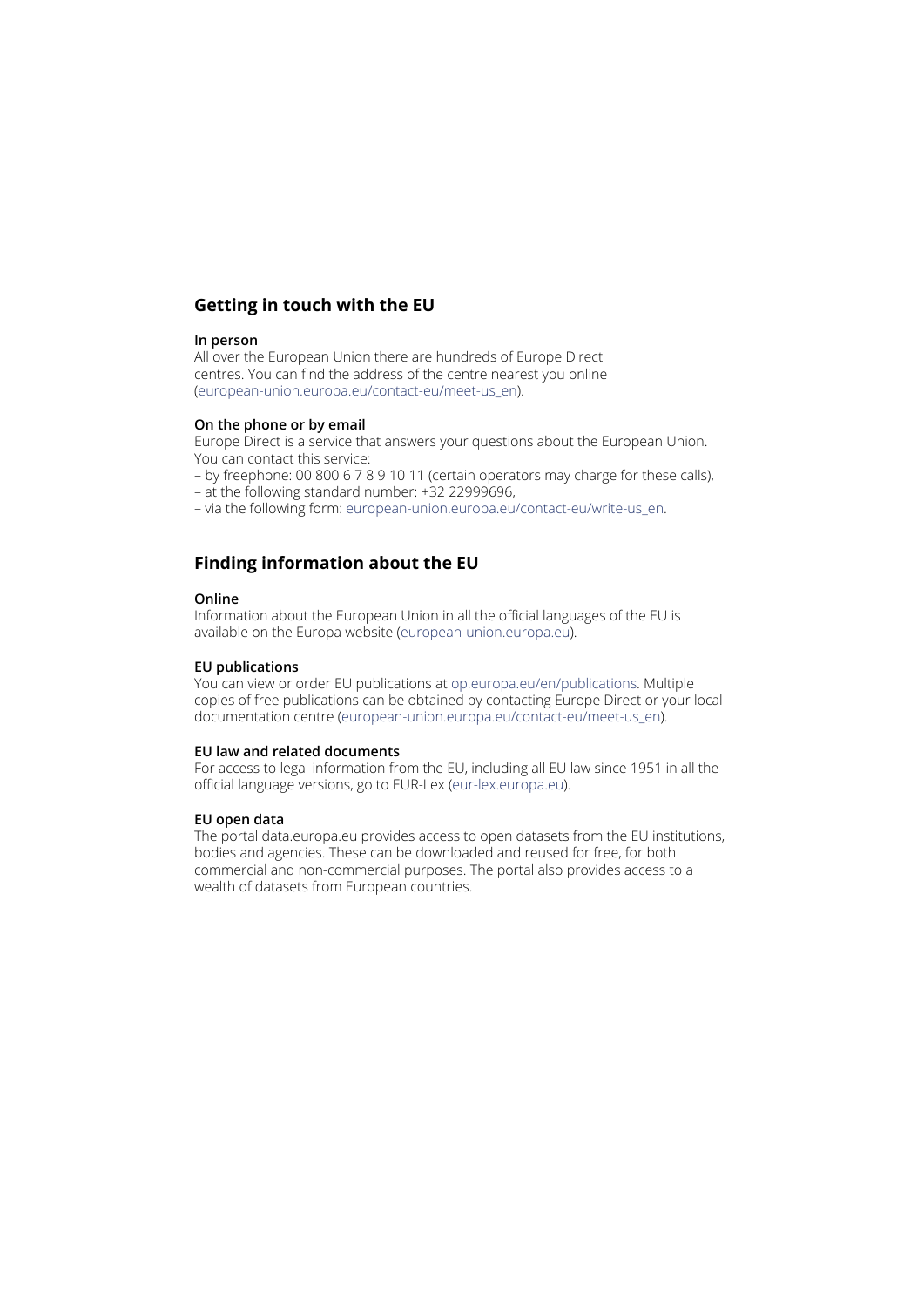### **Getting in touch with the EU**

#### **In person**

All over the European Union there are hundreds of Europe Direct centres. You can find the address of the centre nearest you online ([european-union.europa.eu/contact-eu/meet-us\\_en](https://european-union.europa.eu/contact-eu/meet-us_en)).

#### **On the phone or by email**

Europe Direct is a service that answers your questions about the European Union. You can contact this service:

– by freephone: 00 800 6 7 8 9 10 11 (certain operators may charge for these calls),

- at the following standard number: +32 22999696,
- via the following form: [european-union.europa.eu/contact-eu/write-us\\_en.](https://european-union.europa.eu/contact-eu/write-us_en)

### **Finding information about the EU**

#### **Online**

Information about the European Union in all the official languages of the EU is available on the Europa website [\(european-union.europa.eu](https://european-union.europa.eu/index_en)).

### **EU publications**

You can view or order EU publications at [op.europa.eu/en/publications](https://op.europa.eu/en/publications). Multiple copies of free publications can be obtained by contacting Europe Direct or your local documentation centre [\(european-union.europa.eu/contact-eu/meet-us\\_en\)](https://european-union.europa.eu/contact-eu/meet-us_en).

### **EU law and related documents**

For access to legal information from the EU, including all EU law since 1951 in all the official language versions, go to EUR-Lex ([eur-lex.europa.eu](https://eur-lex.europa.eu/)).

### **EU open data**

The portal [data.europa.eu](https://data.europa.eu/en) provides access to open datasets from the EU institutions, bodies and agencies. These can be downloaded and reused for free, for both commercial and non-commercial purposes. The portal also provides access to a wealth of datasets from European countries.